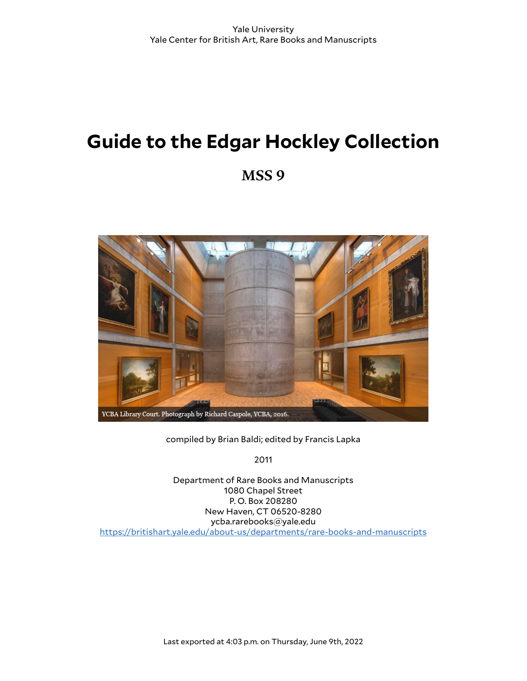# **Guide to the Edgar Hockley Collection**

**MSS 9**



compiled by Brian Baldi; edited by Francis Lapka

2011

Department of Rare Books and Manuscripts 1080 Chapel Street P. O. Box 208280 New Haven, CT 06520-8280 ycba.rarebooks@yale.edu <https://britishart.yale.edu/about-us/departments/rare-books-and-manuscripts>

Last exported at 4:03 p.m. on Thursday, June 9th, 2022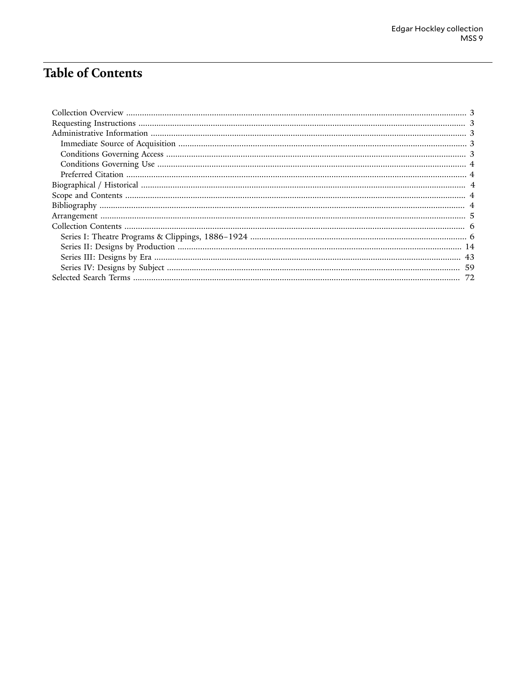## **Table of Contents**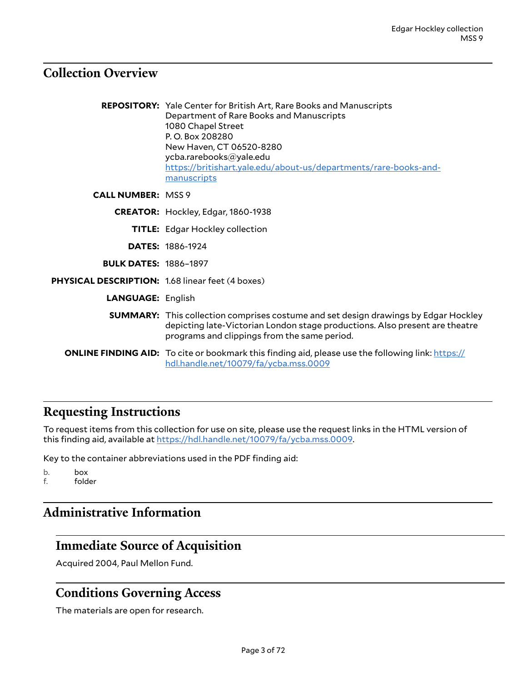#### <span id="page-2-0"></span>**Collection Overview**

**REPOSITORY:** Yale Center for British Art, Rare Books and Manuscripts Department of Rare Books and Manuscripts 1080 Chapel Street P. O. Box 208280 New Haven, CT 06520-8280 ycba.rarebooks@yale.edu [https://britishart.yale.edu/about-us/departments/rare-books-and](https://britishart.yale.edu/about-us/departments/rare-books-and-manuscripts)[manuscripts](https://britishart.yale.edu/about-us/departments/rare-books-and-manuscripts)

**CALL NUMBER:** MSS 9

**CREATOR:** Hockley, Edgar, 1860-1938

- **TITLE:** Edgar Hockley collection
- **DATES:** 1886-1924
- **BULK DATES:** 1886–1897

**PHYSICAL DESCRIPTION:** 1.68 linear feet (4 boxes)

**LANGUAGE:** English

- **SUMMARY:** This collection comprises costume and set design drawings by Edgar Hockley depicting late-Victorian London stage productions. Also present are theatre programs and clippings from the same period.
- **ONLINE FINDING AID:** To cite or bookmark this finding aid, please use the following link: [https://](https://hdl.handle.net/10079/fa/ycba.mss.0009) [hdl.handle.net/10079/fa/ycba.mss.0009](https://hdl.handle.net/10079/fa/ycba.mss.0009)

#### <span id="page-2-1"></span>**Requesting Instructions**

To request items from this collection for use on site, please use the request links in the HTML version of this finding aid, available at [https://hdl.handle.net/10079/fa/ycba.mss.0009.](https://hdl.handle.net/10079/fa/ycba.mss.0009)

Key to the container abbreviations used in the PDF finding aid:

b. box f. folder

### <span id="page-2-2"></span>**Administrative Information**

#### <span id="page-2-3"></span>**Immediate Source of Acquisition**

Acquired 2004, Paul Mellon Fund.

#### <span id="page-2-4"></span>**Conditions Governing Access**

The materials are open for research.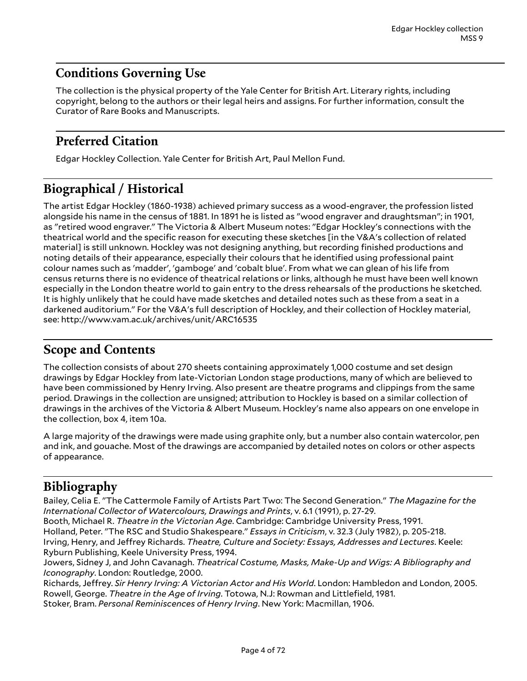#### <span id="page-3-0"></span>**Conditions Governing Use**

The collection is the physical property of the Yale Center for British Art. Literary rights, including copyright, belong to the authors or their legal heirs and assigns. For further information, consult the Curator of Rare Books and Manuscripts.

#### <span id="page-3-1"></span>**Preferred Citation**

Edgar Hockley Collection. Yale Center for British Art, Paul Mellon Fund.

### <span id="page-3-2"></span>**Biographical / Historical**

The artist Edgar Hockley (1860-1938) achieved primary success as a wood-engraver, the profession listed alongside his name in the census of 1881. In 1891 he is listed as "wood engraver and draughtsman"; in 1901, as "retired wood engraver." The Victoria & Albert Museum notes: "Edgar Hockley's connections with the theatrical world and the specific reason for executing these sketches [in the V&A's collection of related material] is still unknown. Hockley was not designing anything, but recording finished productions and noting details of their appearance, especially their colours that he identified using professional paint colour names such as 'madder', 'gamboge' and 'cobalt blue'. From what we can glean of his life from census returns there is no evidence of theatrical relations or links, although he must have been well known especially in the London theatre world to gain entry to the dress rehearsals of the productions he sketched. It is highly unlikely that he could have made sketches and detailed notes such as these from a seat in a darkened auditorium." For the V&A's full description of Hockley, and their collection of Hockley material, see: http://www.vam.ac.uk/archives/unit/ARC16535

#### <span id="page-3-3"></span>**Scope and Contents**

The collection consists of about 270 sheets containing approximately 1,000 costume and set design drawings by Edgar Hockley from late-Victorian London stage productions, many of which are believed to have been commissioned by Henry Irving. Also present are theatre programs and clippings from the same period. Drawings in the collection are unsigned; attribution to Hockley is based on a similar collection of drawings in the archives of the Victoria & Albert Museum. Hockley's name also appears on one envelope in the collection, box 4, item 10a.

A large majority of the drawings were made using graphite only, but a number also contain watercolor, pen and ink, and gouache. Most of the drawings are accompanied by detailed notes on colors or other aspects of appearance.

### <span id="page-3-4"></span>**Bibliography**

Bailey, Celia E. "The Cattermole Family of Artists Part Two: The Second Generation." *The Magazine for the International Collector of Watercolours, Drawings and Prints*, v. 6.1 (1991), p. 27-29.

Booth, Michael R. *Theatre in the Victorian Age*. Cambridge: Cambridge University Press, 1991.

Holland, Peter. "The RSC and Studio Shakespeare." *Essays in Criticism*, v. 32.3 (July 1982), p. 205-218.

Irving, Henry, and JeKrey Richards. *Theatre, Culture and Society: Essays, Addresses and Lectures*. Keele: Ryburn Publishing, Keele University Press, 1994.

Jowers, Sidney J, and John Cavanagh. *Theatrical Costume, Masks, Make-Up and Wigs: A Bibliography and Iconography*. London: Routledge, 2000.

Richards, JeKrey. *Sir Henry Irving: A Victorian Actor and His World*. London: Hambledon and London, 2005. Rowell, George. *Theatre in the Age of Irving*. Totowa, N.J: Rowman and Littlefield, 1981. Stoker, Bram. *Personal Reminiscences of Henry Irving*. New York: Macmillan, 1906.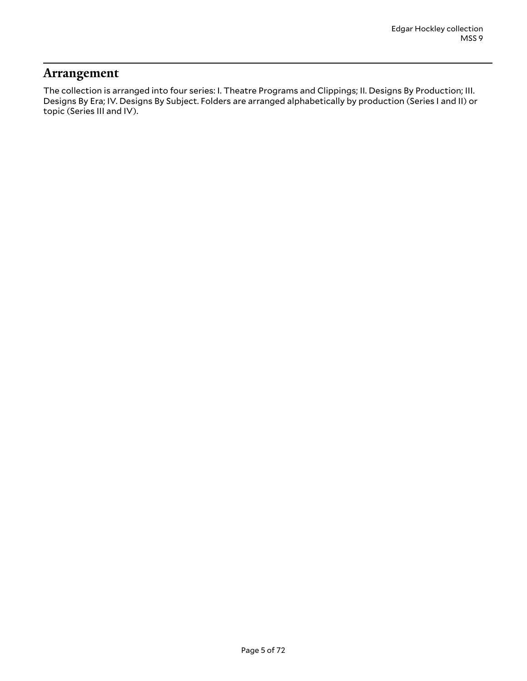#### <span id="page-4-0"></span>**Arrangement**

The collection is arranged into four series: I. Theatre Programs and Clippings; II. Designs By Production; III. Designs By Era; IV. Designs By Subject. Folders are arranged alphabetically by production (Series I and II) or topic (Series III and IV).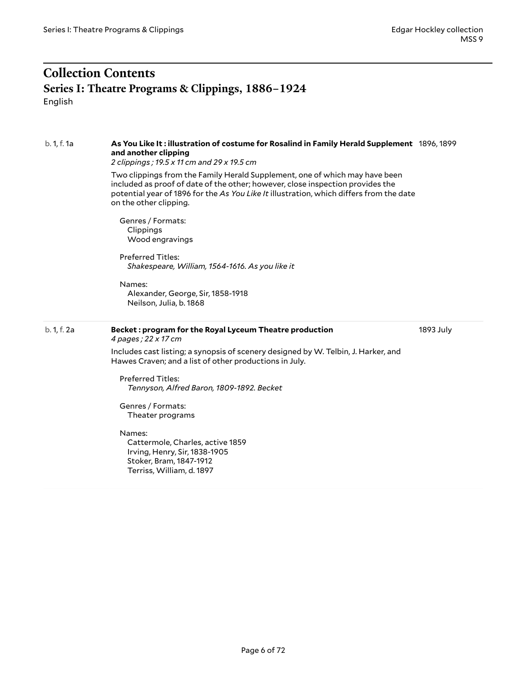#### <span id="page-5-1"></span><span id="page-5-0"></span>**Collection Contents Series I: Theatre Programs & Clippings, 1886–1924** English

| b. 1, f. 1a | As You Like It: illustration of costume for Rosalind in Family Herald Supplement 1896, 1899<br>and another clipping<br>2 clippings; 19.5 x 11 cm and 29 x 19.5 cm<br>Two clippings from the Family Herald Supplement, one of which may have been<br>included as proof of date of the other; however, close inspection provides the<br>potential year of 1896 for the As You Like It illustration, which differs from the date<br>on the other clipping.<br>Genres / Formats:<br>Clippings<br>Wood engravings<br><b>Preferred Titles:</b><br>Shakespeare, William, 1564-1616. As you like it<br>Names:<br>Alexander, George, Sir, 1858-1918<br>Neilson, Julia, b. 1868 |           |
|-------------|-----------------------------------------------------------------------------------------------------------------------------------------------------------------------------------------------------------------------------------------------------------------------------------------------------------------------------------------------------------------------------------------------------------------------------------------------------------------------------------------------------------------------------------------------------------------------------------------------------------------------------------------------------------------------|-----------|
| b. 1, f. 2a | Becket: program for the Royal Lyceum Theatre production<br>4 pages; 22 x 17 cm<br>Includes cast listing; a synopsis of scenery designed by W. Telbin, J. Harker, and<br>Hawes Craven; and a list of other productions in July.<br><b>Preferred Titles:</b><br>Tennyson, Alfred Baron, 1809-1892. Becket<br>Genres / Formats:<br>Theater programs<br>Names:<br>Cattermole, Charles, active 1859<br>Irving, Henry, Sir, 1838-1905<br>Stoker, Bram, 1847-1912<br>Terriss, William, d. 1897                                                                                                                                                                               | 1893 July |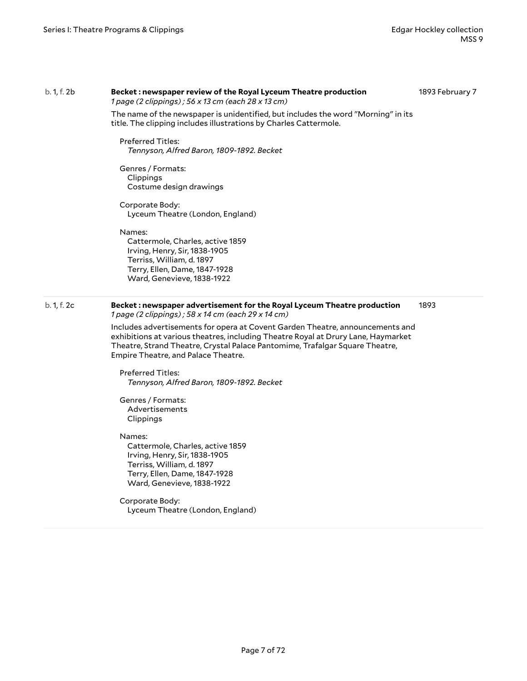#### b. 1, f. 2b **Becket : newspaper review of the Royal Lyceum Theatre production**

*1 page (2 clippings) ; 56 x 13 cm (each 28 x 13 cm)*

1893 February 7

The name of the newspaper is unidentified, but includes the word "Morning" in its title. The clipping includes illustrations by Charles Cattermole.

Preferred Titles: *Tennyson, Alfred Baron, 1809-1892. Becket*

Genres / Formats: Clippings Costume design drawings

Corporate Body: Lyceum Theatre (London, England)

Names:

Cattermole, Charles, active 1859 Irving, Henry, Sir, 1838-1905 Terriss, William, d. 1897 Terry, Ellen, Dame, 1847-1928 Ward, Genevieve, 1838-1922

#### b. 1, f. 2c **Becket : newspaper advertisement for the Royal Lyceum Theatre production** *1 page (2 clippings) ; 58 x 14 cm (each 29 x 14 cm)*

1893

Includes advertisements for opera at Covent Garden Theatre, announcements and exhibitions at various theatres, including Theatre Royal at Drury Lane, Haymarket Theatre, Strand Theatre, Crystal Palace Pantomime, Trafalgar Square Theatre, Empire Theatre, and Palace Theatre.

Preferred Titles: *Tennyson, Alfred Baron, 1809-1892. Becket*

Genres / Formats: Advertisements Clippings

Names:

Cattermole, Charles, active 1859 Irving, Henry, Sir, 1838-1905 Terriss, William, d. 1897 Terry, Ellen, Dame, 1847-1928 Ward, Genevieve, 1838-1922

Corporate Body: Lyceum Theatre (London, England)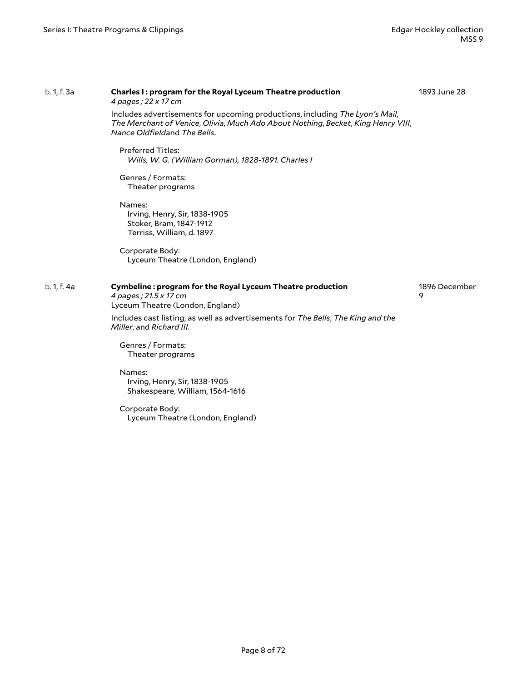#### b. 1, f. 3a **Charles I : program for the Royal Lyceum Theatre production** *4 pages ; 22 x 17 cm* Includes advertisements for upcoming productions, including *The Lyon's Mail*, *The Merchant of Venice*, *Olivia*, *Much Ado About Nothing*, *Becket*, *King Henry VIII*, *Nance Oldfield*and *The Bells*. Preferred Titles: *Wills, W. G. (William Gorman), 1828-1891. Charles I* Genres / Formats: Theater programs Names: Irving, Henry, Sir, 1838-1905 Stoker, Bram, 1847-1912 Terriss, William, d. 1897 Corporate Body: Lyceum Theatre (London, England) 1893 June 28 b. 1, f. 4a **Cymbeline : program for the Royal Lyceum Theatre production** *4 pages ; 21.5 x 17 cm* Lyceum Theatre (London, England) Includes cast listing, as well as advertisements for *The Bells*, *The King and the Miller*, and *Richard III*. Genres / Formats: Theater programs Names: Irving, Henry, Sir, 1838-1905 Shakespeare, William, 1564-1616 Corporate Body: Lyceum Theatre (London, England) 1896 December 9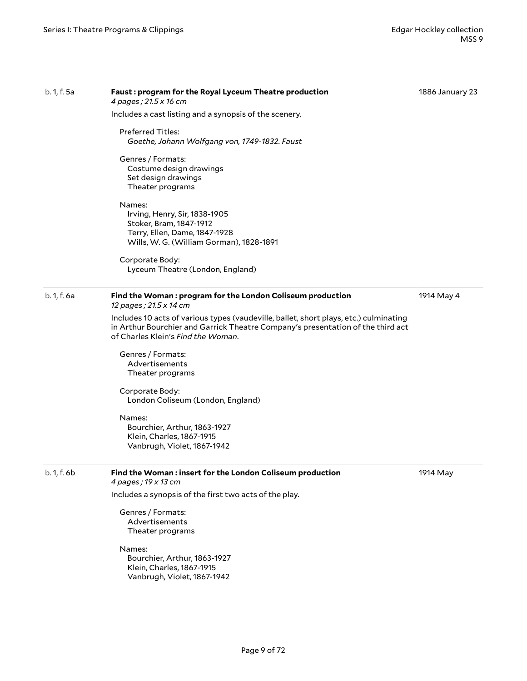| b. 1, f. 5a | Faust: program for the Royal Lyceum Theatre production<br>4 pages; 21.5 x 16 cm                                                                                                                                | 1886 January 23 |
|-------------|----------------------------------------------------------------------------------------------------------------------------------------------------------------------------------------------------------------|-----------------|
|             | Includes a cast listing and a synopsis of the scenery.                                                                                                                                                         |                 |
|             | <b>Preferred Titles:</b><br>Goethe, Johann Wolfgang von, 1749-1832. Faust                                                                                                                                      |                 |
|             | Genres / Formats:<br>Costume design drawings<br>Set design drawings<br>Theater programs                                                                                                                        |                 |
|             | Names:<br>Irving, Henry, Sir, 1838-1905<br>Stoker, Bram, 1847-1912<br>Terry, Ellen, Dame, 1847-1928<br>Wills, W. G. (William Gorman), 1828-1891                                                                |                 |
|             | Corporate Body:<br>Lyceum Theatre (London, England)                                                                                                                                                            |                 |
| b. 1, f. 6a | Find the Woman: program for the London Coliseum production<br>12 pages; 21.5 x 14 cm                                                                                                                           | 1914 May 4      |
|             | Includes 10 acts of various types (vaudeville, ballet, short plays, etc.) culminating<br>in Arthur Bourchier and Garrick Theatre Company's presentation of the third act<br>of Charles Klein's Find the Woman. |                 |
|             | Genres / Formats:<br>Advertisements<br>Theater programs                                                                                                                                                        |                 |
|             | Corporate Body:<br>London Coliseum (London, England)                                                                                                                                                           |                 |
|             | Names:<br>Bourchier, Arthur, 1863-1927<br>Klein, Charles, 1867-1915<br>Vanbrugh, Violet, 1867-1942                                                                                                             |                 |
| b. 1, f. 6b | Find the Woman: insert for the London Coliseum production<br>4 pages; 19 x 13 cm                                                                                                                               | 1914 May        |
|             | Includes a synopsis of the first two acts of the play.                                                                                                                                                         |                 |
|             | Genres / Formats:<br>Advertisements<br>Theater programs                                                                                                                                                        |                 |
|             | Names:<br>Bourchier, Arthur, 1863-1927<br>Klein, Charles, 1867-1915<br>Vanbrugh, Violet, 1867-1942                                                                                                             |                 |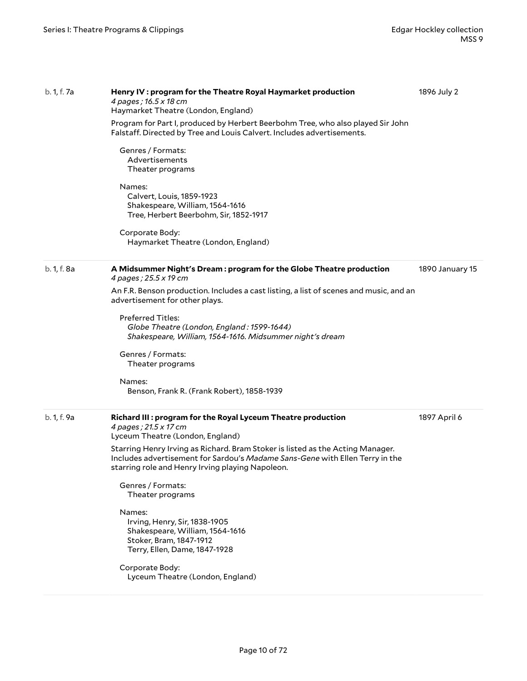| b. 1, f. 7a | Henry IV : program for the Theatre Royal Haymarket production<br>4 pages; 16.5 x 18 cm<br>Haymarket Theatre (London, England)                                                                                      | 1896 July 2     |
|-------------|--------------------------------------------------------------------------------------------------------------------------------------------------------------------------------------------------------------------|-----------------|
|             | Program for Part I, produced by Herbert Beerbohm Tree, who also played Sir John<br>Falstaff. Directed by Tree and Louis Calvert. Includes advertisements.                                                          |                 |
|             | Genres / Formats:<br>Advertisements<br>Theater programs                                                                                                                                                            |                 |
|             | Names:<br>Calvert, Louis, 1859-1923<br>Shakespeare, William, 1564-1616<br>Tree, Herbert Beerbohm, Sir, 1852-1917                                                                                                   |                 |
|             | Corporate Body:<br>Haymarket Theatre (London, England)                                                                                                                                                             |                 |
| b. 1, f. 8a | A Midsummer Night's Dream : program for the Globe Theatre production<br>4 pages; 25.5 x 19 cm                                                                                                                      | 1890 January 15 |
|             | An F.R. Benson production. Includes a cast listing, a list of scenes and music, and an<br>advertisement for other plays.                                                                                           |                 |
|             | <b>Preferred Titles:</b><br>Globe Theatre (London, England: 1599-1644)<br>Shakespeare, William, 1564-1616. Midsummer night's dream                                                                                 |                 |
|             | Genres / Formats:<br>Theater programs                                                                                                                                                                              |                 |
|             | Names:<br>Benson, Frank R. (Frank Robert), 1858-1939                                                                                                                                                               |                 |
| b. 1, f. 9a | Richard III : program for the Royal Lyceum Theatre production<br>4 pages; 21.5 x 17 cm<br>Lyceum Theatre (London, England)                                                                                         | 1897 April 6    |
|             | Starring Henry Irving as Richard. Bram Stoker is listed as the Acting Manager.<br>Includes advertisement for Sardou's Madame Sans-Gene with Ellen Terry in the<br>starring role and Henry Irving playing Napoleon. |                 |
|             | Genres / Formats:<br>Theater programs                                                                                                                                                                              |                 |
|             | Names:<br>Irving, Henry, Sir, 1838-1905<br>Shakespeare, William, 1564-1616<br>Stoker, Bram, 1847-1912<br>Terry, Ellen, Dame, 1847-1928                                                                             |                 |
|             | Corporate Body:<br>Lyceum Theatre (London, England)                                                                                                                                                                |                 |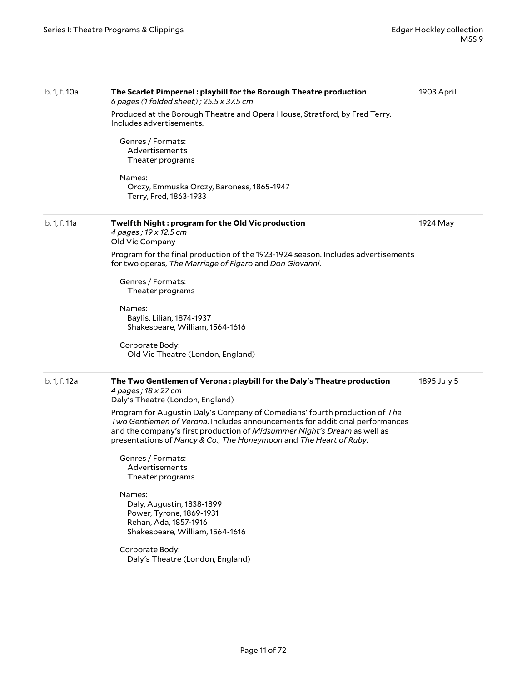| b. 1, f. 10a | The Scarlet Pimpernel: playbill for the Borough Theatre production<br>6 pages (1 folded sheet) ; 25.5 x 37.5 cm                                                                                                                                                                                             | 1903 April  |
|--------------|-------------------------------------------------------------------------------------------------------------------------------------------------------------------------------------------------------------------------------------------------------------------------------------------------------------|-------------|
|              | Produced at the Borough Theatre and Opera House, Stratford, by Fred Terry.<br>Includes advertisements.                                                                                                                                                                                                      |             |
|              | Genres / Formats:<br>Advertisements<br>Theater programs                                                                                                                                                                                                                                                     |             |
|              | Names:<br>Orczy, Emmuska Orczy, Baroness, 1865-1947<br>Terry, Fred, 1863-1933                                                                                                                                                                                                                               |             |
| b. 1, f. 11a | Twelfth Night: program for the Old Vic production<br>4 pages; 19 x 12.5 cm<br>Old Vic Company                                                                                                                                                                                                               | 1924 May    |
|              | Program for the final production of the 1923-1924 season. Includes advertisements<br>for two operas, The Marriage of Figaro and Don Giovanni.                                                                                                                                                               |             |
|              | Genres / Formats:<br>Theater programs                                                                                                                                                                                                                                                                       |             |
|              | Names:<br>Baylis, Lilian, 1874-1937<br>Shakespeare, William, 1564-1616                                                                                                                                                                                                                                      |             |
|              | Corporate Body:<br>Old Vic Theatre (London, England)                                                                                                                                                                                                                                                        |             |
| b. 1, f. 12a | The Two Gentlemen of Verona: playbill for the Daly's Theatre production<br>4 pages; 18 x 27 cm<br>Daly's Theatre (London, England)                                                                                                                                                                          | 1895 July 5 |
|              | Program for Augustin Daly's Company of Comedians' fourth production of The<br>Two Gentlemen of Verona. Includes announcements for additional performances<br>and the company's first production of Midsummer Night's Dream as well as<br>presentations of Nancy & Co., The Honeymoon and The Heart of Ruby. |             |
|              | Genres / Formats:<br>Advertisements<br>Theater programs                                                                                                                                                                                                                                                     |             |
|              | Names:<br>Daly, Augustin, 1838-1899<br>Power, Tyrone, 1869-1931<br>Rehan, Ada, 1857-1916<br>Shakespeare, William, 1564-1616                                                                                                                                                                                 |             |
|              | Corporate Body:<br>Daly's Theatre (London, England)                                                                                                                                                                                                                                                         |             |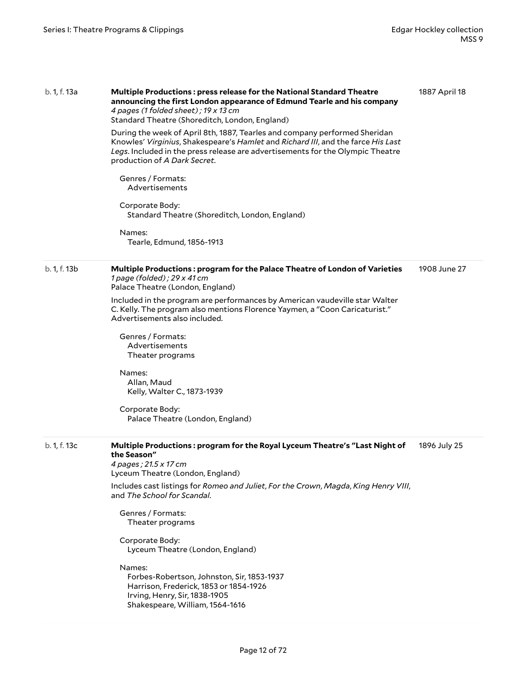| b. 1, f. 13a | Multiple Productions: press release for the National Standard Theatre<br>announcing the first London appearance of Edmund Tearle and his company<br>4 pages (1 folded sheet); 19 x 13 cm<br>Standard Theatre (Shoreditch, London, England)<br>During the week of April 8th, 1887, Tearles and company performed Sheridan<br>Knowles' Virginius, Shakespeare's Hamlet and Richard III, and the farce His Last<br>Legs. Included in the press release are advertisements for the Olympic Theatre<br>production of A Dark Secret.<br>Genres / Formats:<br>Advertisements<br>Corporate Body:<br>Standard Theatre (Shoreditch, London, England)<br>Names:<br>Tearle, Edmund, 1856-1913 | 1887 April 18 |
|--------------|-----------------------------------------------------------------------------------------------------------------------------------------------------------------------------------------------------------------------------------------------------------------------------------------------------------------------------------------------------------------------------------------------------------------------------------------------------------------------------------------------------------------------------------------------------------------------------------------------------------------------------------------------------------------------------------|---------------|
| b. 1, f. 13b | Multiple Productions: program for the Palace Theatre of London of Varieties<br>1 page (folded); $29 \times 41$ cm<br>Palace Theatre (London, England)<br>Included in the program are performances by American vaudeville star Walter<br>C. Kelly. The program also mentions Florence Yaymen, a "Coon Caricaturist."<br>Advertisements also included.<br>Genres / Formats:<br>Advertisements<br>Theater programs<br>Names:<br>Allan, Maud<br>Kelly, Walter C., 1873-1939<br>Corporate Body:<br>Palace Theatre (London, England)                                                                                                                                                    | 1908 June 27  |
| b. 1, f. 13c | Multiple Productions: program for the Royal Lyceum Theatre's "Last Night of<br>the Season"<br>4 pages; 21.5 x 17 cm<br>Lyceum Theatre (London, England)<br>Includes cast listings for Romeo and Juliet, For the Crown, Magda, King Henry VIII,<br>and The School for Scandal.<br>Genres / Formats:<br>Theater programs<br>Corporate Body:<br>Lyceum Theatre (London, England)<br>Names:<br>Forbes-Robertson, Johnston, Sir, 1853-1937<br>Harrison, Frederick, 1853 or 1854-1926<br>Irving, Henry, Sir, 1838-1905<br>Shakespeare, William, 1564-1616                                                                                                                               | 1896 July 25  |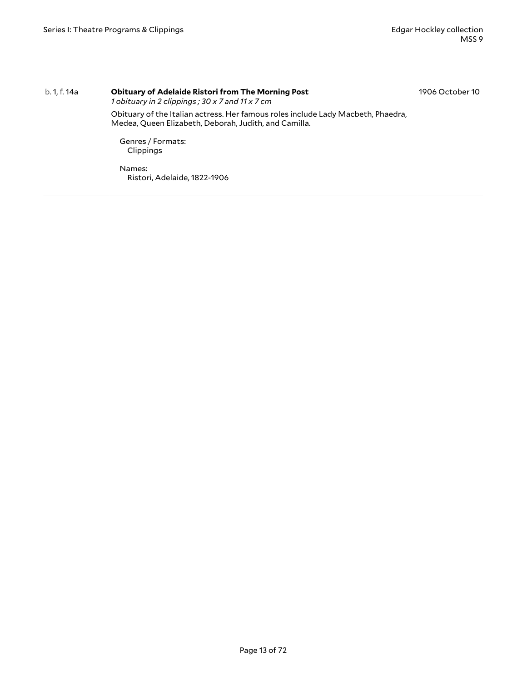#### b. 1, f. 14a **Obituary of Adelaide Ristori from The Morning Post**

1906 October 10

*1 obituary in 2 clippings ; 30 x 7 and 11 x 7 cm*

Obituary of the Italian actress. Her famous roles include Lady Macbeth, Phaedra, Medea, Queen Elizabeth, Deborah, Judith, and Camilla.

Genres / Formats: Clippings

Names: Ristori, Adelaide, 1822-1906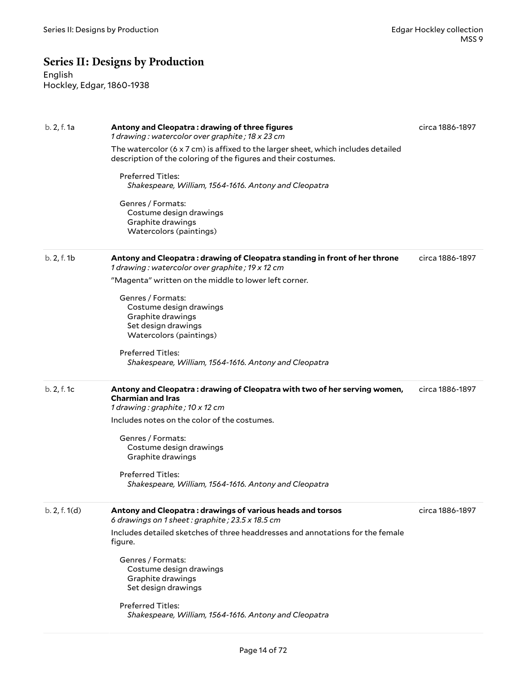### <span id="page-13-0"></span>**Series II: Designs by Production**

English Hockley, Edgar, 1860-1938

| b. 2, f. 1a   | Antony and Cleopatra: drawing of three figures<br>1 drawing: watercolor over graphite; 18 x 23 cm                                                                  | circa 1886-1897 |
|---------------|--------------------------------------------------------------------------------------------------------------------------------------------------------------------|-----------------|
|               | The watercolor $(6 \times 7 \text{ cm})$ is affixed to the larger sheet, which includes detailed<br>description of the coloring of the figures and their costumes. |                 |
|               | <b>Preferred Titles:</b><br>Shakespeare, William, 1564-1616. Antony and Cleopatra                                                                                  |                 |
|               | Genres / Formats:<br>Costume design drawings<br>Graphite drawings<br>Watercolors (paintings)                                                                       |                 |
| b. 2, f. 1b   | Antony and Cleopatra : drawing of Cleopatra standing in front of her throne<br>1 drawing: watercolor over graphite; 19 x 12 cm                                     | circa 1886-1897 |
|               | "Magenta" written on the middle to lower left corner.                                                                                                              |                 |
|               | Genres / Formats:<br>Costume design drawings<br>Graphite drawings<br>Set design drawings<br>Watercolors (paintings)                                                |                 |
|               | Preferred Titles:<br>Shakespeare, William, 1564-1616. Antony and Cleopatra                                                                                         |                 |
| b. 2, f. 1c   | Antony and Cleopatra: drawing of Cleopatra with two of her serving women,<br><b>Charmian and Iras</b><br>1 drawing: graphite; 10 x 12 cm                           | circa 1886-1897 |
|               | Includes notes on the color of the costumes.                                                                                                                       |                 |
|               | Genres / Formats:<br>Costume design drawings<br>Graphite drawings                                                                                                  |                 |
|               | <b>Preferred Titles:</b><br>Shakespeare, William, 1564-1616. Antony and Cleopatra                                                                                  |                 |
| b. 2, f. 1(d) | Antony and Cleopatra: drawings of various heads and torsos<br>6 drawings on 1 sheet: graphite; 23.5 x 18.5 cm                                                      | circa 1886-1897 |
|               | Includes detailed sketches of three headdresses and annotations for the female<br>figure.                                                                          |                 |
|               | Genres / Formats:<br>Costume design drawings<br>Graphite drawings<br>Set design drawings                                                                           |                 |
|               | Preferred Titles:<br>Shakespeare, William, 1564-1616. Antony and Cleopatra                                                                                         |                 |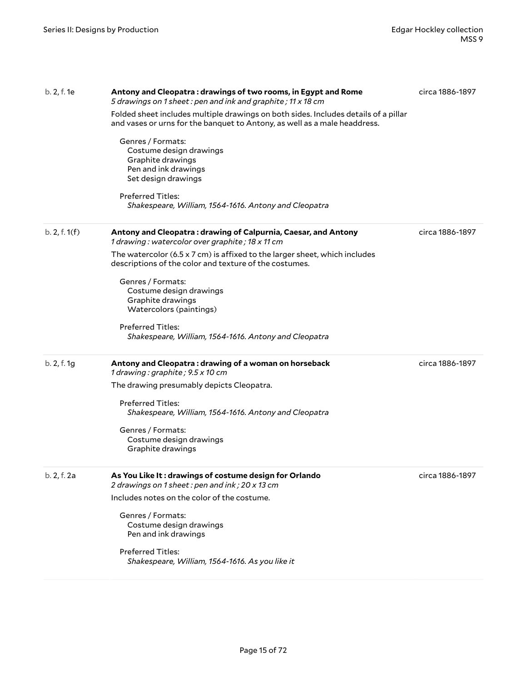| b. 2, f. 1e   | Antony and Cleopatra : drawings of two rooms, in Egypt and Rome<br>5 drawings on 1 sheet: pen and ink and graphite; 11 x 18 cm                                   | circa 1886-1897 |
|---------------|------------------------------------------------------------------------------------------------------------------------------------------------------------------|-----------------|
|               | Folded sheet includes multiple drawings on both sides. Includes details of a pillar<br>and vases or urns for the banquet to Antony, as well as a male headdress. |                 |
|               | Genres / Formats:<br>Costume design drawings<br>Graphite drawings<br>Pen and ink drawings<br>Set design drawings                                                 |                 |
|               | <b>Preferred Titles:</b><br>Shakespeare, William, 1564-1616. Antony and Cleopatra                                                                                |                 |
| b. 2, f. 1(f) | Antony and Cleopatra: drawing of Calpurnia, Caesar, and Antony<br>1 drawing: watercolor over graphite; 18 x 11 cm                                                | circa 1886-1897 |
|               | The watercolor (6.5 x 7 cm) is affixed to the larger sheet, which includes<br>descriptions of the color and texture of the costumes.                             |                 |
|               | Genres / Formats:<br>Costume design drawings<br>Graphite drawings<br>Watercolors (paintings)                                                                     |                 |
|               | <b>Preferred Titles:</b><br>Shakespeare, William, 1564-1616. Antony and Cleopatra                                                                                |                 |
| b. 2, f. 1g   | Antony and Cleopatra: drawing of a woman on horseback<br>1 drawing: graphite; 9.5 x 10 cm                                                                        | circa 1886-1897 |
|               | The drawing presumably depicts Cleopatra.                                                                                                                        |                 |
|               | <b>Preferred Titles:</b><br>Shakespeare, William, 1564-1616. Antony and Cleopatra                                                                                |                 |
|               | Genres / Formats:<br>Costume design drawings<br>Graphite drawings                                                                                                |                 |
| b. 2, f. 2a   | As You Like It: drawings of costume design for Orlando<br>2 drawings on 1 sheet: pen and ink; 20 x 13 cm                                                         | circa 1886-1897 |
|               | Includes notes on the color of the costume.                                                                                                                      |                 |
|               | Genres / Formats:<br>Costume design drawings<br>Pen and ink drawings                                                                                             |                 |
|               | <b>Preferred Titles:</b><br>Shakespeare, William, 1564-1616. As you like it                                                                                      |                 |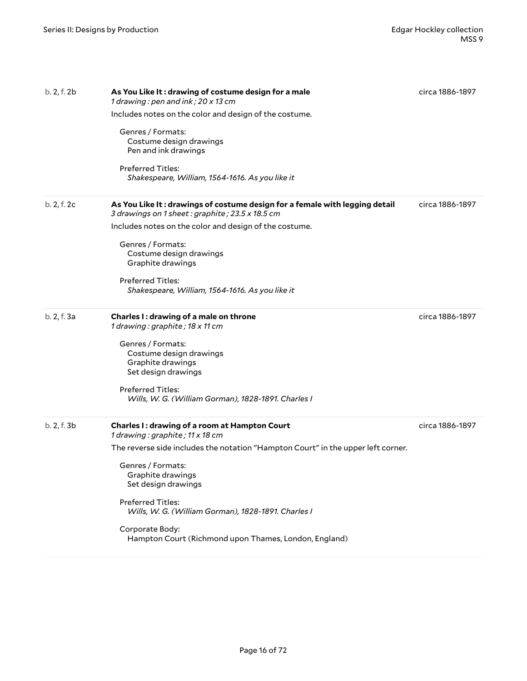| b. 2, f. 2b | As You Like It: drawing of costume design for a male<br>1 drawing: pen and ink; 20 x 13 cm                                     | circa 1886-1897 |
|-------------|--------------------------------------------------------------------------------------------------------------------------------|-----------------|
|             | Includes notes on the color and design of the costume.                                                                         |                 |
|             | Genres / Formats:<br>Costume design drawings<br>Pen and ink drawings                                                           |                 |
|             | Preferred Titles:<br>Shakespeare, William, 1564-1616. As you like it                                                           |                 |
| b. 2, f. 2c | As You Like It: drawings of costume design for a female with legging detail<br>3 drawings on 1 sheet: graphite; 23.5 x 18.5 cm | circa 1886-1897 |
|             | Includes notes on the color and design of the costume.                                                                         |                 |
|             | Genres / Formats:<br>Costume design drawings<br>Graphite drawings                                                              |                 |
|             | <b>Preferred Titles:</b><br>Shakespeare, William, 1564-1616. As you like it                                                    |                 |
| b. 2, f. 3a | Charles I: drawing of a male on throne<br>1 drawing: graphite; 18 x 11 cm                                                      | circa 1886-1897 |
|             | Genres / Formats:<br>Costume design drawings<br>Graphite drawings<br>Set design drawings                                       |                 |
|             | <b>Preferred Titles:</b><br>Wills, W. G. (William Gorman), 1828-1891. Charles I                                                |                 |
| b. 2, f. 3b | Charles I: drawing of a room at Hampton Court<br>1 drawing: graphite; 11 x 18 cm                                               | circa 1886-1897 |
|             | The reverse side includes the notation "Hampton Court" in the upper left corner.                                               |                 |
|             | Genres / Formats:<br>Graphite drawings<br>Set design drawings                                                                  |                 |
|             | <b>Preferred Titles:</b><br>Wills, W. G. (William Gorman), 1828-1891. Charles I                                                |                 |
|             | Corporate Body:<br>Hampton Court (Richmond upon Thames, London, England)                                                       |                 |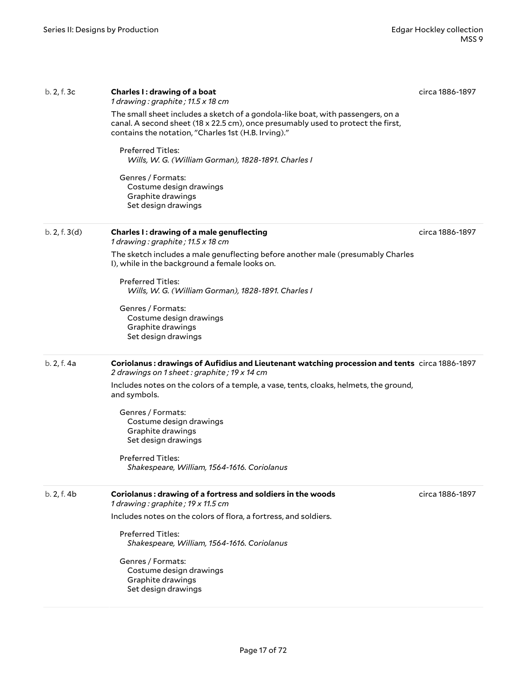| b. 2, f. 3c   | Charles I: drawing of a boat<br>1 drawing : graphite ; $11.5 \times 18$ cm<br>The small sheet includes a sketch of a gondola-like boat, with passengers, on a<br>canal. A second sheet (18 x 22.5 cm), once presumably used to protect the first, | circa 1886-1897 |
|---------------|---------------------------------------------------------------------------------------------------------------------------------------------------------------------------------------------------------------------------------------------------|-----------------|
|               | contains the notation, "Charles 1st (H.B. Irving)."<br><b>Preferred Titles:</b>                                                                                                                                                                   |                 |
|               | Wills, W. G. (William Gorman), 1828-1891. Charles I                                                                                                                                                                                               |                 |
|               | Genres / Formats:<br>Costume design drawings<br>Graphite drawings<br>Set design drawings                                                                                                                                                          |                 |
| b. 2, f. 3(d) | Charles I: drawing of a male genuflecting<br>1 drawing: graphite; 11.5 x 18 cm                                                                                                                                                                    | circa 1886-1897 |
|               | The sketch includes a male genuflecting before another male (presumably Charles<br>I), while in the background a female looks on.                                                                                                                 |                 |
|               | <b>Preferred Titles:</b><br>Wills, W. G. (William Gorman), 1828-1891. Charles I                                                                                                                                                                   |                 |
|               | Genres / Formats:<br>Costume design drawings<br>Graphite drawings<br>Set design drawings                                                                                                                                                          |                 |
| b. 2, f. 4a   | Coriolanus: drawings of Aufidius and Lieutenant watching procession and tents circa 1886-1897<br>2 drawings on 1 sheet: graphite; 19 x 14 cm                                                                                                      |                 |
|               | Includes notes on the colors of a temple, a vase, tents, cloaks, helmets, the ground,<br>and symbols.                                                                                                                                             |                 |
|               | Genres / Formats:<br>Costume design drawings<br>Graphite drawings<br>Set design drawings                                                                                                                                                          |                 |
|               | <b>Preferred Titles:</b><br>Shakespeare, William, 1564-1616. Coriolanus                                                                                                                                                                           |                 |
| b. 2, f. 4b   | Coriolanus: drawing of a fortress and soldiers in the woods<br>1 drawing: graphite; 19 x 11.5 cm                                                                                                                                                  | circa 1886-1897 |
|               | Includes notes on the colors of flora, a fortress, and soldiers.                                                                                                                                                                                  |                 |
|               | <b>Preferred Titles:</b><br>Shakespeare, William, 1564-1616. Coriolanus                                                                                                                                                                           |                 |
|               | Genres / Formats:<br>Costume design drawings<br>Graphite drawings<br>Set design drawings                                                                                                                                                          |                 |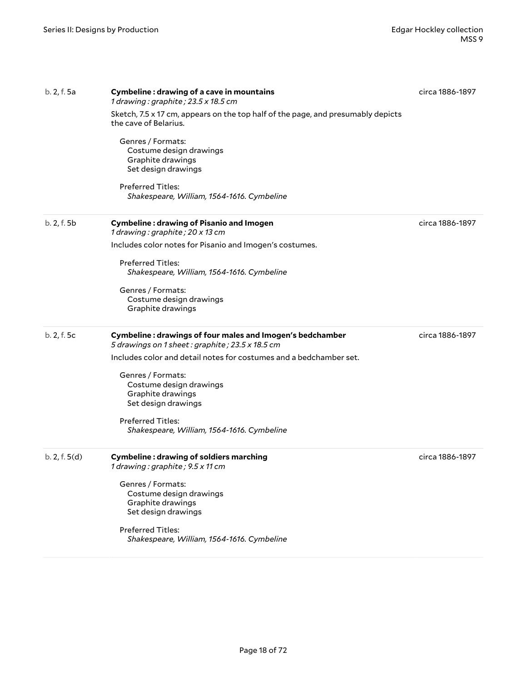| b. 2, f. 5a   | Cymbeline: drawing of a cave in mountains<br>1 drawing: graphite; 23.5 x 18.5 cm                             | circa 1886-1897 |
|---------------|--------------------------------------------------------------------------------------------------------------|-----------------|
|               | Sketch, 7.5 x 17 cm, appears on the top half of the page, and presumably depicts<br>the cave of Belarius.    |                 |
|               | Genres / Formats:<br>Costume design drawings<br>Graphite drawings<br>Set design drawings                     |                 |
|               | <b>Preferred Titles:</b><br>Shakespeare, William, 1564-1616. Cymbeline                                       |                 |
| b. 2, f. 5b   | <b>Cymbeline: drawing of Pisanio and Imogen</b><br>1 drawing: graphite; 20 x 13 cm                           | circa 1886-1897 |
|               | Includes color notes for Pisanio and Imogen's costumes.                                                      |                 |
|               | Preferred Titles:<br>Shakespeare, William, 1564-1616. Cymbeline                                              |                 |
|               | Genres / Formats:                                                                                            |                 |
|               | Costume design drawings<br>Graphite drawings                                                                 |                 |
| b. 2, f. 5c   | Cymbeline: drawings of four males and Imogen's bedchamber<br>5 drawings on 1 sheet: graphite; 23.5 x 18.5 cm | circa 1886-1897 |
|               | Includes color and detail notes for costumes and a bedchamber set.                                           |                 |
|               | Genres / Formats:<br>Costume design drawings<br>Graphite drawings                                            |                 |
|               | Set design drawings                                                                                          |                 |
|               | Preferred Titles:<br>Shakespeare, William, 1564-1616. Cymbeline                                              |                 |
| b. 2, f. 5(d) | <b>Cymbeline: drawing of soldiers marching</b><br>1 drawing: graphite; 9.5 x 11 cm                           | circa 1886-1897 |
|               | Genres / Formats:<br>Costume design drawings                                                                 |                 |
|               | Graphite drawings<br>Set design drawings                                                                     |                 |
|               | Preferred Titles:<br>Shakespeare, William, 1564-1616. Cymbeline                                              |                 |
|               |                                                                                                              |                 |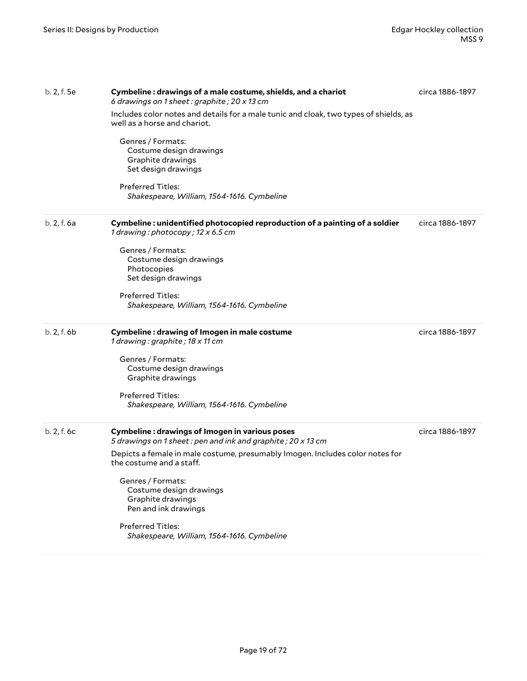| b. 2, f. 5e | Cymbeline: drawings of a male costume, shields, and a chariot<br>6 drawings on 1 sheet: graphite; 20 x 13 cm          | circa 1886-1897 |
|-------------|-----------------------------------------------------------------------------------------------------------------------|-----------------|
|             | Includes color notes and details for a male tunic and cloak, two types of shields, as<br>well as a horse and chariot. |                 |
|             | Genres / Formats:<br>Costume design drawings<br>Graphite drawings<br>Set design drawings                              |                 |
|             | <b>Preferred Titles:</b><br>Shakespeare, William, 1564-1616. Cymbeline                                                |                 |
| b. 2, f. 6a | Cymbeline: unidentified photocopied reproduction of a painting of a soldier<br>1 drawing: photocopy; 12 x 6.5 cm      | circa 1886-1897 |
|             | Genres / Formats:                                                                                                     |                 |
|             | Costume design drawings<br>Photocopies                                                                                |                 |
|             | Set design drawings                                                                                                   |                 |
|             | <b>Preferred Titles:</b>                                                                                              |                 |
|             | Shakespeare, William, 1564-1616. Cymbeline                                                                            |                 |
|             |                                                                                                                       |                 |
| b. 2, f. 6b | Cymbeline: drawing of Imogen in male costume<br>1 drawing: graphite; 18 x 11 cm                                       | circa 1886-1897 |
|             | Genres / Formats:                                                                                                     |                 |
|             | Costume design drawings                                                                                               |                 |
|             | Graphite drawings                                                                                                     |                 |
|             | <b>Preferred Titles:</b>                                                                                              |                 |
|             | Shakespeare, William, 1564-1616. Cymbeline                                                                            |                 |
| b. 2, f. 6c | <b>Cymbeline: drawings of Imogen in various poses</b><br>5 drawings on 1 sheet: pen and ink and graphite; 20 x 13 cm  | circa 1886-1897 |
|             | Depicts a female in male costume, presumably Imogen. Includes color notes for<br>the costume and a staff.             |                 |
|             | Genres / Formats:<br>Costume design drawings<br>Graphite drawings<br>Pen and ink drawings                             |                 |
|             | Preferred Titles:<br>Shakespeare, William, 1564-1616. Cymbeline                                                       |                 |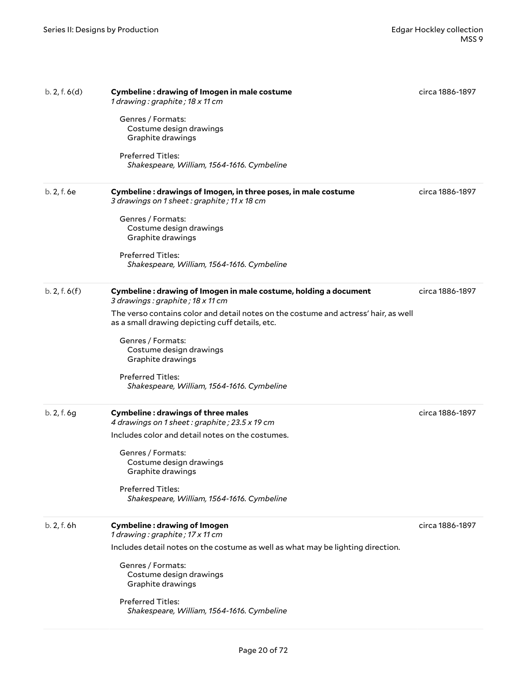| b. 2, f. 6(d) | Cymbeline: drawing of Imogen in male costume<br>1 drawing: graphite; 18 x 11 cm<br>Genres / Formats:<br>Costume design drawings<br>Graphite drawings | circa 1886-1897 |
|---------------|------------------------------------------------------------------------------------------------------------------------------------------------------|-----------------|
|               | Preferred Titles:<br>Shakespeare, William, 1564-1616. Cymbeline                                                                                      |                 |
| b. 2, f. 6e   | Cymbeline: drawings of Imogen, in three poses, in male costume<br>3 drawings on 1 sheet: graphite; 11 x 18 cm<br>Genres / Formats:                   | circa 1886-1897 |
|               | Costume design drawings<br>Graphite drawings                                                                                                         |                 |
|               | <b>Preferred Titles:</b><br>Shakespeare, William, 1564-1616. Cymbeline                                                                               |                 |
| b. 2, f. 6(f) | Cymbeline: drawing of Imogen in male costume, holding a document<br>3 drawings: graphite; 18 x 11 cm                                                 | circa 1886-1897 |
|               | The verso contains color and detail notes on the costume and actress' hair, as well<br>as a small drawing depicting cuff details, etc.               |                 |
|               | Genres / Formats:<br>Costume design drawings<br>Graphite drawings                                                                                    |                 |
|               | <b>Preferred Titles:</b><br>Shakespeare, William, 1564-1616. Cymbeline                                                                               |                 |
| b. 2, f. 6g   | <b>Cymbeline: drawings of three males</b><br>4 drawings on 1 sheet: graphite; 23.5 x 19 cm                                                           | circa 1886-1897 |
|               | Includes color and detail notes on the costumes.                                                                                                     |                 |
|               | Genres / Formats:<br>Costume design drawings<br>Graphite drawings                                                                                    |                 |
|               | <b>Preferred Titles:</b><br>Shakespeare, William, 1564-1616. Cymbeline                                                                               |                 |
| b. 2, f. 6h   | <b>Cymbeline: drawing of Imogen</b><br>1 drawing: graphite; 17 x 11 cm                                                                               | circa 1886-1897 |
|               | Includes detail notes on the costume as well as what may be lighting direction.                                                                      |                 |
|               | Genres / Formats:<br>Costume design drawings<br>Graphite drawings                                                                                    |                 |
|               | <b>Preferred Titles:</b><br>Shakespeare, William, 1564-1616. Cymbeline                                                                               |                 |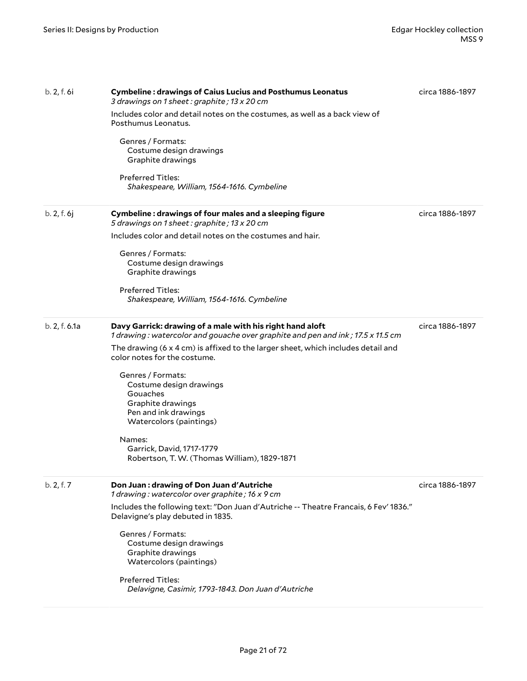| b. 2, f. 6i   | <b>Cymbeline: drawings of Caius Lucius and Posthumus Leonatus</b><br>3 drawings on 1 sheet: graphite; 13 x 20 cm<br>Includes color and detail notes on the costumes, as well as a back view of<br>Posthumus Leonatus.<br>Genres / Formats:<br>Costume design drawings<br>Graphite drawings<br><b>Preferred Titles:</b><br>Shakespeare, William, 1564-1616. Cymbeline                                                                                                                          | circa 1886-1897 |
|---------------|-----------------------------------------------------------------------------------------------------------------------------------------------------------------------------------------------------------------------------------------------------------------------------------------------------------------------------------------------------------------------------------------------------------------------------------------------------------------------------------------------|-----------------|
| b. 2, f. 6j   | Cymbeline: drawings of four males and a sleeping figure<br>5 drawings on 1 sheet: graphite; 13 x 20 cm<br>Includes color and detail notes on the costumes and hair.<br>Genres / Formats:<br>Costume design drawings<br>Graphite drawings<br><b>Preferred Titles:</b><br>Shakespeare, William, 1564-1616. Cymbeline                                                                                                                                                                            | circa 1886-1897 |
| b. 2, f. 6.1a | Davy Garrick: drawing of a male with his right hand aloft<br>1 drawing : watercolor and gouache over graphite and pen and ink ; 17.5 x 11.5 cm<br>The drawing (6 x 4 cm) is affixed to the larger sheet, which includes detail and<br>color notes for the costume.<br>Genres / Formats:<br>Costume design drawings<br>Gouaches<br>Graphite drawings<br>Pen and ink drawings<br>Watercolors (paintings)<br>Names:<br>Garrick, David, 1717-1779<br>Robertson, T. W. (Thomas William), 1829-1871 | circa 1886-1897 |
| b. 2, f. 7    | Don Juan: drawing of Don Juan d'Autriche<br>1 drawing: watercolor over graphite; 16 x 9 cm<br>Includes the following text: "Don Juan d'Autriche -- Theatre Francais, 6 Fev' 1836."<br>Delavigne's play debuted in 1835.<br>Genres / Formats:<br>Costume design drawings<br>Graphite drawings<br>Watercolors (paintings)<br>Preferred Titles:<br>Delavigne, Casimir, 1793-1843. Don Juan d'Autriche                                                                                            | circa 1886-1897 |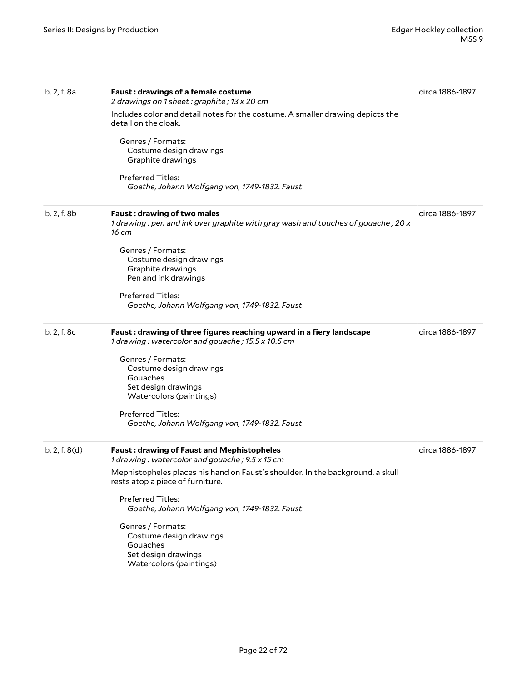| b. 2, f. 8a   | <b>Faust: drawings of a female costume</b><br>2 drawings on 1 sheet: graphite; 13 x 20 cm                                                | circa 1886-1897 |
|---------------|------------------------------------------------------------------------------------------------------------------------------------------|-----------------|
|               | Includes color and detail notes for the costume. A smaller drawing depicts the<br>detail on the cloak.                                   |                 |
|               | Genres / Formats:<br>Costume design drawings<br>Graphite drawings                                                                        |                 |
|               | Preferred Titles:<br>Goethe, Johann Wolfgang von, 1749-1832. Faust                                                                       |                 |
| b. 2, f. 8b   | <b>Faust: drawing of two males</b><br>1 drawing : pen and ink over graphite with gray wash and touches of gouache ; 20 $\times$<br>16 cm | circa 1886-1897 |
|               | Genres / Formats:<br>Costume design drawings<br>Graphite drawings<br>Pen and ink drawings                                                |                 |
|               | Preferred Titles:<br>Goethe, Johann Wolfgang von, 1749-1832. Faust                                                                       |                 |
| b. 2, f. 8c   | Faust: drawing of three figures reaching upward in a fiery landscape<br>1 drawing: watercolor and gouache; 15.5 x 10.5 cm                | circa 1886-1897 |
|               | Genres / Formats:<br>Costume design drawings<br>Gouaches<br>Set design drawings<br>Watercolors (paintings)                               |                 |
|               | Preferred Titles:<br>Goethe, Johann Wolfgang von, 1749-1832. Faust                                                                       |                 |
| b. 2, f. 8(d) | <b>Faust: drawing of Faust and Mephistopheles</b><br>1 drawing: watercolor and gouache; 9.5 x 15 cm                                      | circa 1886-1897 |
|               | Mephistopheles places his hand on Faust's shoulder. In the background, a skull<br>rests atop a piece of furniture.                       |                 |
|               | Preferred Titles:<br>Goethe, Johann Wolfgang von, 1749-1832. Faust                                                                       |                 |
|               | Genres / Formats:<br>Costume design drawings<br>Gouaches<br>Set design drawings<br>Watercolors (paintings)                               |                 |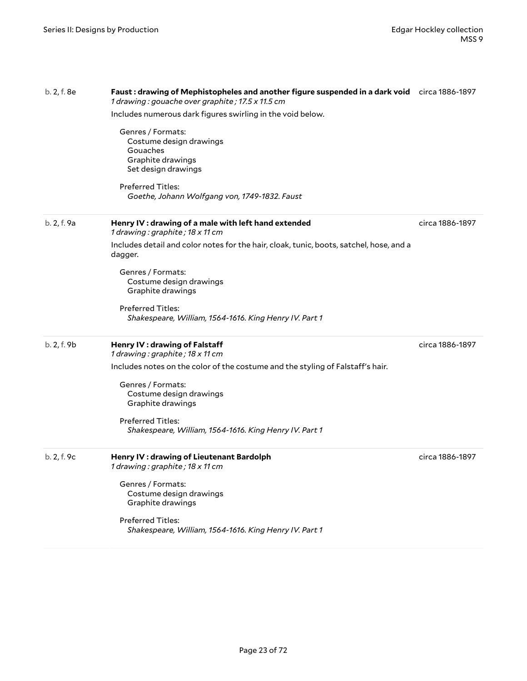| b. 2, f. 8e | Faust: drawing of Mephistopheles and another figure suspended in a dark void circa 1886-1897<br>1 drawing: gouache over graphite; 17.5 x 11.5 cm<br>Includes numerous dark figures swirling in the void below.<br>Genres / Formats:<br>Costume design drawings<br>Gouaches<br>Graphite drawings<br>Set design drawings<br><b>Preferred Titles:</b><br>Goethe, Johann Wolfgang von, 1749-1832. Faust |                 |
|-------------|-----------------------------------------------------------------------------------------------------------------------------------------------------------------------------------------------------------------------------------------------------------------------------------------------------------------------------------------------------------------------------------------------------|-----------------|
| b. 2, f. 9a | Henry IV : drawing of a male with left hand extended<br>1 drawing: graphite; 18 x 11 cm<br>Includes detail and color notes for the hair, cloak, tunic, boots, satchel, hose, and a<br>dagger.<br>Genres / Formats:<br>Costume design drawings<br>Graphite drawings<br>Preferred Titles:<br>Shakespeare, William, 1564-1616. King Henry IV. Part 1                                                   | circa 1886-1897 |
| b. 2, f. 9b | Henry IV : drawing of Falstaff<br>1 drawing: graphite; 18 x 11 cm<br>Includes notes on the color of the costume and the styling of Falstaff's hair.<br>Genres / Formats:<br>Costume design drawings<br>Graphite drawings<br><b>Preferred Titles:</b><br>Shakespeare, William, 1564-1616. King Henry IV. Part 1                                                                                      | circa 1886-1897 |
| b. 2, f. 9c | Henry IV: drawing of Lieutenant Bardolph<br>1 drawing: graphite; 18 x 11 cm<br>Genres / Formats:<br>Costume design drawings<br>Graphite drawings<br><b>Preferred Titles:</b><br>Shakespeare, William, 1564-1616. King Henry IV. Part 1                                                                                                                                                              | circa 1886-1897 |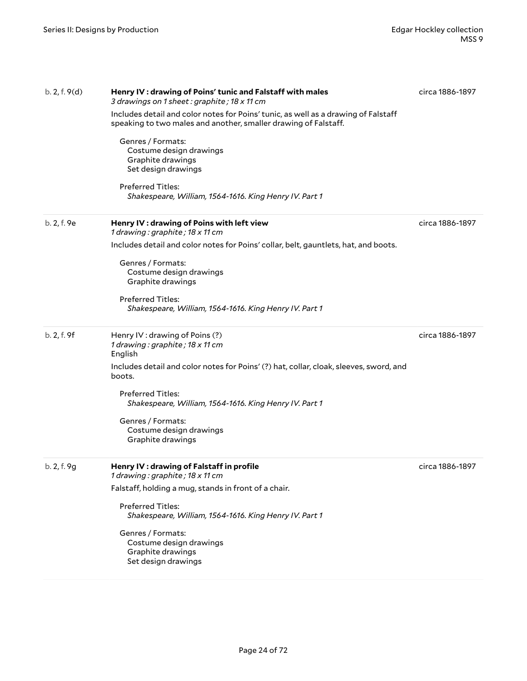| b. 2, f. 9(d) | Henry IV : drawing of Poins' tunic and Falstaff with males<br>3 drawings on 1 sheet: graphite; 18 x 11 cm                                             | circa 1886-1897 |
|---------------|-------------------------------------------------------------------------------------------------------------------------------------------------------|-----------------|
|               | Includes detail and color notes for Poins' tunic, as well as a drawing of Falstaff<br>speaking to two males and another, smaller drawing of Falstaff. |                 |
|               | Genres / Formats:<br>Costume design drawings<br>Graphite drawings<br>Set design drawings                                                              |                 |
|               | <b>Preferred Titles:</b><br>Shakespeare, William, 1564-1616. King Henry IV. Part 1                                                                    |                 |
| b. 2, f. 9e   | Henry IV : drawing of Poins with left view<br>1 drawing: graphite; 18 x 11 cm                                                                         | circa 1886-1897 |
|               | Includes detail and color notes for Poins' collar, belt, gauntlets, hat, and boots.                                                                   |                 |
|               | Genres / Formats:<br>Costume design drawings<br>Graphite drawings                                                                                     |                 |
|               | <b>Preferred Titles:</b><br>Shakespeare, William, 1564-1616. King Henry IV. Part 1                                                                    |                 |
| b. 2, f. 9f   | Henry IV: drawing of Poins (?)<br>1 drawing: graphite; 18 x 11 cm<br>English                                                                          | circa 1886-1897 |
|               | Includes detail and color notes for Poins' (?) hat, collar, cloak, sleeves, sword, and<br>boots.                                                      |                 |
|               | <b>Preferred Titles:</b><br>Shakespeare, William, 1564-1616. King Henry IV. Part 1                                                                    |                 |
|               | Genres / Formats:<br>Costume design drawings<br>Graphite drawings                                                                                     |                 |
| b. 2, f. 9g   | Henry IV : drawing of Falstaff in profile<br>1 drawing: graphite; 18 x 11 cm                                                                          | circa 1886-1897 |
|               | Falstaff, holding a mug, stands in front of a chair.                                                                                                  |                 |
|               | Preferred Titles:<br>Shakespeare, William, 1564-1616. King Henry IV. Part 1                                                                           |                 |
|               | Genres / Formats:<br>Costume design drawings<br>Graphite drawings<br>Set design drawings                                                              |                 |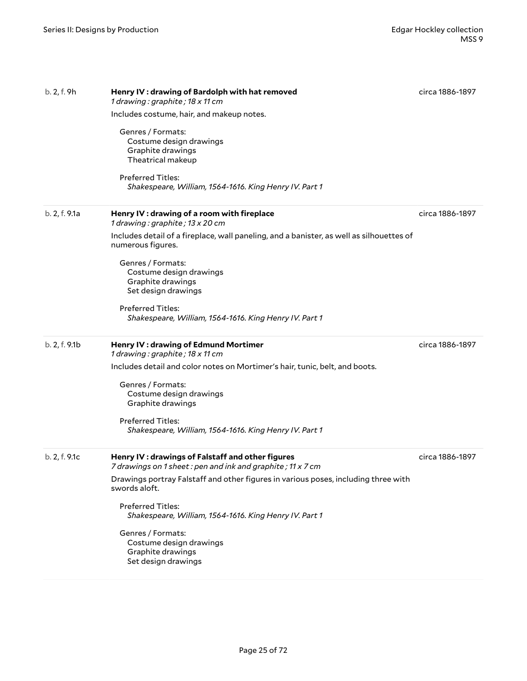| b. 2, f. 9h   | Henry IV: drawing of Bardolph with hat removed<br>1 drawing: graphite; 18 x 11 cm                              | circa 1886-1897 |
|---------------|----------------------------------------------------------------------------------------------------------------|-----------------|
|               | Includes costume, hair, and makeup notes.                                                                      |                 |
|               | Genres / Formats:<br>Costume design drawings<br>Graphite drawings<br>Theatrical makeup                         |                 |
|               | Preferred Titles:<br>Shakespeare, William, 1564-1616. King Henry IV. Part 1                                    |                 |
| b. 2, f. 9.1a | Henry IV : drawing of a room with fireplace<br>1 drawing: graphite; 13 x 20 cm                                 | circa 1886-1897 |
|               | Includes detail of a fireplace, wall paneling, and a banister, as well as silhouettes of<br>numerous figures.  |                 |
|               | Genres / Formats:<br>Costume design drawings<br>Graphite drawings<br>Set design drawings                       |                 |
|               | <b>Preferred Titles:</b><br>Shakespeare, William, 1564-1616. King Henry IV. Part 1                             |                 |
| b. 2, f. 9.1b | Henry IV : drawing of Edmund Mortimer<br>1 drawing: graphite; 18 x 11 cm                                       | circa 1886-1897 |
|               | Includes detail and color notes on Mortimer's hair, tunic, belt, and boots.                                    |                 |
|               | Genres / Formats:<br>Costume design drawings<br>Graphite drawings                                              |                 |
|               | Preferred Titles:<br>Shakespeare, William, 1564-1616. King Henry IV. Part 1                                    |                 |
| b. 2, f. 9.1c | Henry IV: drawings of Falstaff and other figures<br>7 drawings on 1 sheet: pen and ink and graphite; 11 x 7 cm | circa 1886-1897 |
|               | Drawings portray Falstaff and other figures in various poses, including three with<br>swords aloft.            |                 |
|               | Preferred Titles:<br>Shakespeare, William, 1564-1616. King Henry IV. Part 1                                    |                 |
|               | Genres / Formats:<br>Costume design drawings<br>Graphite drawings<br>Set design drawings                       |                 |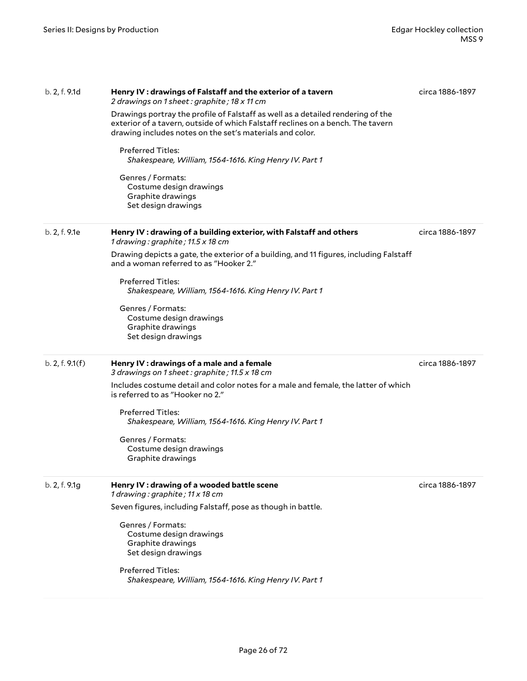| b. 2, f. 9.1d   | Henry IV: drawings of Falstaff and the exterior of a tavern<br>2 drawings on 1 sheet: graphite; 18 x 11 cm<br>Drawings portray the profile of Falstaff as well as a detailed rendering of the<br>exterior of a tavern, outside of which Falstaff reclines on a bench. The tavern<br>drawing includes notes on the set's materials and color.<br><b>Preferred Titles:</b><br>Shakespeare, William, 1564-1616. King Henry IV. Part 1<br>Genres / Formats:<br>Costume design drawings<br>Graphite drawings | circa 1886-1897 |
|-----------------|---------------------------------------------------------------------------------------------------------------------------------------------------------------------------------------------------------------------------------------------------------------------------------------------------------------------------------------------------------------------------------------------------------------------------------------------------------------------------------------------------------|-----------------|
|                 | Set design drawings                                                                                                                                                                                                                                                                                                                                                                                                                                                                                     |                 |
| b. 2, f. 9.1e   | Henry IV : drawing of a building exterior, with Falstaff and others<br>1 drawing: graphite; 11.5 x 18 cm<br>Drawing depicts a gate, the exterior of a building, and 11 figures, including Falstaff<br>and a woman referred to as "Hooker 2."<br><b>Preferred Titles:</b><br>Shakespeare, William, 1564-1616. King Henry IV. Part 1<br>Genres / Formats:<br>Costume design drawings<br>Graphite drawings<br>Set design drawings                                                                          | circa 1886-1897 |
| b. 2, f. 9.1(f) | Henry IV : drawings of a male and a female<br>3 drawings on 1 sheet : graphite ; 11.5 x 18 cm<br>Includes costume detail and color notes for a male and female, the latter of which<br>is referred to as "Hooker no 2."<br><b>Preferred Titles:</b><br>Shakespeare, William, 1564-1616. King Henry IV. Part 1<br>Genres / Formats:<br>Costume design drawings<br>Graphite drawings                                                                                                                      | circa 1886-1897 |
| b. 2, f. 9.1g   | Henry IV : drawing of a wooded battle scene<br>1 drawing: graphite; 11 x 18 cm<br>Seven figures, including Falstaff, pose as though in battle.<br>Genres / Formats:<br>Costume design drawings<br>Graphite drawings<br>Set design drawings<br>Preferred Titles:<br>Shakespeare, William, 1564-1616. King Henry IV. Part 1                                                                                                                                                                               | circa 1886-1897 |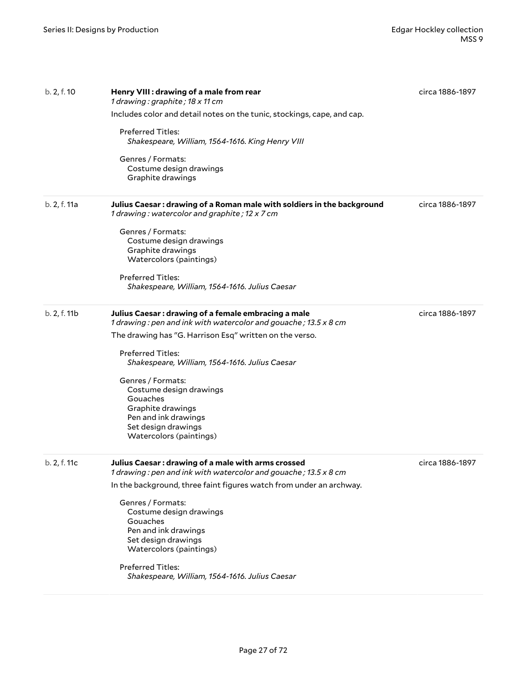| b. 2, f. 10  | Henry VIII : drawing of a male from rear<br>1 drawing: graphite; 18 x 11 cm<br>Includes color and detail notes on the tunic, stockings, cape, and cap. | circa 1886-1897 |
|--------------|--------------------------------------------------------------------------------------------------------------------------------------------------------|-----------------|
|              | <b>Preferred Titles:</b><br>Shakespeare, William, 1564-1616. King Henry VIII                                                                           |                 |
|              | Genres / Formats:<br>Costume design drawings<br>Graphite drawings                                                                                      |                 |
| b. 2, f. 11a | Julius Caesar: drawing of a Roman male with soldiers in the background<br>1 drawing: watercolor and graphite; 12 x 7 cm                                | circa 1886-1897 |
|              | Genres / Formats:<br>Costume design drawings<br>Graphite drawings<br>Watercolors (paintings)                                                           |                 |
|              | <b>Preferred Titles:</b><br>Shakespeare, William, 1564-1616. Julius Caesar                                                                             |                 |
| b. 2, f. 11b | Julius Caesar: drawing of a female embracing a male<br>1 drawing: pen and ink with watercolor and gouache; 13.5 x 8 cm                                 | circa 1886-1897 |
|              | The drawing has "G. Harrison Esq" written on the verso.                                                                                                |                 |
|              | <b>Preferred Titles:</b><br>Shakespeare, William, 1564-1616. Julius Caesar                                                                             |                 |
|              | Genres / Formats:<br>Costume design drawings<br>Gouaches<br>Graphite drawings                                                                          |                 |
|              | Pen and ink drawings<br>Set design drawings<br>Watercolors (paintings)                                                                                 |                 |
| b. 2, f. 11c | Julius Caesar: drawing of a male with arms crossed<br>1 drawing : pen and ink with watercolor and gouache ; 13.5 x 8 cm                                | circa 1886-1897 |
|              | In the background, three faint figures watch from under an archway.                                                                                    |                 |
|              | Genres / Formats:<br>Costume design drawings<br>Gouaches<br>Pen and ink drawings<br>Set design drawings<br>Watercolors (paintings)                     |                 |
|              | Preferred Titles:<br>Shakespeare, William, 1564-1616. Julius Caesar                                                                                    |                 |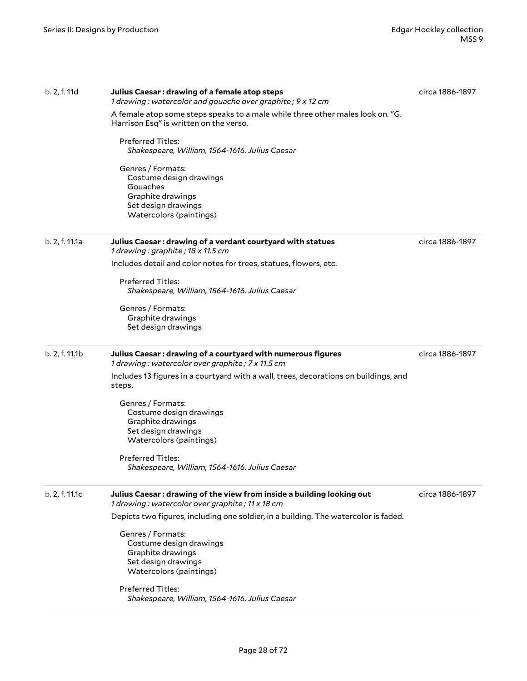| b. 2, f. 11d   | Julius Caesar: drawing of a female atop steps<br>1 drawing: watercolor and gouache over graphite; 9 x 12 cm<br>A female atop some steps speaks to a male while three other males look on. "G.<br>Harrison Esq" is written on the verso.<br><b>Preferred Titles:</b><br>Shakespeare, William, 1564-1616. Julius Caesar<br>Genres / Formats:<br>Costume design drawings<br>Gouaches<br>Graphite drawings<br>Set design drawings<br>Watercolors (paintings) | circa 1886-1897 |
|----------------|----------------------------------------------------------------------------------------------------------------------------------------------------------------------------------------------------------------------------------------------------------------------------------------------------------------------------------------------------------------------------------------------------------------------------------------------------------|-----------------|
| b. 2, f. 11.1a | Julius Caesar: drawing of a verdant courtyard with statues<br>1 drawing: graphite; 18 x 11.5 cm<br>Includes detail and color notes for trees, statues, flowers, etc.<br><b>Preferred Titles:</b><br>Shakespeare, William, 1564-1616. Julius Caesar<br>Genres / Formats:<br>Graphite drawings<br>Set design drawings                                                                                                                                      | circa 1886-1897 |
| b. 2, f. 11.1b | Julius Caesar: drawing of a courtyard with numerous figures<br>1 drawing: watercolor over graphite; 7 x 11.5 cm<br>Includes 13 figures in a courtyard with a wall, trees, decorations on buildings, and<br>steps.<br>Genres / Formats:<br>Costume design drawings<br>Graphite drawings<br>Set design drawings<br>Watercolors (paintings)<br>Preferred Titles:<br>Shakespeare, William, 1564-1616. Julius Caesar                                          | circa 1886-1897 |
| b. 2, f. 11.1c | Julius Caesar: drawing of the view from inside a building looking out<br>1 drawing: watercolor over graphite; 11 x 18 cm<br>Depicts two figures, including one soldier, in a building. The watercolor is faded.<br>Genres / Formats:<br>Costume design drawings<br>Graphite drawings<br>Set design drawings<br>Watercolors (paintings)<br>Preferred Titles:<br>Shakespeare, William, 1564-1616. Julius Caesar                                            | circa 1886-1897 |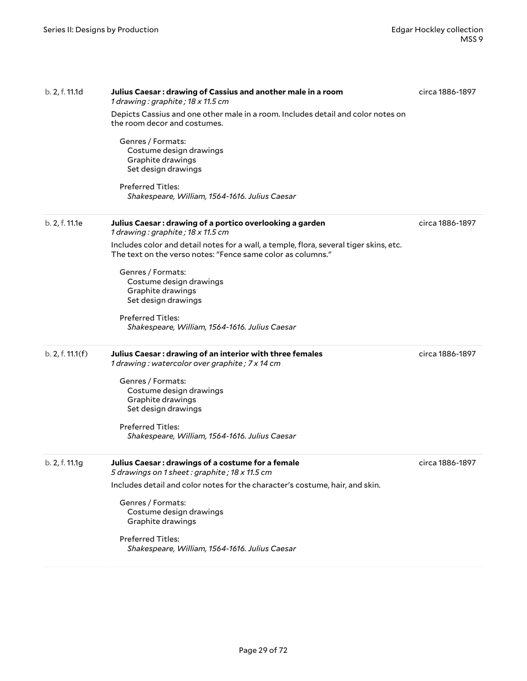| b. 2, f. 11.1d   | Julius Caesar: drawing of Cassius and another male in a room<br>1 drawing : graphite ; 18 $\times$ 11.5 cm<br>Depicts Cassius and one other male in a room. Includes detail and color notes on | circa 1886-1897 |
|------------------|------------------------------------------------------------------------------------------------------------------------------------------------------------------------------------------------|-----------------|
|                  | the room decor and costumes.                                                                                                                                                                   |                 |
|                  | Genres / Formats:<br>Costume design drawings<br>Graphite drawings<br>Set design drawings                                                                                                       |                 |
|                  | <b>Preferred Titles:</b><br>Shakespeare, William, 1564-1616. Julius Caesar                                                                                                                     |                 |
| b. 2, f. 11.1e   | Julius Caesar: drawing of a portico overlooking a garden<br>1 drawing: graphite; 18 x 11.5 cm                                                                                                  | circa 1886-1897 |
|                  | Includes color and detail notes for a wall, a temple, flora, several tiger skins, etc.<br>The text on the verso notes: "Fence same color as columns."                                          |                 |
|                  | Genres / Formats:                                                                                                                                                                              |                 |
|                  | Costume design drawings<br>Graphite drawings                                                                                                                                                   |                 |
|                  | Set design drawings                                                                                                                                                                            |                 |
|                  | <b>Preferred Titles:</b>                                                                                                                                                                       |                 |
|                  | Shakespeare, William, 1564-1616. Julius Caesar                                                                                                                                                 |                 |
| b. 2, f. 11.1(f) | Julius Caesar: drawing of an interior with three females<br>1 drawing: watercolor over graphite; 7 x 14 cm                                                                                     | circa 1886-1897 |
|                  | Genres / Formats:                                                                                                                                                                              |                 |
|                  | Costume design drawings                                                                                                                                                                        |                 |
|                  | Graphite drawings                                                                                                                                                                              |                 |
|                  | Set design drawings                                                                                                                                                                            |                 |
|                  | Preferred Titles:                                                                                                                                                                              |                 |
|                  | Shakespeare, William, 1564-1616. Julius Caesar                                                                                                                                                 |                 |
| b. 2, f. 11.1g   | Julius Caesar: drawings of a costume for a female<br>5 drawings on 1 sheet: graphite; 18 x 11.5 cm                                                                                             | circa 1886-1897 |
|                  | Includes detail and color notes for the character's costume, hair, and skin.                                                                                                                   |                 |
|                  | Genres / Formats:                                                                                                                                                                              |                 |
|                  | Costume design drawings                                                                                                                                                                        |                 |
|                  | Graphite drawings                                                                                                                                                                              |                 |
|                  | Preferred Titles:                                                                                                                                                                              |                 |
|                  | Shakespeare, William, 1564-1616. Julius Caesar                                                                                                                                                 |                 |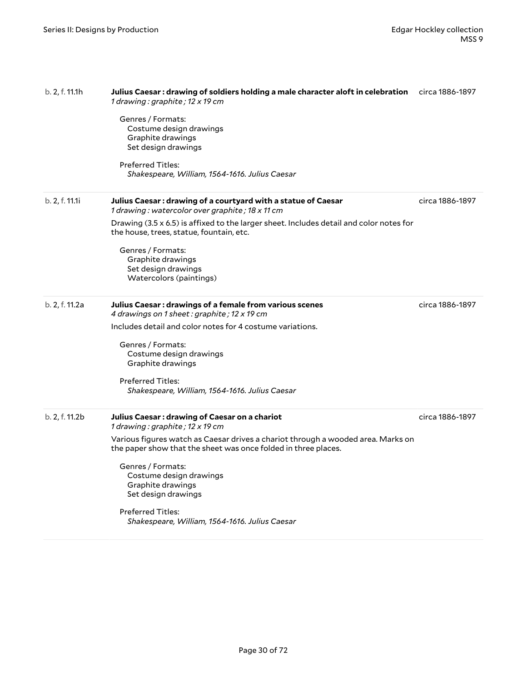| b. 2, f. 11.1h | Julius Caesar : drawing of soldiers holding a male character aloft in celebration<br>1 drawing: graphite; 12 x 19 cm                               | circa 1886-1897 |
|----------------|----------------------------------------------------------------------------------------------------------------------------------------------------|-----------------|
|                | Genres / Formats:<br>Costume design drawings<br>Graphite drawings<br>Set design drawings                                                           |                 |
|                | Preferred Titles:<br>Shakespeare, William, 1564-1616. Julius Caesar                                                                                |                 |
| b. 2, f. 11.1i | Julius Caesar: drawing of a courtyard with a statue of Caesar<br>1 drawing: watercolor over graphite; 18 x 11 cm                                   | circa 1886-1897 |
|                | Drawing (3.5 x 6.5) is affixed to the larger sheet. Includes detail and color notes for<br>the house, trees, statue, fountain, etc.                |                 |
|                | Genres / Formats:<br>Graphite drawings<br>Set design drawings<br>Watercolors (paintings)                                                           |                 |
| b. 2, f. 11.2a | Julius Caesar : drawings of a female from various scenes<br>4 drawings on 1 sheet: graphite; 12 x 19 cm                                            | circa 1886-1897 |
|                | Includes detail and color notes for 4 costume variations.                                                                                          |                 |
|                | Genres / Formats:<br>Costume design drawings<br>Graphite drawings                                                                                  |                 |
|                | <b>Preferred Titles:</b><br>Shakespeare, William, 1564-1616. Julius Caesar                                                                         |                 |
| b. 2, f. 11.2b | Julius Caesar: drawing of Caesar on a chariot<br>1 drawing: graphite; 12 x 19 cm                                                                   | circa 1886-1897 |
|                | Various figures watch as Caesar drives a chariot through a wooded area. Marks on<br>the paper show that the sheet was once folded in three places. |                 |
|                | Genres / Formats:<br>Costume design drawings<br>Graphite drawings<br>Set design drawings                                                           |                 |
|                | Preferred Titles:<br>Shakespeare, William, 1564-1616. Julius Caesar                                                                                |                 |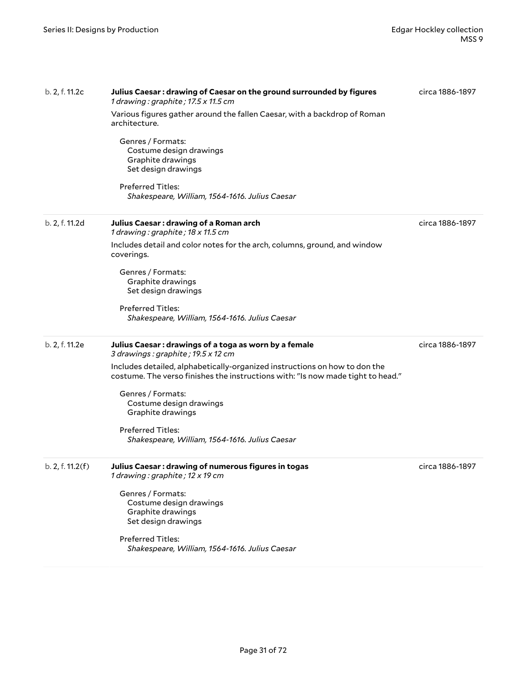| b. 2, f. 11.2c   | Julius Caesar : drawing of Caesar on the ground surrounded by figures<br>1 drawing: graphite; 17.5 x 11.5 cm<br>Various figures gather around the fallen Caesar, with a backdrop of Roman<br>architecture.<br>Genres / Formats:<br>Costume design drawings<br>Graphite drawings<br>Set design drawings<br><b>Preferred Titles:</b><br>Shakespeare, William, 1564-1616. Julius Caesar                             | circa 1886-1897 |
|------------------|------------------------------------------------------------------------------------------------------------------------------------------------------------------------------------------------------------------------------------------------------------------------------------------------------------------------------------------------------------------------------------------------------------------|-----------------|
| b. 2, f. 11.2d   | Julius Caesar: drawing of a Roman arch<br>1 drawing: graphite; 18 x 11.5 cm<br>Includes detail and color notes for the arch, columns, ground, and window<br>coverings.<br>Genres / Formats:<br>Graphite drawings<br>Set design drawings<br>Preferred Titles:<br>Shakespeare, William, 1564-1616. Julius Caesar                                                                                                   | circa 1886-1897 |
| b. 2, f. 11.2e   | Julius Caesar : drawings of a toga as worn by a female<br>3 drawings: graphite; 19.5 x 12 cm<br>Includes detailed, alphabetically-organized instructions on how to don the<br>costume. The verso finishes the instructions with: "Is now made tight to head."<br>Genres / Formats:<br>Costume design drawings<br>Graphite drawings<br><b>Preferred Titles:</b><br>Shakespeare, William, 1564-1616. Julius Caesar | circa 1886-1897 |
| b. 2, f. 11.2(f) | Julius Caesar: drawing of numerous figures in togas<br>1 drawing: graphite; 12 x 19 cm<br>Genres / Formats:<br>Costume design drawings<br>Graphite drawings<br>Set design drawings<br><b>Preferred Titles:</b><br>Shakespeare, William, 1564-1616. Julius Caesar                                                                                                                                                 | circa 1886-1897 |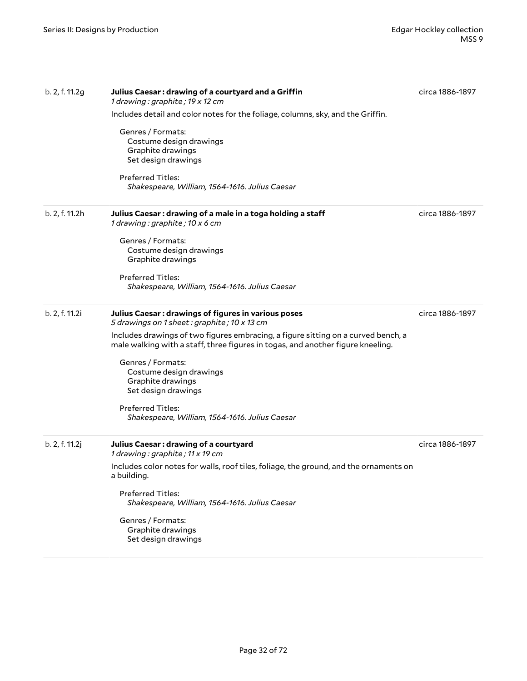| b. 2, f. 11.2g | Julius Caesar: drawing of a courtyard and a Griffin<br>1 drawing: graphite; 19 x 12 cm                                                                               | circa 1886-1897 |
|----------------|----------------------------------------------------------------------------------------------------------------------------------------------------------------------|-----------------|
|                | Includes detail and color notes for the foliage, columns, sky, and the Griffin.                                                                                      |                 |
|                | Genres / Formats:<br>Costume design drawings<br>Graphite drawings<br>Set design drawings                                                                             |                 |
|                | Preferred Titles:<br>Shakespeare, William, 1564-1616. Julius Caesar                                                                                                  |                 |
| b. 2, f. 11.2h | Julius Caesar : drawing of a male in a toga holding a staff<br>1 drawing: graphite; 10 x 6 cm                                                                        | circa 1886-1897 |
|                | Genres / Formats:<br>Costume design drawings<br>Graphite drawings                                                                                                    |                 |
|                | <b>Preferred Titles:</b><br>Shakespeare, William, 1564-1616. Julius Caesar                                                                                           |                 |
| b. 2, f. 11.2i | Julius Caesar : drawings of figures in various poses<br>5 drawings on 1 sheet: graphite; 10 x 13 cm                                                                  | circa 1886-1897 |
|                | Includes drawings of two figures embracing, a figure sitting on a curved bench, a<br>male walking with a staff, three figures in togas, and another figure kneeling. |                 |
|                | Genres / Formats:<br>Costume design drawings<br>Graphite drawings<br>Set design drawings                                                                             |                 |
|                | <b>Preferred Titles:</b><br>Shakespeare, William, 1564-1616. Julius Caesar                                                                                           |                 |
| b. 2, f. 11.2j | Julius Caesar: drawing of a courtyard<br>1 drawing: graphite; 11 x 19 cm                                                                                             | circa 1886-1897 |
|                | Includes color notes for walls, roof tiles, foliage, the ground, and the ornaments on<br>a building.                                                                 |                 |
|                | <b>Preferred Titles:</b><br>Shakespeare, William, 1564-1616. Julius Caesar                                                                                           |                 |
|                | Genres / Formats:<br>Graphite drawings<br>Set design drawings                                                                                                        |                 |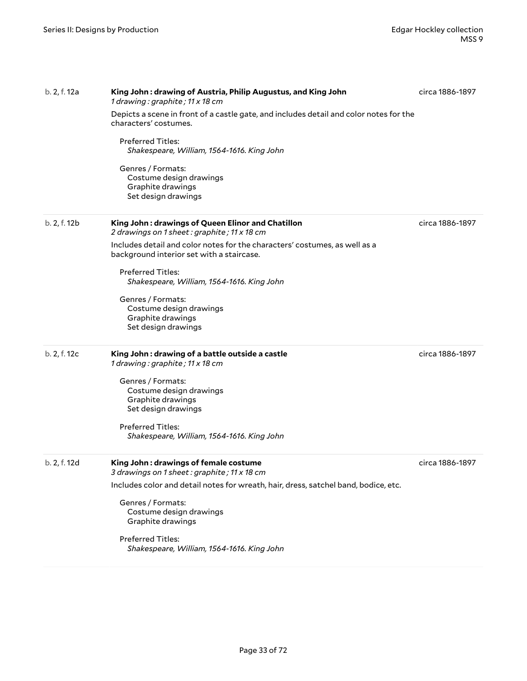| b. 2, f. 12a | King John: drawing of Austria, Philip Augustus, and King John<br>1 drawing: graphite; 11 x 18 cm                        | circa 1886-1897 |
|--------------|-------------------------------------------------------------------------------------------------------------------------|-----------------|
|              | Depicts a scene in front of a castle gate, and includes detail and color notes for the<br>characters' costumes.         |                 |
|              | <b>Preferred Titles:</b><br>Shakespeare, William, 1564-1616. King John                                                  |                 |
|              | Genres / Formats:<br>Costume design drawings<br>Graphite drawings<br>Set design drawings                                |                 |
| b. 2, f. 12b | King John: drawings of Queen Elinor and Chatillon<br>2 drawings on 1 sheet: graphite; 11 x 18 cm                        | circa 1886-1897 |
|              | Includes detail and color notes for the characters' costumes, as well as a<br>background interior set with a staircase. |                 |
|              | <b>Preferred Titles:</b><br>Shakespeare, William, 1564-1616. King John                                                  |                 |
|              | Genres / Formats:                                                                                                       |                 |
|              | Costume design drawings                                                                                                 |                 |
|              | Graphite drawings<br>Set design drawings                                                                                |                 |
| b. 2, f. 12c | King John: drawing of a battle outside a castle<br>1 drawing: graphite; 11 x 18 cm                                      | circa 1886-1897 |
|              | Genres / Formats:                                                                                                       |                 |
|              | Costume design drawings                                                                                                 |                 |
|              | Graphite drawings                                                                                                       |                 |
|              | Set design drawings                                                                                                     |                 |
|              | Preferred Titles:                                                                                                       |                 |
|              | Shakespeare, William, 1564-1616. King John                                                                              |                 |
| b. 2, f. 12d | King John: drawings of female costume<br>3 drawings on 1 sheet : graphite ; 11 x 18 cm                                  | circa 1886-1897 |
|              | Includes color and detail notes for wreath, hair, dress, satchel band, bodice, etc.                                     |                 |
|              | Genres / Formats:                                                                                                       |                 |
|              | Costume design drawings                                                                                                 |                 |
|              | Graphite drawings                                                                                                       |                 |
|              | Preferred Titles:                                                                                                       |                 |
|              | Shakespeare, William, 1564-1616. King John                                                                              |                 |
|              |                                                                                                                         |                 |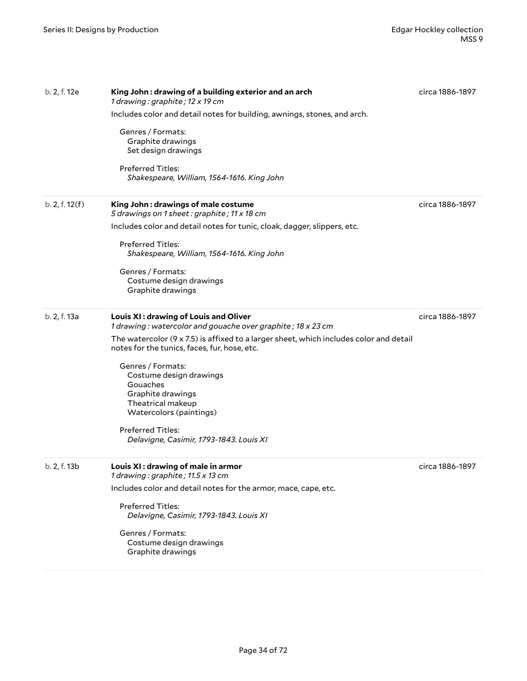| b. 2, f. 12e   | King John : drawing of a building exterior and an arch<br>1 drawing: graphite; 12 x 19 cm<br>Includes color and detail notes for building, awnings, stones, and arch.<br>Genres / Formats:<br>Graphite drawings<br>Set design drawings<br><b>Preferred Titles:</b><br>Shakespeare, William, 1564-1616. King John                                                                                                                                       | circa 1886-1897 |
|----------------|--------------------------------------------------------------------------------------------------------------------------------------------------------------------------------------------------------------------------------------------------------------------------------------------------------------------------------------------------------------------------------------------------------------------------------------------------------|-----------------|
| b. 2, f. 12(f) | King John: drawings of male costume<br>5 drawings on 1 sheet: graphite; 11 x 18 cm<br>Includes color and detail notes for tunic, cloak, dagger, slippers, etc.<br><b>Preferred Titles:</b><br>Shakespeare, William, 1564-1616. King John<br>Genres / Formats:<br>Costume design drawings<br>Graphite drawings                                                                                                                                          | circa 1886-1897 |
| b. 2, f. 13a   | Louis XI: drawing of Louis and Oliver<br>1 drawing: watercolor and gouache over graphite; 18 x 23 cm<br>The watercolor $(9 \times 7.5)$ is affixed to a larger sheet, which includes color and detail<br>notes for the tunics, faces, fur, hose, etc.<br>Genres / Formats:<br>Costume design drawings<br>Gouaches<br>Graphite drawings<br>Theatrical makeup<br>Watercolors (paintings)<br>Preferred Titles:<br>Delavigne, Casimir, 1793-1843. Louis XI | circa 1886-1897 |
| b. 2, f. 13b   | Louis XI: drawing of male in armor<br>1 drawing: graphite; 11.5 x 13 cm<br>Includes color and detail notes for the armor, mace, cape, etc.<br>Preferred Titles:<br>Delavigne, Casimir, 1793-1843. Louis XI<br>Genres / Formats:<br>Costume design drawings<br>Graphite drawings                                                                                                                                                                        | circa 1886-1897 |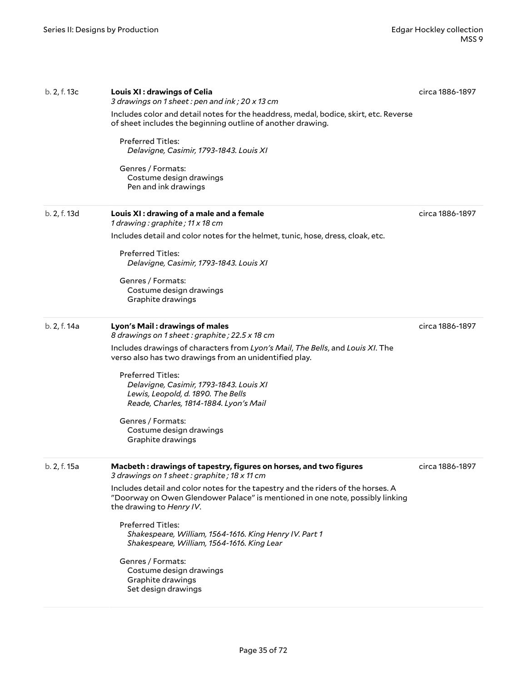| b. 2, f. 13c | Louis XI: drawings of Celia<br>3 drawings on 1 sheet: pen and ink; 20 x 13 cm                                                                                                                                               | circa 1886-1897                                                             |
|--------------|-----------------------------------------------------------------------------------------------------------------------------------------------------------------------------------------------------------------------------|-----------------------------------------------------------------------------|
|              | Includes color and detail notes for the headdress, medal, bodice, skirt, etc. Reverse<br>of sheet includes the beginning outline of another drawing.<br><b>Preferred Titles:</b><br>Delavigne, Casimir, 1793-1843. Louis XI |                                                                             |
|              |                                                                                                                                                                                                                             |                                                                             |
|              | b. 2, f. 13d                                                                                                                                                                                                                | Louis XI: drawing of a male and a female<br>1 drawing: graphite; 11 x 18 cm |
|              | Includes detail and color notes for the helmet, tunic, hose, dress, cloak, etc.                                                                                                                                             |                                                                             |
|              | <b>Preferred Titles:</b><br>Delavigne, Casimir, 1793-1843. Louis XI                                                                                                                                                         |                                                                             |
|              | Genres / Formats:<br>Costume design drawings<br>Graphite drawings                                                                                                                                                           |                                                                             |
| b. 2, f. 14a | Lyon's Mail: drawings of males<br>8 drawings on 1 sheet: graphite; 22.5 x 18 cm                                                                                                                                             | circa 1886-1897                                                             |
|              | Includes drawings of characters from Lyon's Mail, The Bells, and Louis XI. The<br>verso also has two drawings from an unidentified play.                                                                                    |                                                                             |
|              | <b>Preferred Titles:</b><br>Delavigne, Casimir, 1793-1843. Louis XI                                                                                                                                                         |                                                                             |
|              | Lewis, Leopold, d. 1890. The Bells<br>Reade, Charles, 1814-1884. Lyon's Mail                                                                                                                                                |                                                                             |
|              | Genres / Formats:<br>Costume design drawings<br>Graphite drawings                                                                                                                                                           |                                                                             |
|              |                                                                                                                                                                                                                             |                                                                             |
| b. 2, f. 15a | Macbeth: drawings of tapestry, figures on horses, and two figures<br>3 drawings on 1 sheet: graphite; 18 x 11 cm                                                                                                            | circa 1886-1897                                                             |
|              | Includes detail and color notes for the tapestry and the riders of the horses. A<br>"Doorway on Owen Glendower Palace" is mentioned in one note, possibly linking<br>the drawing to Henry IV.                               |                                                                             |
|              | Preferred Titles:<br>Shakespeare, William, 1564-1616. King Henry IV. Part 1<br>Shakespeare, William, 1564-1616. King Lear                                                                                                   |                                                                             |
|              | Genres / Formats:<br>Costume design drawings<br>Graphite drawings<br>Set design drawings                                                                                                                                    |                                                                             |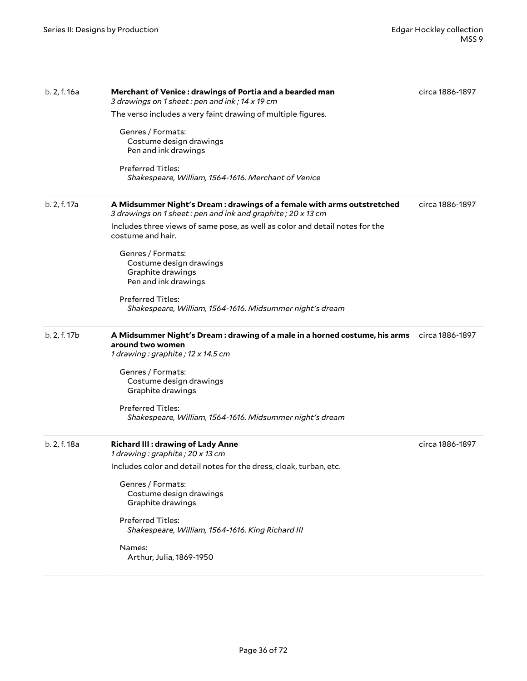| b. 2, f. 16a | Merchant of Venice: drawings of Portia and a bearded man<br>3 drawings on 1 sheet: pen and ink; 14 x 19 cm                             | circa 1886-1897 |
|--------------|----------------------------------------------------------------------------------------------------------------------------------------|-----------------|
|              | The verso includes a very faint drawing of multiple figures.                                                                           |                 |
|              | Genres / Formats:<br>Costume design drawings<br>Pen and ink drawings                                                                   |                 |
|              | <b>Preferred Titles:</b><br>Shakespeare, William, 1564-1616. Merchant of Venice                                                        |                 |
| b. 2, f. 17a | A Midsummer Night's Dream : drawings of a female with arms outstretched<br>3 drawings on 1 sheet: pen and ink and graphite; 20 x 13 cm | circa 1886-1897 |
|              | Includes three views of same pose, as well as color and detail notes for the<br>costume and hair.                                      |                 |
|              | Genres / Formats:<br>Costume design drawings<br>Graphite drawings<br>Pen and ink drawings                                              |                 |
|              | <b>Preferred Titles:</b><br>Shakespeare, William, 1564-1616. Midsummer night's dream                                                   |                 |
| b. 2, f. 17b | A Midsummer Night's Dream : drawing of a male in a horned costume, his arms<br>around two women<br>1 drawing: graphite; 12 x 14.5 cm   | circa 1886-1897 |
|              | Genres / Formats:<br>Costume design drawings<br>Graphite drawings                                                                      |                 |
|              | <b>Preferred Titles:</b><br>Shakespeare, William, 1564-1616. Midsummer night's dream                                                   |                 |
| b. 2, f. 18a | <b>Richard III: drawing of Lady Anne</b><br>1 drawing: graphite; 20 x 13 cm                                                            | circa 1886-1897 |
|              | Includes color and detail notes for the dress, cloak, turban, etc.                                                                     |                 |
|              | Genres / Formats:<br>Costume design drawings<br>Graphite drawings                                                                      |                 |
|              | <b>Preferred Titles:</b><br>Shakespeare, William, 1564-1616. King Richard III                                                          |                 |
|              | Names:<br>Arthur, Julia, 1869-1950                                                                                                     |                 |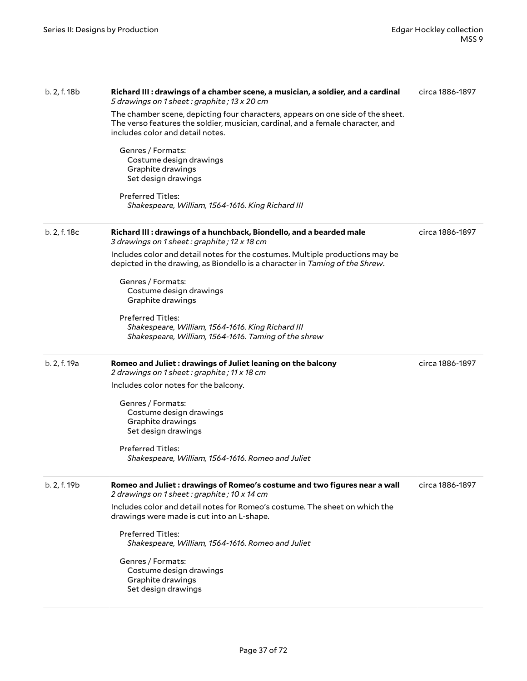| b. 2, f. 18b | Richard III : drawings of a chamber scene, a musician, a soldier, and a cardinal<br>5 drawings on 1 sheet: graphite; 13 x 20 cm                                                                        | circa 1886-1897 |
|--------------|--------------------------------------------------------------------------------------------------------------------------------------------------------------------------------------------------------|-----------------|
|              | The chamber scene, depicting four characters, appears on one side of the sheet.<br>The verso features the soldier, musician, cardinal, and a female character, and<br>includes color and detail notes. |                 |
|              | Genres / Formats:<br>Costume design drawings<br>Graphite drawings<br>Set design drawings                                                                                                               |                 |
|              | <b>Preferred Titles:</b><br>Shakespeare, William, 1564-1616. King Richard III                                                                                                                          |                 |
| b. 2, f. 18c | Richard III : drawings of a hunchback, Biondello, and a bearded male<br>3 drawings on 1 sheet: graphite; 12 x 18 cm                                                                                    | circa 1886-1897 |
|              | Includes color and detail notes for the costumes. Multiple productions may be<br>depicted in the drawing, as Biondello is a character in Taming of the Shrew.                                          |                 |
|              | Genres / Formats:<br>Costume design drawings<br>Graphite drawings                                                                                                                                      |                 |
|              | Preferred Titles:<br>Shakespeare, William, 1564-1616. King Richard III<br>Shakespeare, William, 1564-1616. Taming of the shrew                                                                         |                 |
| b. 2, f. 19a | Romeo and Juliet: drawings of Juliet leaning on the balcony<br>2 drawings on 1 sheet: graphite; 11 x 18 cm                                                                                             | circa 1886-1897 |
|              | Includes color notes for the balcony.                                                                                                                                                                  |                 |
|              | Genres / Formats:<br>Costume design drawings<br>Graphite drawings<br>Set design drawings                                                                                                               |                 |
|              | <b>Preferred Titles:</b><br>Shakespeare, William, 1564-1616. Romeo and Juliet                                                                                                                          |                 |
| b. 2, f. 19b | Romeo and Juliet : drawings of Romeo's costume and two figures near a wall<br>2 drawings on 1 sheet: graphite; 10 x 14 cm                                                                              | circa 1886-1897 |
|              | Includes color and detail notes for Romeo's costume. The sheet on which the<br>drawings were made is cut into an L-shape.                                                                              |                 |
|              | <b>Preferred Titles:</b><br>Shakespeare, William, 1564-1616. Romeo and Juliet                                                                                                                          |                 |
|              | Genres / Formats:<br>Costume design drawings<br>Graphite drawings<br>Set design drawings                                                                                                               |                 |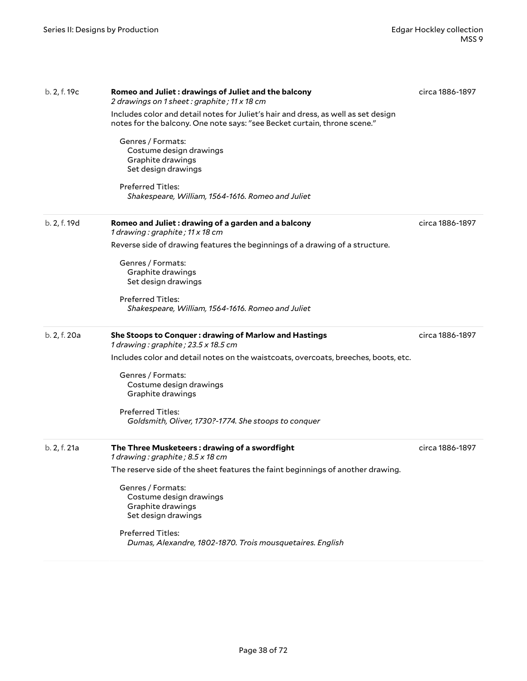| b. 2, f. 19c | Romeo and Juliet: drawings of Juliet and the balcony<br>2 drawings on 1 sheet: graphite; 11 x 18 cm                                                             | circa 1886-1897 |
|--------------|-----------------------------------------------------------------------------------------------------------------------------------------------------------------|-----------------|
|              | Includes color and detail notes for Juliet's hair and dress, as well as set design<br>notes for the balcony. One note says: "see Becket curtain, throne scene." |                 |
|              | Genres / Formats:<br>Costume design drawings<br>Graphite drawings<br>Set design drawings                                                                        |                 |
|              | <b>Preferred Titles:</b><br>Shakespeare, William, 1564-1616. Romeo and Juliet                                                                                   |                 |
| b. 2, f. 19d | Romeo and Juliet: drawing of a garden and a balcony<br>1 drawing: graphite; 11 x 18 cm                                                                          | circa 1886-1897 |
|              | Reverse side of drawing features the beginnings of a drawing of a structure.                                                                                    |                 |
|              | Genres / Formats:<br>Graphite drawings<br>Set design drawings                                                                                                   |                 |
|              | <b>Preferred Titles:</b><br>Shakespeare, William, 1564-1616. Romeo and Juliet                                                                                   |                 |
| b. 2, f. 20a | She Stoops to Conquer: drawing of Marlow and Hastings<br>1 drawing: graphite; 23.5 x 18.5 cm                                                                    | circa 1886-1897 |
|              | Includes color and detail notes on the waistcoats, overcoats, breeches, boots, etc.                                                                             |                 |
|              | Genres / Formats:<br>Costume design drawings<br>Graphite drawings                                                                                               |                 |
|              | <b>Preferred Titles:</b><br>Goldsmith, Oliver, 1730?-1774. She stoops to conquer                                                                                |                 |
| b. 2, f. 21a | The Three Musketeers: drawing of a swordfight<br>1 drawing: graphite; 8.5 x 18 cm                                                                               | circa 1886-1897 |
|              | The reserve side of the sheet features the faint beginnings of another drawing.                                                                                 |                 |
|              | Genres / Formats:<br>Costume design drawings<br>Graphite drawings<br>Set design drawings                                                                        |                 |
|              | <b>Preferred Titles:</b><br>Dumas, Alexandre, 1802-1870. Trois mousquetaires. English                                                                           |                 |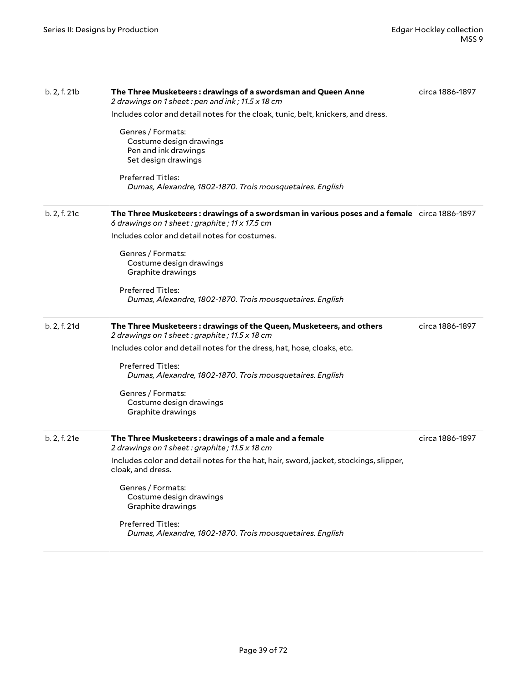| b. 2, f. 21b | The Three Musketeers: drawings of a swordsman and Queen Anne<br>2 drawings on 1 sheet: pen and ink; 11.5 x 18 cm                             | circa 1886-1897 |
|--------------|----------------------------------------------------------------------------------------------------------------------------------------------|-----------------|
|              | Includes color and detail notes for the cloak, tunic, belt, knickers, and dress.                                                             |                 |
|              | Genres / Formats:<br>Costume design drawings<br>Pen and ink drawings<br>Set design drawings                                                  |                 |
|              | <b>Preferred Titles:</b><br>Dumas, Alexandre, 1802-1870. Trois mousquetaires. English                                                        |                 |
| b. 2, f. 21c | The Three Musketeers: drawings of a swordsman in various poses and a female circa 1886-1897<br>6 drawings on 1 sheet: graphite; 11 x 17.5 cm |                 |
|              | Includes color and detail notes for costumes.                                                                                                |                 |
|              | Genres / Formats:<br>Costume design drawings<br>Graphite drawings                                                                            |                 |
|              | Preferred Titles:<br>Dumas, Alexandre, 1802-1870. Trois mousquetaires. English                                                               |                 |
| b. 2, f. 21d | The Three Musketeers: drawings of the Queen, Musketeers, and others<br>2 drawings on 1 sheet: graphite; 11.5 x 18 cm                         | circa 1886-1897 |
|              | Includes color and detail notes for the dress, hat, hose, cloaks, etc.                                                                       |                 |
|              | Preferred Titles:<br>Dumas, Alexandre, 1802-1870. Trois mousquetaires. English                                                               |                 |
|              | Genres / Formats:<br>Costume design drawings<br>Graphite drawings                                                                            |                 |
| b. 2, f. 21e | The Three Musketeers: drawings of a male and a female<br>2 drawings on 1 sheet: graphite; 11.5 x 18 cm                                       | circa 1886-1897 |
|              | Includes color and detail notes for the hat, hair, sword, jacket, stockings, slipper,<br>cloak, and dress.                                   |                 |
|              | Genres / Formats:<br>Costume design drawings<br>Graphite drawings                                                                            |                 |
|              | Preferred Titles:<br>Dumas, Alexandre, 1802-1870. Trois mousquetaires. English                                                               |                 |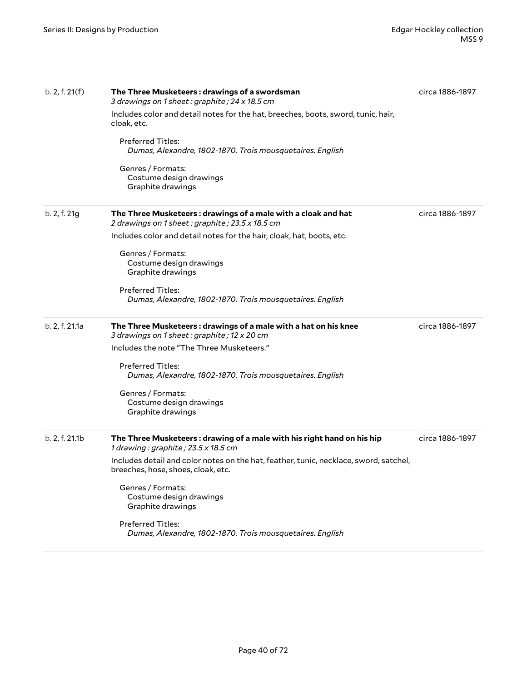| b. 2, f. 21(f) | The Three Musketeers: drawings of a swordsman<br>3 drawings on 1 sheet: graphite; 24 x 18.5 cm                              | circa 1886-1897 |
|----------------|-----------------------------------------------------------------------------------------------------------------------------|-----------------|
|                | Includes color and detail notes for the hat, breeches, boots, sword, tunic, hair,<br>cloak, etc.                            |                 |
|                | <b>Preferred Titles:</b><br>Dumas, Alexandre, 1802-1870. Trois mousquetaires. English                                       |                 |
|                | Genres / Formats:<br>Costume design drawings<br>Graphite drawings                                                           |                 |
| b. 2, f. 21g   | The Three Musketeers: drawings of a male with a cloak and hat<br>2 drawings on 1 sheet: graphite; 23.5 x 18.5 cm            | circa 1886-1897 |
|                | Includes color and detail notes for the hair, cloak, hat, boots, etc.                                                       |                 |
|                | Genres / Formats:<br>Costume design drawings<br>Graphite drawings                                                           |                 |
|                | <b>Preferred Titles:</b><br>Dumas, Alexandre, 1802-1870. Trois mousquetaires. English                                       |                 |
| b. 2, f. 21.1a | The Three Musketeers: drawings of a male with a hat on his knee<br>3 drawings on 1 sheet: graphite; 12 x 20 cm              | circa 1886-1897 |
|                | Includes the note "The Three Musketeers."                                                                                   |                 |
|                | <b>Preferred Titles:</b><br>Dumas, Alexandre, 1802-1870. Trois mousquetaires. English                                       |                 |
|                | Genres / Formats:<br>Costume design drawings<br>Graphite drawings                                                           |                 |
| b. 2, f. 21.1b | The Three Musketeers: drawing of a male with his right hand on his hip<br>1 drawing: graphite; 23.5 x 18.5 cm               | circa 1886-1897 |
|                | Includes detail and color notes on the hat, feather, tunic, necklace, sword, satchel,<br>breeches, hose, shoes, cloak, etc. |                 |
|                | Genres / Formats:<br>Costume design drawings<br>Graphite drawings                                                           |                 |
|                | <b>Preferred Titles:</b><br>Dumas, Alexandre, 1802-1870. Trois mousquetaires. English                                       |                 |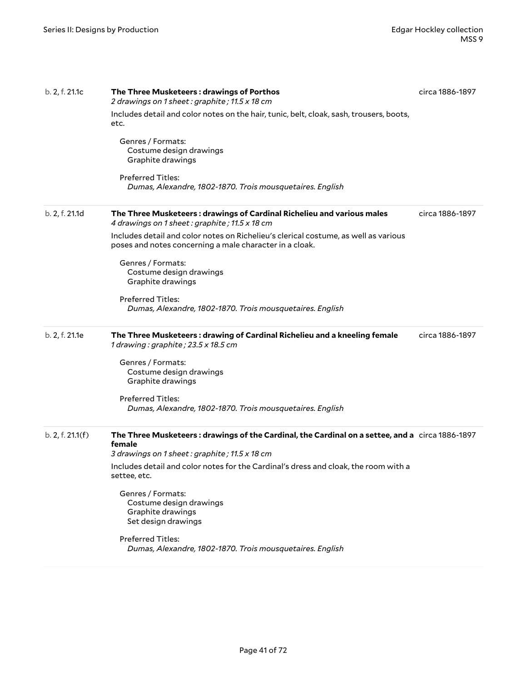| b. 2, f. 21.1c   | The Three Musketeers: drawings of Porthos<br>2 drawings on 1 sheet: graphite; 11.5 x 18 cm                                                                 | circa 1886-1897 |
|------------------|------------------------------------------------------------------------------------------------------------------------------------------------------------|-----------------|
|                  | Includes detail and color notes on the hair, tunic, belt, cloak, sash, trousers, boots,<br>etc.                                                            |                 |
|                  | Genres / Formats:<br>Costume design drawings<br>Graphite drawings                                                                                          |                 |
|                  | <b>Preferred Titles:</b><br>Dumas, Alexandre, 1802-1870. Trois mousquetaires. English                                                                      |                 |
| b. 2, f. 21.1d   | The Three Musketeers: drawings of Cardinal Richelieu and various males<br>4 drawings on 1 sheet: graphite; 11.5 x 18 cm                                    | circa 1886-1897 |
|                  | Includes detail and color notes on Richelieu's clerical costume, as well as various<br>poses and notes concerning a male character in a cloak.             |                 |
|                  | Genres / Formats:<br>Costume design drawings<br>Graphite drawings                                                                                          |                 |
|                  | <b>Preferred Titles:</b><br>Dumas, Alexandre, 1802-1870. Trois mousquetaires. English                                                                      |                 |
| b. 2, f. 21.1e   | The Three Musketeers: drawing of Cardinal Richelieu and a kneeling female<br>1 drawing: graphite; 23.5 x 18.5 cm                                           | circa 1886-1897 |
|                  | Genres / Formats:<br>Costume design drawings<br>Graphite drawings                                                                                          |                 |
|                  | <b>Preferred Titles:</b><br>Dumas, Alexandre, 1802-1870. Trois mousquetaires. English                                                                      |                 |
| b. 2, f. 21.1(f) | The Three Musketeers: drawings of the Cardinal, the Cardinal on a settee, and a circa 1886-1897<br>female<br>3 drawings on 1 sheet: graphite; 11.5 x 18 cm |                 |
|                  | Includes detail and color notes for the Cardinal's dress and cloak, the room with a<br>settee, etc.                                                        |                 |
|                  | Genres / Formats:<br>Costume design drawings<br>Graphite drawings<br>Set design drawings                                                                   |                 |
|                  | <b>Preferred Titles:</b><br>Dumas, Alexandre, 1802-1870. Trois mousquetaires. English                                                                      |                 |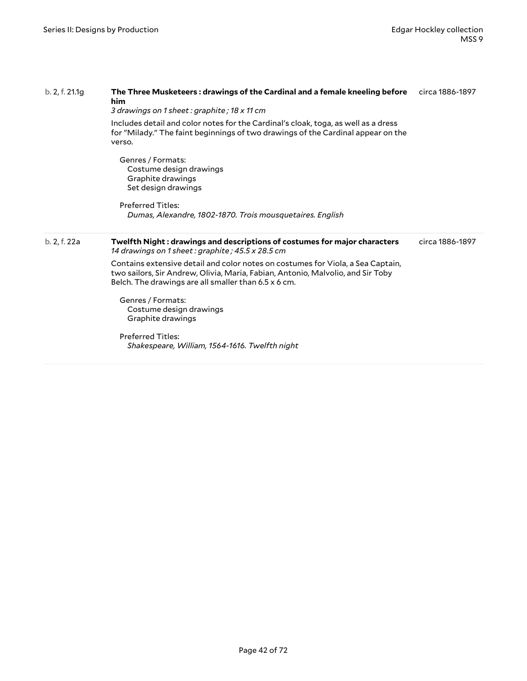| b. 2, f. 21.1g | The Three Musketeers : drawings of the Cardinal and a female kneeling before<br>him<br>3 drawings on 1 sheet : graphite ; 18 x 11 cm                                                                                       | circa 1886-1897 |
|----------------|----------------------------------------------------------------------------------------------------------------------------------------------------------------------------------------------------------------------------|-----------------|
|                | Includes detail and color notes for the Cardinal's cloak, toga, as well as a dress<br>for "Milady." The faint beginnings of two drawings of the Cardinal appear on the<br>verso.                                           |                 |
|                | Genres / Formats:<br>Costume design drawings<br>Graphite drawings<br>Set design drawings                                                                                                                                   |                 |
|                | <b>Preferred Titles:</b><br>Dumas, Alexandre, 1802-1870. Trois mousquetaires. English                                                                                                                                      |                 |
| b. 2, f. 22a   | Twelfth Night: drawings and descriptions of costumes for major characters<br>14 drawings on 1 sheet : graphite ; 45.5 x 28.5 cm                                                                                            | circa 1886-1897 |
|                | Contains extensive detail and color notes on costumes for Viola, a Sea Captain,<br>two sailors, Sir Andrew, Olivia, Maria, Fabian, Antonio, Malvolio, and Sir Toby<br>Belch. The drawings are all smaller than 6.5 x 6 cm. |                 |
|                |                                                                                                                                                                                                                            |                 |
|                | Genres / Formats:<br>Costume design drawings<br>Graphite drawings                                                                                                                                                          |                 |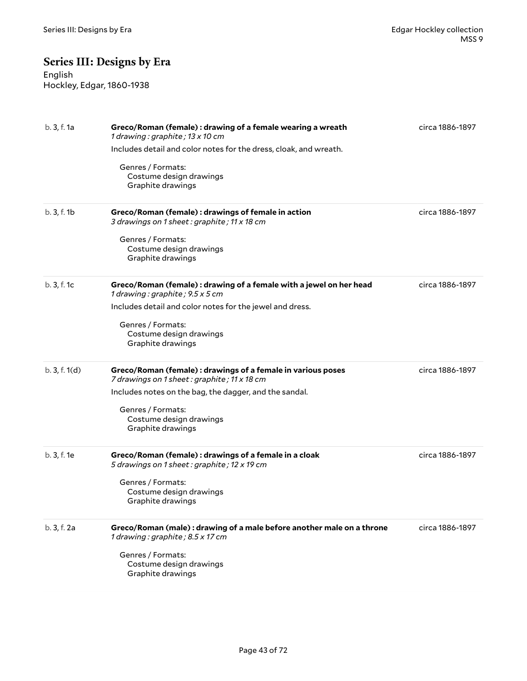# **Series III: Designs by Era**

English Hockley, Edgar, 1860-1938

| b. 3, f. 1a | Greco/Roman (female) : drawing of a female wearing a wreath<br>1 drawing : graphite ; $13 \times 10$ cm     | circa 1886-1897 |
|-------------|-------------------------------------------------------------------------------------------------------------|-----------------|
|             | Includes detail and color notes for the dress, cloak, and wreath.                                           |                 |
|             | Genres / Formats:<br>Costume design drawings<br>Graphite drawings                                           |                 |
| b. 3, f. 1b | Greco/Roman (female) : drawings of female in action<br>3 drawings on 1 sheet: graphite; 11 x 18 cm          | circa 1886-1897 |
|             | Genres / Formats:<br>Costume design drawings<br>Graphite drawings                                           |                 |
| b. 3, f. 1c | Greco/Roman (female) : drawing of a female with a jewel on her head<br>1 drawing: graphite; 9.5 x 5 cm      | circa 1886-1897 |
|             | Includes detail and color notes for the jewel and dress.                                                    |                 |
|             | Genres / Formats:<br>Costume design drawings<br>Graphite drawings                                           |                 |
| b.3, f.1(d) | Greco/Roman (female) : drawings of a female in various poses<br>7 drawings on 1 sheet: graphite; 11 x 18 cm | circa 1886-1897 |
|             | Includes notes on the bag, the dagger, and the sandal.                                                      |                 |
|             | Genres / Formats:<br>Costume design drawings<br>Graphite drawings                                           |                 |
| b. 3, f. 1e | Greco/Roman (female) : drawings of a female in a cloak<br>5 drawings on 1 sheet: graphite; 12 x 19 cm       | circa 1886-1897 |
|             | Genres / Formats:<br>Costume design drawings<br>Graphite drawings                                           |                 |
| b. 3, f. 2a | Greco/Roman (male) : drawing of a male before another male on a throne<br>1 drawing: graphite; 8.5 x 17 cm  | circa 1886-1897 |
|             | Genres / Formats:<br>Costume design drawings<br>Graphite drawings                                           |                 |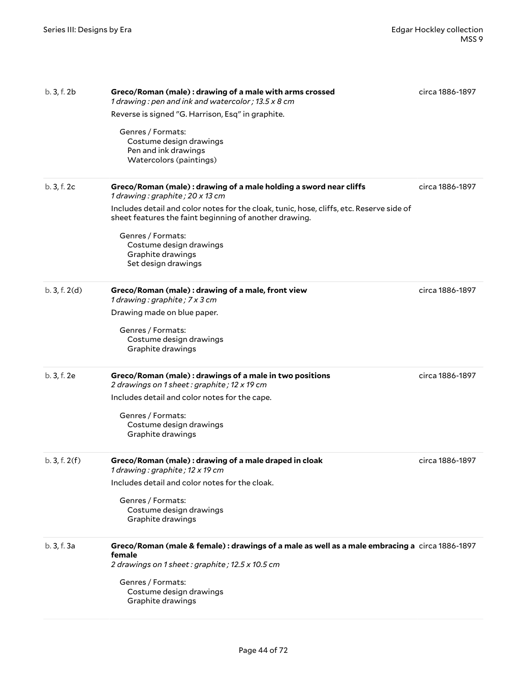| b. 3, f. 2b   | Greco/Roman (male) : drawing of a male with arms crossed<br>1 drawing : pen and ink and watercolor ; 13.5 x 8 cm                                           | circa 1886-1897 |
|---------------|------------------------------------------------------------------------------------------------------------------------------------------------------------|-----------------|
|               | Reverse is signed "G. Harrison, Esq" in graphite.                                                                                                          |                 |
|               | Genres / Formats:<br>Costume design drawings<br>Pen and ink drawings<br>Watercolors (paintings)                                                            |                 |
| b. 3, f. 2c   | Greco/Roman (male): drawing of a male holding a sword near cliffs<br>1 drawing: graphite; 20 x 13 cm                                                       | circa 1886-1897 |
|               | Includes detail and color notes for the cloak, tunic, hose, cliffs, etc. Reserve side of<br>sheet features the faint beginning of another drawing.         |                 |
|               | Genres / Formats:<br>Costume design drawings<br>Graphite drawings<br>Set design drawings                                                                   |                 |
| b. 3, f. 2(d) | Greco/Roman (male) : drawing of a male, front view<br>1 drawing: graphite; 7 x 3 cm                                                                        | circa 1886-1897 |
|               | Drawing made on blue paper.                                                                                                                                |                 |
|               | Genres / Formats:<br>Costume design drawings<br>Graphite drawings                                                                                          |                 |
| b. 3, f. 2e   | Greco/Roman (male) : drawings of a male in two positions<br>2 drawings on 1 sheet: graphite; 12 x 19 cm                                                    | circa 1886-1897 |
|               | Includes detail and color notes for the cape.                                                                                                              |                 |
|               | Genres / Formats:<br>Costume design drawings<br>Graphite drawings                                                                                          |                 |
| b.3, f.2(f)   | Greco/Roman (male) : drawing of a male draped in cloak<br>1 drawing : graphite ; 12 x 19 cm                                                                | circa 1886-1897 |
|               | Includes detail and color notes for the cloak.                                                                                                             |                 |
|               | Genres / Formats:<br>Costume design drawings<br>Graphite drawings                                                                                          |                 |
| b. 3, f. 3a   | Greco/Roman (male & female): drawings of a male as well as a male embracing a circa 1886-1897<br>female<br>2 drawings on 1 sheet: graphite; 12.5 x 10.5 cm |                 |
|               | Genres / Formats:<br>Costume design drawings<br>Graphite drawings                                                                                          |                 |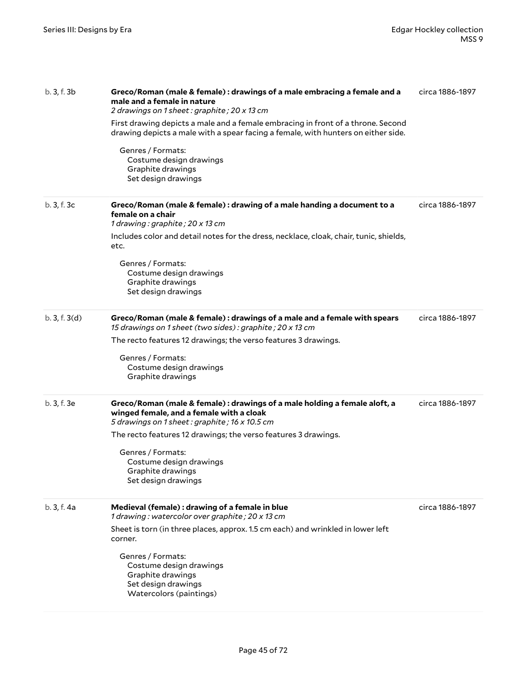| b. 3, f. 3b | Greco/Roman (male & female) : drawings of a male embracing a female and a<br>male and a female in nature<br>2 drawings on 1 sheet: graphite; 20 x 13 cm<br>First drawing depicts a male and a female embracing in front of a throne. Second<br>drawing depicts a male with a spear facing a female, with hunters on either side.<br>Genres / Formats:<br>Costume design drawings<br>Graphite drawings<br>Set design drawings | circa 1886-1897 |
|-------------|------------------------------------------------------------------------------------------------------------------------------------------------------------------------------------------------------------------------------------------------------------------------------------------------------------------------------------------------------------------------------------------------------------------------------|-----------------|
| b. 3, f. 3c | Greco/Roman (male & female) : drawing of a male handing a document to a<br>female on a chair<br>1 drawing : graphite ; 20 x 13 cm<br>Includes color and detail notes for the dress, necklace, cloak, chair, tunic, shields,<br>etc.<br>Genres / Formats:<br>Costume design drawings<br>Graphite drawings<br>Set design drawings                                                                                              | circa 1886-1897 |
| b.3, f.3(d) | Greco/Roman (male & female) : drawings of a male and a female with spears<br>15 drawings on 1 sheet (two sides): graphite; 20 x 13 cm<br>The recto features 12 drawings; the verso features 3 drawings.<br>Genres / Formats:<br>Costume design drawings<br>Graphite drawings                                                                                                                                                 | circa 1886-1897 |
| b. 3, f. 3e | Greco/Roman (male & female) : drawings of a male holding a female aloft, a<br>winged female, and a female with a cloak<br>5 drawings on 1 sheet: graphite; 16 x 10.5 cm<br>The recto features 12 drawings; the verso features 3 drawings.<br>Genres / Formats:<br>Costume design drawings<br>Graphite drawings<br>Set design drawings                                                                                        | circa 1886-1897 |
| b. 3, f. 4a | Medieval (female) : drawing of a female in blue<br>1 drawing: watercolor over graphite; 20 x 13 cm<br>Sheet is torn (in three places, approx. 1.5 cm each) and wrinkled in lower left<br>corner.<br>Genres / Formats:<br>Costume design drawings<br>Graphite drawings<br>Set design drawings<br>Watercolors (paintings)                                                                                                      | circa 1886-1897 |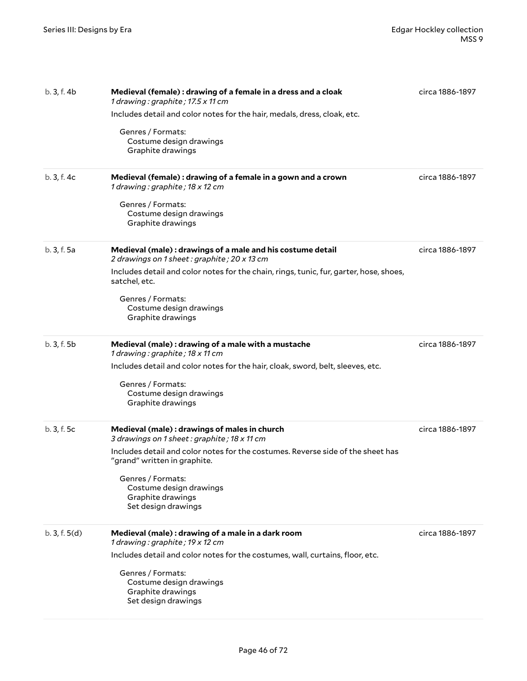| b.3, f.4b   | Medieval (female): drawing of a female in a dress and a cloak<br>1 drawing: graphite; 17.5 x 11 cm<br>Includes detail and color notes for the hair, medals, dress, cloak, etc.<br>Genres / Formats:<br>Costume design drawings<br>Graphite drawings                                                         | circa 1886-1897 |
|-------------|-------------------------------------------------------------------------------------------------------------------------------------------------------------------------------------------------------------------------------------------------------------------------------------------------------------|-----------------|
| b. 3, f. 4c | Medieval (female) : drawing of a female in a gown and a crown<br>1 drawing: graphite; 18 x 12 cm<br>Genres / Formats:<br>Costume design drawings<br>Graphite drawings                                                                                                                                       | circa 1886-1897 |
| b. 3, f. 5a | Medieval (male): drawings of a male and his costume detail<br>2 drawings on 1 sheet: graphite; 20 x 13 cm<br>Includes detail and color notes for the chain, rings, tunic, fur, garter, hose, shoes,<br>satchel, etc.<br>Genres / Formats:<br>Costume design drawings<br>Graphite drawings                   | circa 1886-1897 |
| b. 3, f. 5b | Medieval (male): drawing of a male with a mustache<br>1 drawing: graphite; 18 x 11 cm<br>Includes detail and color notes for the hair, cloak, sword, belt, sleeves, etc.<br>Genres / Formats:<br>Costume design drawings<br>Graphite drawings                                                               | circa 1886-1897 |
| b. 3, f. 5c | Medieval (male) : drawings of males in church<br>3 drawings on 1 sheet: graphite; 18 x 11 cm<br>Includes detail and color notes for the costumes. Reverse side of the sheet has<br>"grand" written in graphite.<br>Genres / Formats:<br>Costume design drawings<br>Graphite drawings<br>Set design drawings | circa 1886-1897 |
| b.3, f.5(d) | Medieval (male) : drawing of a male in a dark room<br>1 drawing: graphite; 19 x 12 cm<br>Includes detail and color notes for the costumes, wall, curtains, floor, etc.<br>Genres / Formats:<br>Costume design drawings<br>Graphite drawings<br>Set design drawings                                          | circa 1886-1897 |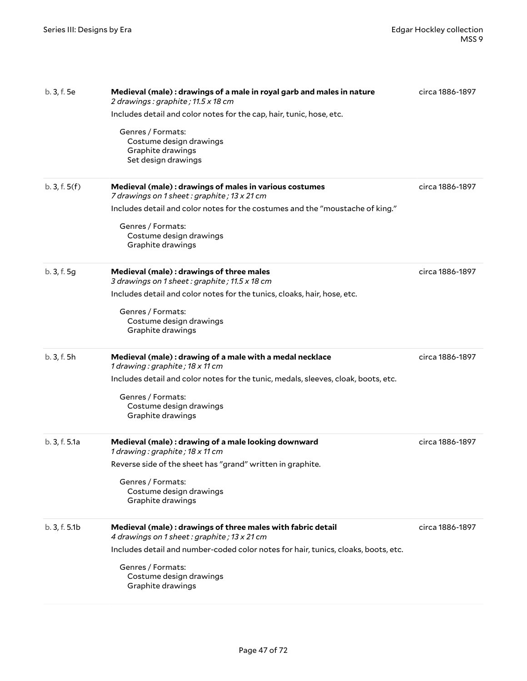| b. 3, f. 5e   | Medieval (male) : drawings of a male in royal garb and males in nature<br>2 drawings: graphite; 11.5 x 18 cm | circa 1886-1897 |
|---------------|--------------------------------------------------------------------------------------------------------------|-----------------|
|               | Includes detail and color notes for the cap, hair, tunic, hose, etc.                                         |                 |
|               | Genres / Formats:<br>Costume design drawings<br>Graphite drawings<br>Set design drawings                     |                 |
| b.3, f.5(f)   | Medieval (male) : drawings of males in various costumes<br>7 drawings on 1 sheet: graphite; 13 x 21 cm       | circa 1886-1897 |
|               | Includes detail and color notes for the costumes and the "moustache of king."                                |                 |
|               | Genres / Formats:<br>Costume design drawings<br>Graphite drawings                                            |                 |
| b. 3, f. 5g   | Medieval (male) : drawings of three males<br>3 drawings on 1 sheet: graphite; 11.5 x 18 cm                   | circa 1886-1897 |
|               | Includes detail and color notes for the tunics, cloaks, hair, hose, etc.                                     |                 |
|               | Genres / Formats:<br>Costume design drawings<br>Graphite drawings                                            |                 |
| b. 3, f. 5h   | Medieval (male): drawing of a male with a medal necklace<br>1 drawing: graphite; 18 x 11 cm                  | circa 1886-1897 |
|               | Includes detail and color notes for the tunic, medals, sleeves, cloak, boots, etc.                           |                 |
|               | Genres / Formats:<br>Costume design drawings<br>Graphite drawings                                            |                 |
| b. 3, f. 5.1a | Medieval (male) : drawing of a male looking downward<br>1 drawing: graphite; 18 x 11 cm                      | circa 1886-1897 |
|               | Reverse side of the sheet has "grand" written in graphite.                                                   |                 |
|               | Genres / Formats:<br>Costume design drawings<br>Graphite drawings                                            |                 |
| b.3, f.5.1b   | Medieval (male): drawings of three males with fabric detail<br>4 drawings on 1 sheet: graphite; 13 x 21 cm   | circa 1886-1897 |
|               | Includes detail and number-coded color notes for hair, tunics, cloaks, boots, etc.                           |                 |
|               | Genres / Formats:<br>Costume design drawings<br>Graphite drawings                                            |                 |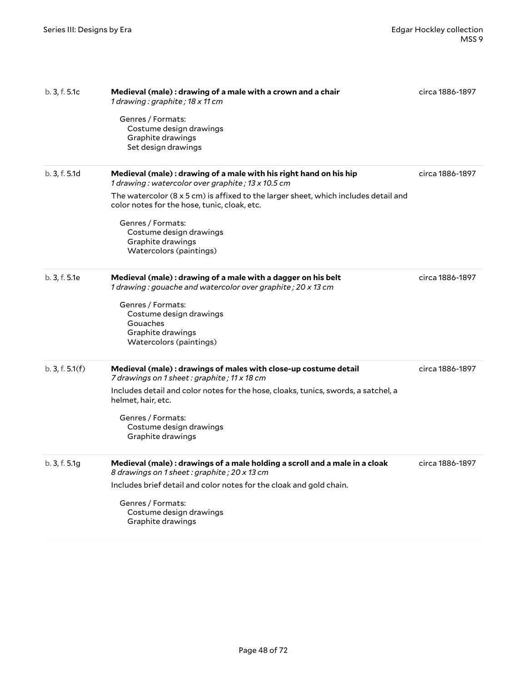| b. 3, f. 5.1c   | Medieval (male) : drawing of a male with a crown and a chair<br>1 drawing : graphite ; 18 x 11 cm<br>Genres / Formats:<br>Costume design drawings<br>Graphite drawings<br>Set design drawings                                                                                                                                                                                 | circa 1886-1897 |
|-----------------|-------------------------------------------------------------------------------------------------------------------------------------------------------------------------------------------------------------------------------------------------------------------------------------------------------------------------------------------------------------------------------|-----------------|
| b. 3, f. 5.1d   | Medieval (male) : drawing of a male with his right hand on his hip<br>1 drawing: watercolor over graphite; 13 x 10.5 cm<br>The watercolor $(8 \times 5 \text{ cm})$ is affixed to the larger sheet, which includes detail and<br>color notes for the hose, tunic, cloak, etc.<br>Genres / Formats:<br>Costume design drawings<br>Graphite drawings<br>Watercolors (paintings) | circa 1886-1897 |
| b. 3, f. 5.1e   | Medieval (male): drawing of a male with a dagger on his belt<br>1 drawing: gouache and watercolor over graphite; 20 x 13 cm<br>Genres / Formats:<br>Costume design drawings<br>Gouaches<br>Graphite drawings<br>Watercolors (paintings)                                                                                                                                       | circa 1886-1897 |
| b. 3, f. 5.1(f) | Medieval (male) : drawings of males with close-up costume detail<br>7 drawings on 1 sheet : graphite ; 11 x 18 cm<br>Includes detail and color notes for the hose, cloaks, tunics, swords, a satchel, a<br>helmet, hair, etc.<br>Genres / Formats:<br>Costume design drawings<br>Graphite drawings                                                                            | circa 1886-1897 |
| b.3, f.5.1g     | Medieval (male) : drawings of a male holding a scroll and a male in a cloak<br>8 drawings on 1 sheet : graphite ; 20 x 13 cm<br>Includes brief detail and color notes for the cloak and gold chain.<br>Genres / Formats:<br>Costume design drawings<br>Graphite drawings                                                                                                      | circa 1886-1897 |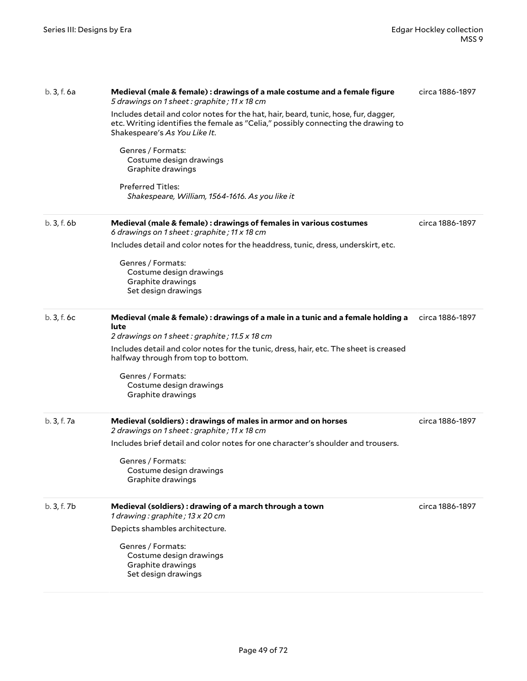| b. 3, f. 6a | Medieval (male & female) : drawings of a male costume and a female figure<br>5 drawings on 1 sheet: graphite; 11 x 18 cm                                                                                  | circa 1886-1897 |
|-------------|-----------------------------------------------------------------------------------------------------------------------------------------------------------------------------------------------------------|-----------------|
|             | Includes detail and color notes for the hat, hair, beard, tunic, hose, fur, dagger,<br>etc. Writing identifies the female as "Celia," possibly connecting the drawing to<br>Shakespeare's As You Like It. |                 |
|             | Genres / Formats:<br>Costume design drawings<br>Graphite drawings                                                                                                                                         |                 |
|             | <b>Preferred Titles:</b><br>Shakespeare, William, 1564-1616. As you like it                                                                                                                               |                 |
| b. 3, f. 6b | Medieval (male & female) : drawings of females in various costumes<br>6 drawings on 1 sheet: graphite; 11 x 18 cm                                                                                         | circa 1886-1897 |
|             | Includes detail and color notes for the headdress, tunic, dress, underskirt, etc.                                                                                                                         |                 |
|             | Genres / Formats:<br>Costume design drawings<br>Graphite drawings<br>Set design drawings                                                                                                                  |                 |
| b.3, f.6c   | Medieval (male & female) : drawings of a male in a tunic and a female holding a                                                                                                                           | circa 1886-1897 |
|             | lute<br>2 drawings on 1 sheet: graphite; 11.5 x 18 cm                                                                                                                                                     |                 |
|             | Includes detail and color notes for the tunic, dress, hair, etc. The sheet is creased<br>halfway through from top to bottom.                                                                              |                 |
|             | Genres / Formats:<br>Costume design drawings<br>Graphite drawings                                                                                                                                         |                 |
| b. 3, f. 7a | Medieval (soldiers): drawings of males in armor and on horses<br>2 drawings on 1 sheet: graphite; 11 x 18 cm                                                                                              | circa 1886-1897 |
|             | Includes brief detail and color notes for one character's shoulder and trousers.                                                                                                                          |                 |
|             | Genres / Formats:<br>Costume design drawings<br>Graphite drawings                                                                                                                                         |                 |
| b. 3, f. 7b | Medieval (soldiers) : drawing of a march through a town<br>1 drawing: graphite; 13 x 20 cm                                                                                                                | circa 1886-1897 |
|             | Depicts shambles architecture.                                                                                                                                                                            |                 |
|             | Genres / Formats:<br>Costume design drawings<br>Graphite drawings<br>Set design drawings                                                                                                                  |                 |
|             |                                                                                                                                                                                                           |                 |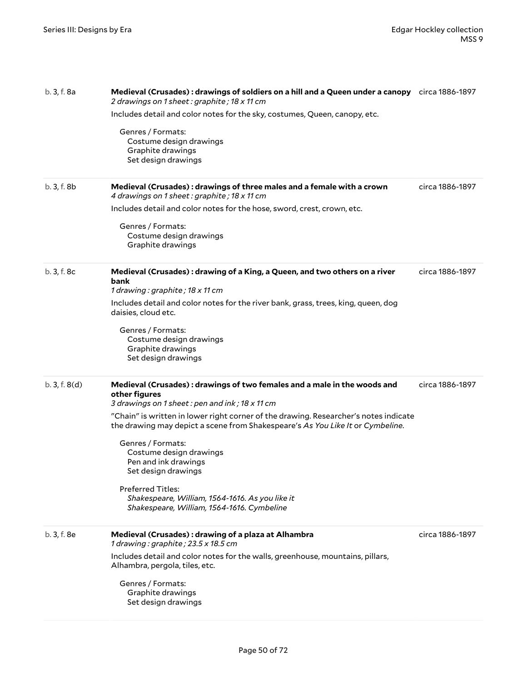| b. 3, f. 8a | Medieval (Crusades): drawings of soldiers on a hill and a Queen under a canopy circa 1886-1897<br>2 drawings on 1 sheet: graphite; 18 x 11 cm<br>Includes detail and color notes for the sky, costumes, Queen, canopy, etc.<br>Genres / Formats:<br>Costume design drawings<br>Graphite drawings<br>Set design drawings                                                                                                                                                                                                                           |                 |
|-------------|---------------------------------------------------------------------------------------------------------------------------------------------------------------------------------------------------------------------------------------------------------------------------------------------------------------------------------------------------------------------------------------------------------------------------------------------------------------------------------------------------------------------------------------------------|-----------------|
| b. 3, f. 8b | Medieval (Crusades): drawings of three males and a female with a crown<br>4 drawings on 1 sheet: graphite; 18 x 11 cm<br>Includes detail and color notes for the hose, sword, crest, crown, etc.<br>Genres / Formats:<br>Costume design drawings<br>Graphite drawings                                                                                                                                                                                                                                                                             | circa 1886-1897 |
| b. 3, f. 8c | Medieval (Crusades): drawing of a King, a Queen, and two others on a river<br>bank<br>1 drawing: graphite; 18 x 11 cm<br>Includes detail and color notes for the river bank, grass, trees, king, queen, dog<br>daisies, cloud etc.<br>Genres / Formats:<br>Costume design drawings<br>Graphite drawings<br>Set design drawings                                                                                                                                                                                                                    | circa 1886-1897 |
| b.3, f.8(d) | Medieval (Crusades): drawings of two females and a male in the woods and<br>other figures<br>3 drawings on 1 sheet: pen and ink; 18 x 11 cm<br>"Chain" is written in lower right corner of the drawing. Researcher's notes indicate<br>the drawing may depict a scene from Shakespeare's As You Like It or Cymbeline.<br>Genres / Formats:<br>Costume design drawings<br>Pen and ink drawings<br>Set design drawings<br><b>Preferred Titles:</b><br>Shakespeare, William, 1564-1616. As you like it<br>Shakespeare, William, 1564-1616. Cymbeline | circa 1886-1897 |
| b. 3, f. 8e | Medieval (Crusades): drawing of a plaza at Alhambra<br>1 drawing: graphite; 23.5 x 18.5 cm<br>Includes detail and color notes for the walls, greenhouse, mountains, pillars,<br>Alhambra, pergola, tiles, etc.<br>Genres / Formats:<br>Graphite drawings<br>Set design drawings                                                                                                                                                                                                                                                                   | circa 1886-1897 |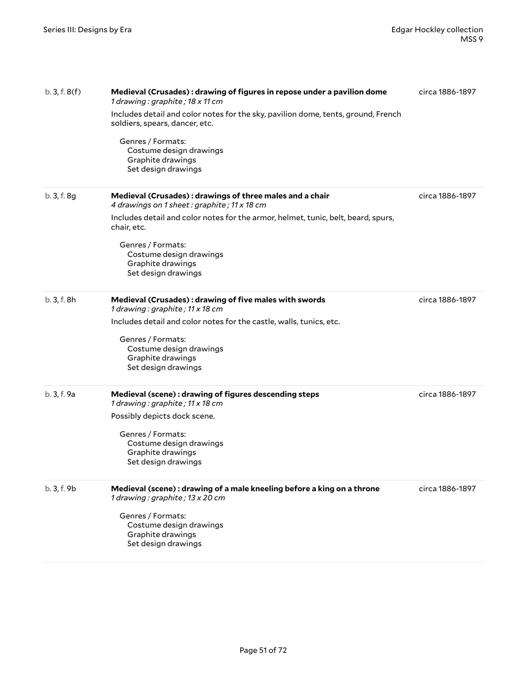| b.3, f.8(f) | Medieval (Crusades): drawing of figures in repose under a pavilion dome<br>1 drawing: graphite; 18 x 11 cm          | circa 1886-1897 |
|-------------|---------------------------------------------------------------------------------------------------------------------|-----------------|
|             | Includes detail and color notes for the sky, pavilion dome, tents, ground, French<br>soldiers, spears, dancer, etc. |                 |
|             | Genres / Formats:<br>Costume design drawings<br>Graphite drawings<br>Set design drawings                            |                 |
| b. 3, f. 8g | Medieval (Crusades): drawings of three males and a chair<br>4 drawings on 1 sheet: graphite; 11 x 18 cm             | circa 1886-1897 |
|             | Includes detail and color notes for the armor, helmet, tunic, belt, beard, spurs,<br>chair, etc.                    |                 |
|             | Genres / Formats:<br>Costume design drawings<br>Graphite drawings<br>Set design drawings                            |                 |
| b. 3, f. 8h | Medieval (Crusades): drawing of five males with swords<br>1 drawing: graphite; 11 x 18 cm                           | circa 1886-1897 |
|             | Includes detail and color notes for the castle, walls, tunics, etc.                                                 |                 |
|             | Genres / Formats:<br>Costume design drawings<br>Graphite drawings<br>Set design drawings                            |                 |
| b. 3, f. 9a | Medieval (scene): drawing of figures descending steps<br>1 drawing: graphite; 11 x 18 cm                            | circa 1886-1897 |
|             | Possibly depicts dock scene.                                                                                        |                 |
|             | Genres / Formats:<br>Costume design drawings<br>Graphite drawings<br>Set design drawings                            |                 |
| b. 3, f. 9b | Medieval (scene) : drawing of a male kneeling before a king on a throne<br>1 drawing: graphite; 13 x 20 cm          | circa 1886-1897 |
|             | Genres / Formats:<br>Costume design drawings<br>Graphite drawings<br>Set design drawings                            |                 |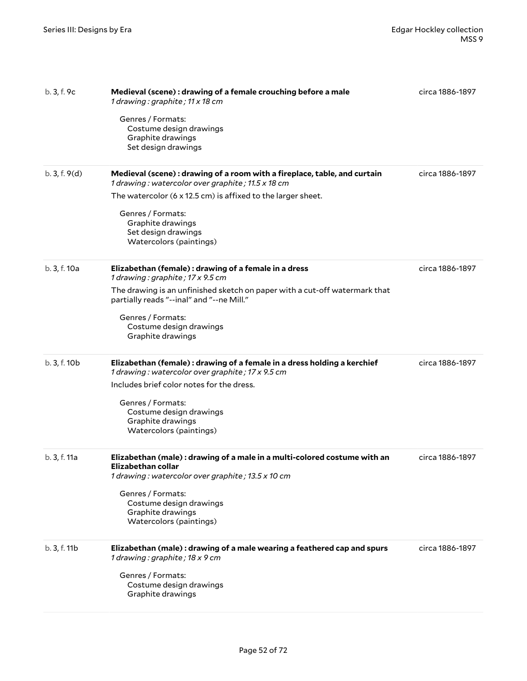| b.3, f.9c    | Medieval (scene) : drawing of a female crouching before a male<br>1 drawing: graphite; 11 x 18 cm<br>Genres / Formats:                               | circa 1886-1897 |
|--------------|------------------------------------------------------------------------------------------------------------------------------------------------------|-----------------|
|              | Costume design drawings<br>Graphite drawings<br>Set design drawings                                                                                  |                 |
| b.3, f.9(d)  | Medieval (scene): drawing of a room with a fireplace, table, and curtain<br>1 drawing: watercolor over graphite; 11.5 x 18 cm                        | circa 1886-1897 |
|              | The watercolor (6 x 12.5 cm) is affixed to the larger sheet.                                                                                         |                 |
|              | Genres / Formats:<br>Graphite drawings<br>Set design drawings<br>Watercolors (paintings)                                                             |                 |
| b. 3, f. 10a | Elizabethan (female) : drawing of a female in a dress<br>1 drawing: graphite; 17 x 9.5 cm                                                            | circa 1886-1897 |
|              | The drawing is an unfinished sketch on paper with a cut-off watermark that<br>partially reads "--inal" and "--ne Mill."                              |                 |
|              | Genres / Formats:<br>Costume design drawings<br>Graphite drawings                                                                                    |                 |
| b. 3, f. 10b | Elizabethan (female) : drawing of a female in a dress holding a kerchief<br>1 drawing: watercolor over graphite; 17 x 9.5 cm                         | circa 1886-1897 |
|              | Includes brief color notes for the dress.                                                                                                            |                 |
|              | Genres / Formats:                                                                                                                                    |                 |
|              | Costume design drawings<br>Graphite drawings                                                                                                         |                 |
|              | Watercolors (paintings)                                                                                                                              |                 |
| b. 3, f. 11a | Elizabethan (male) : drawing of a male in a multi-colored costume with an<br>Elizabethan collar<br>1 drawing: watercolor over graphite; 13.5 x 10 cm | circa 1886-1897 |
|              | Genres / Formats:                                                                                                                                    |                 |
|              | Costume design drawings<br>Graphite drawings                                                                                                         |                 |
|              | Watercolors (paintings)                                                                                                                              |                 |
| b. 3, f. 11b | Elizabethan (male): drawing of a male wearing a feathered cap and spurs<br>1 drawing: graphite; 18 x 9 cm                                            | circa 1886-1897 |
|              | Genres / Formats:                                                                                                                                    |                 |
|              | Costume design drawings<br>Graphite drawings                                                                                                         |                 |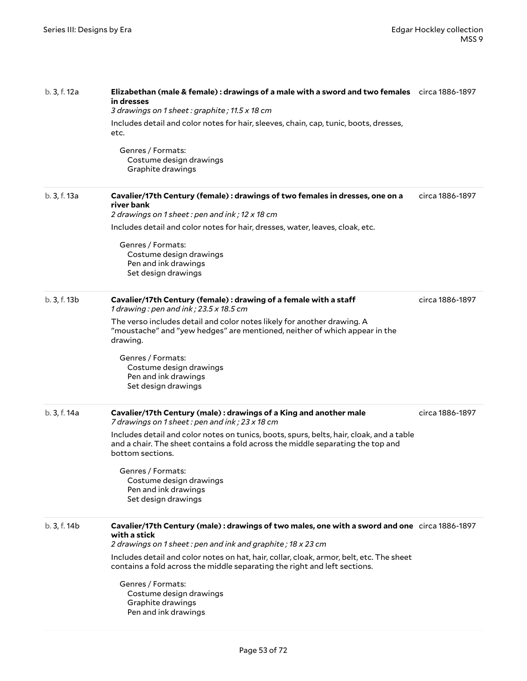| b. 3, f. 12a | Elizabethan (male & female): drawings of a male with a sword and two females circa 1886-1897<br>in dresses<br>3 drawings on 1 sheet: graphite; 11.5 x 18 cm<br>Includes detail and color notes for hair, sleeves, chain, cap, tunic, boots, dresses,<br>etc.<br>Genres / Formats:<br>Costume design drawings<br>Graphite drawings                                                                                                                  |                 |
|--------------|----------------------------------------------------------------------------------------------------------------------------------------------------------------------------------------------------------------------------------------------------------------------------------------------------------------------------------------------------------------------------------------------------------------------------------------------------|-----------------|
| b. 3, f. 13a | Cavalier/17th Century (female) : drawings of two females in dresses, one on a<br>river bank<br>2 drawings on 1 sheet: pen and ink; 12 x 18 cm<br>Includes detail and color notes for hair, dresses, water, leaves, cloak, etc.<br>Genres / Formats:<br>Costume design drawings<br>Pen and ink drawings<br>Set design drawings                                                                                                                      | circa 1886-1897 |
| b. 3, f. 13b | Cavalier/17th Century (female) : drawing of a female with a staff<br>1 drawing : pen and ink ; 23.5 x 18.5 cm<br>The verso includes detail and color notes likely for another drawing. A<br>"moustache" and "yew hedges" are mentioned, neither of which appear in the<br>drawing.<br>Genres / Formats:<br>Costume design drawings<br>Pen and ink drawings<br>Set design drawings                                                                  | circa 1886-1897 |
| b. 3, f. 14a | Cavalier/17th Century (male) : drawings of a King and another male<br>7 drawings on 1 sheet: pen and ink; 23 x 18 cm<br>Includes detail and color notes on tunics, boots, spurs, belts, hair, cloak, and a table<br>and a chair. The sheet contains a fold across the middle separating the top and<br>bottom sections.<br>Genres / Formats:<br>Costume design drawings<br>Pen and ink drawings<br>Set design drawings                             | circa 1886-1897 |
| b. 3, f. 14b | Cavalier/17th Century (male): drawings of two males, one with a sword and one circa 1886-1897<br>with a stick<br>2 drawings on 1 sheet: pen and ink and graphite; 18 x 23 cm<br>Includes detail and color notes on hat, hair, collar, cloak, armor, belt, etc. The sheet<br>contains a fold across the middle separating the right and left sections.<br>Genres / Formats:<br>Costume design drawings<br>Graphite drawings<br>Pen and ink drawings |                 |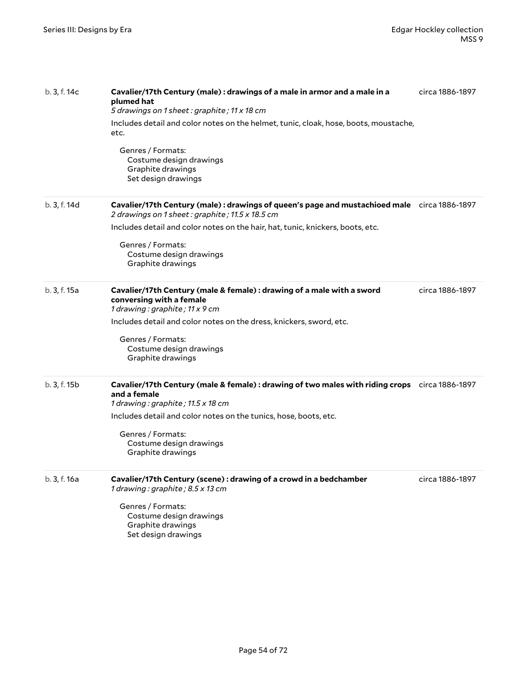| b. 3, f. 14c | Cavalier/17th Century (male) : drawings of a male in armor and a male in a<br>plumed hat<br>5 drawings on 1 sheet: graphite; 11 x 18 cm            | circa 1886-1897 |
|--------------|----------------------------------------------------------------------------------------------------------------------------------------------------|-----------------|
|              | Includes detail and color notes on the helmet, tunic, cloak, hose, boots, moustache,<br>etc.                                                       |                 |
|              | Genres / Formats:<br>Costume design drawings<br>Graphite drawings<br>Set design drawings                                                           |                 |
| b. 3, f. 14d | Cavalier/17th Century (male): drawings of queen's page and mustachioed male circa 1886-1897<br>2 drawings on 1 sheet: graphite; 11.5 x 18.5 cm     |                 |
|              | Includes detail and color notes on the hair, hat, tunic, knickers, boots, etc.                                                                     |                 |
|              | Genres / Formats:<br>Costume design drawings<br>Graphite drawings                                                                                  |                 |
| b. 3, f. 15a | Cavalier/17th Century (male & female) : drawing of a male with a sword<br>conversing with a female<br>1 drawing: graphite; 11 x 9 cm               | circa 1886-1897 |
|              | Includes detail and color notes on the dress, knickers, sword, etc.                                                                                |                 |
|              | Genres / Formats:<br>Costume design drawings<br>Graphite drawings                                                                                  |                 |
| b. 3, f. 15b | Cavalier/17th Century (male & female): drawing of two males with riding crops circa 1886-1897<br>and a female<br>1 drawing: graphite; 11.5 x 18 cm |                 |
|              | Includes detail and color notes on the tunics, hose, boots, etc.                                                                                   |                 |
|              | Genres / Formats:<br>Costume design drawings<br>Graphite drawings                                                                                  |                 |
| b. 3, f. 16a | Cavalier/17th Century (scene) : drawing of a crowd in a bedchamber<br>1 drawing: graphite; 8.5 x 13 cm                                             | circa 1886-1897 |
|              | Genres / Formats:<br>Costume design drawings<br>Graphite drawings<br>Set design drawings                                                           |                 |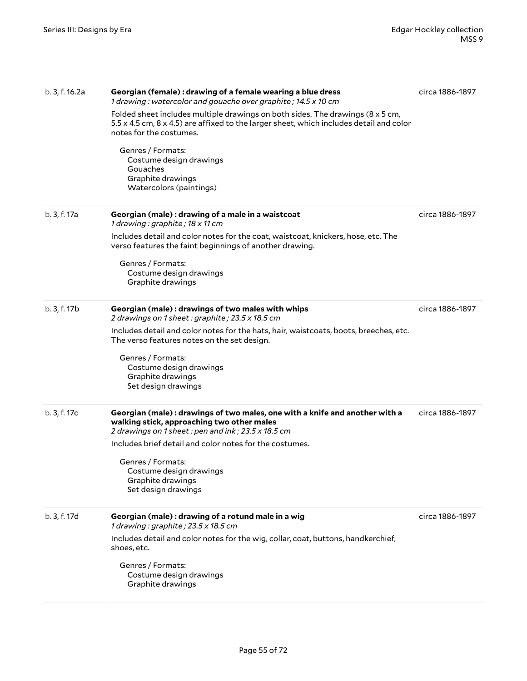| b. 3, f. 16.2a | Georgian (female) : drawing of a female wearing a blue dress<br>1 drawing: watercolor and gouache over graphite; 14.5 x 10 cm<br>Folded sheet includes multiple drawings on both sides. The drawings (8 x 5 cm,<br>5.5 x 4.5 cm, 8 x 4.5) are affixed to the larger sheet, which includes detail and color<br>notes for the costumes.<br>Genres / Formats:<br>Costume design drawings<br>Gouaches<br>Graphite drawings<br>Watercolors (paintings) | circa 1886-1897 |
|----------------|---------------------------------------------------------------------------------------------------------------------------------------------------------------------------------------------------------------------------------------------------------------------------------------------------------------------------------------------------------------------------------------------------------------------------------------------------|-----------------|
| b. 3, f. 17a   | Georgian (male) : drawing of a male in a waistcoat<br>1 drawing: graphite; 18 x 11 cm<br>Includes detail and color notes for the coat, waistcoat, knickers, hose, etc. The<br>verso features the faint beginnings of another drawing.<br>Genres / Formats:<br>Costume design drawings<br>Graphite drawings                                                                                                                                        | circa 1886-1897 |
| b. 3, f. 17b   | Georgian (male): drawings of two males with whips<br>2 drawings on 1 sheet: graphite; 23.5 x 18.5 cm<br>Includes detail and color notes for the hats, hair, waistcoats, boots, breeches, etc.<br>The verso features notes on the set design.<br>Genres / Formats:<br>Costume design drawings<br>Graphite drawings<br>Set design drawings                                                                                                          | circa 1886-1897 |
| b. 3, f. 17c   | Georgian (male): drawings of two males, one with a knife and another with a<br>walking stick, approaching two other males<br>2 drawings on 1 sheet: pen and ink; 23.5 x 18.5 cm<br>Includes brief detail and color notes for the costumes.<br>Genres / Formats:<br>Costume design drawings<br>Graphite drawings<br>Set design drawings                                                                                                            | circa 1886-1897 |
| b. 3, f. 17d   | Georgian (male) : drawing of a rotund male in a wig<br>1 drawing: graphite; 23.5 x 18.5 cm<br>Includes detail and color notes for the wig, collar, coat, buttons, handkerchief,<br>shoes, etc.<br>Genres / Formats:<br>Costume design drawings<br>Graphite drawings                                                                                                                                                                               | circa 1886-1897 |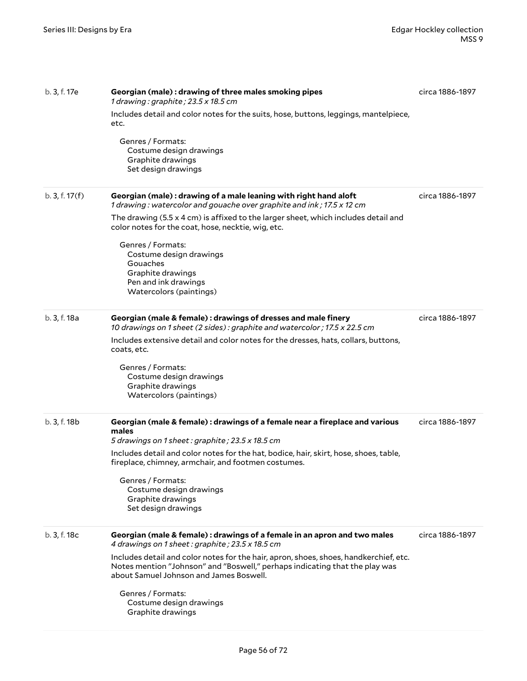| b. 3, f. 17e | Georgian (male): drawing of three males smoking pipes<br>1 drawing: graphite; $23.5 \times 18.5$ cm<br>Includes detail and color notes for the suits, hose, buttons, leggings, mantelpiece,<br>etc.<br>Genres / Formats:<br>Costume design drawings<br>Graphite drawings<br>Set design drawings                                                                                                                                          | circa 1886-1897 |
|--------------|------------------------------------------------------------------------------------------------------------------------------------------------------------------------------------------------------------------------------------------------------------------------------------------------------------------------------------------------------------------------------------------------------------------------------------------|-----------------|
| b.3, f.17(f) | Georgian (male): drawing of a male leaning with right hand aloft<br>1 drawing: watercolor and gouache over graphite and ink; 17.5 x 12 cm<br>The drawing $(5.5 \times 4 \text{ cm})$ is affixed to the larger sheet, which includes detail and<br>color notes for the coat, hose, necktie, wig, etc.<br>Genres / Formats:<br>Costume design drawings<br>Gouaches<br>Graphite drawings<br>Pen and ink drawings<br>Watercolors (paintings) | circa 1886-1897 |
| b. 3, f. 18a | Georgian (male & female) : drawings of dresses and male finery<br>10 drawings on 1 sheet (2 sides): graphite and watercolor; 17.5 x 22.5 cm<br>Includes extensive detail and color notes for the dresses, hats, collars, buttons,<br>coats, etc.<br>Genres / Formats:<br>Costume design drawings<br>Graphite drawings<br>Watercolors (paintings)                                                                                         | circa 1886-1897 |
| b. 3, f. 18b | Georgian (male & female) : drawings of a female near a fireplace and various<br>males<br>5 drawings on 1 sheet: graphite; 23.5 x 18.5 cm<br>Includes detail and color notes for the hat, bodice, hair, skirt, hose, shoes, table,<br>fireplace, chimney, armchair, and footmen costumes.<br>Genres / Formats:<br>Costume design drawings<br>Graphite drawings<br>Set design drawings                                                     | circa 1886-1897 |
| b. 3, f. 18c | Georgian (male & female) : drawings of a female in an apron and two males<br>4 drawings on 1 sheet: graphite; 23.5 x 18.5 cm<br>Includes detail and color notes for the hair, apron, shoes, shoes, handkerchief, etc.<br>Notes mention "Johnson" and "Boswell," perhaps indicating that the play was<br>about Samuel Johnson and James Boswell.<br>Genres / Formats:<br>Costume design drawings<br>Graphite drawings                     | circa 1886-1897 |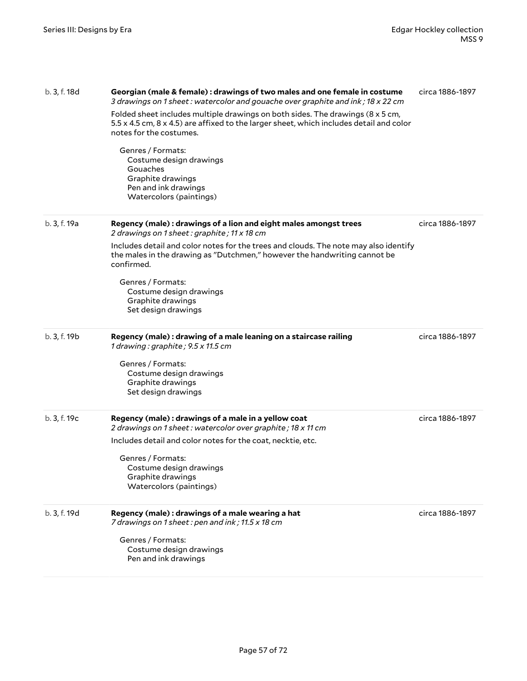| b. 3, f. 18d | Georgian (male & female) : drawings of two males and one female in costume<br>3 drawings on 1 sheet: watercolor and gouache over graphite and ink; 18 x 22 cm<br>Folded sheet includes multiple drawings on both sides. The drawings (8 x 5 cm,<br>5.5 x 4.5 cm, 8 x 4.5) are affixed to the larger sheet, which includes detail and color<br>notes for the costumes.<br>Genres / Formats:<br>Costume design drawings<br>Gouaches<br>Graphite drawings<br>Pen and ink drawings<br>Watercolors (paintings) | circa 1886-1897 |
|--------------|-----------------------------------------------------------------------------------------------------------------------------------------------------------------------------------------------------------------------------------------------------------------------------------------------------------------------------------------------------------------------------------------------------------------------------------------------------------------------------------------------------------|-----------------|
| b. 3, f. 19a | Regency (male): drawings of a lion and eight males amongst trees<br>2 drawings on 1 sheet: graphite; 11 x 18 cm<br>Includes detail and color notes for the trees and clouds. The note may also identify<br>the males in the drawing as "Dutchmen," however the handwriting cannot be<br>confirmed.<br>Genres / Formats:<br>Costume design drawings<br>Graphite drawings<br>Set design drawings                                                                                                            | circa 1886-1897 |
| b. 3, f. 19b | Regency (male): drawing of a male leaning on a staircase railing<br>1 drawing: graphite; 9.5 x 11.5 cm<br>Genres / Formats:<br>Costume design drawings<br>Graphite drawings<br>Set design drawings                                                                                                                                                                                                                                                                                                        | circa 1886-1897 |
| b. 3, f. 19c | Regency (male): drawings of a male in a yellow coat<br>2 drawings on 1 sheet: watercolor over graphite; 18 x 11 cm<br>Includes detail and color notes for the coat, necktie, etc.<br>Genres / Formats:<br>Costume design drawings<br>Graphite drawings<br>Watercolors (paintings)                                                                                                                                                                                                                         | circa 1886-1897 |
| b. 3, f. 19d | Regency (male): drawings of a male wearing a hat<br>7 drawings on 1 sheet: pen and ink; 11.5 x 18 cm<br>Genres / Formats:<br>Costume design drawings<br>Pen and ink drawings                                                                                                                                                                                                                                                                                                                              | circa 1886-1897 |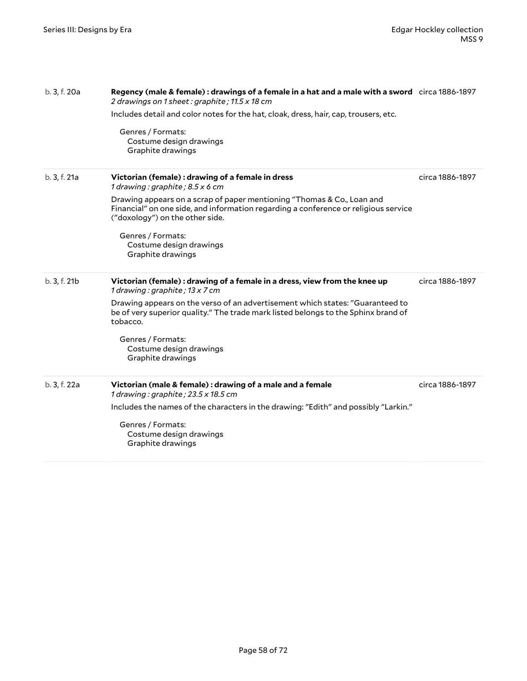| b. 3, f. 20a | Regency (male & female): drawings of a female in a hat and a male with a sword circa 1886-1897<br>2 drawings on 1 sheet : graphite ; 11.5 x 18 cm                                                |                 |
|--------------|--------------------------------------------------------------------------------------------------------------------------------------------------------------------------------------------------|-----------------|
|              | Includes detail and color notes for the hat, cloak, dress, hair, cap, trousers, etc.                                                                                                             |                 |
|              | Genres / Formats:<br>Costume design drawings<br>Graphite drawings                                                                                                                                |                 |
| b. 3, f. 21a | Victorian (female) : drawing of a female in dress<br>1 drawing : graphite ; $8.5 x 6 cm$                                                                                                         | circa 1886-1897 |
|              | Drawing appears on a scrap of paper mentioning "Thomas & Co., Loan and<br>Financial" on one side, and information regarding a conference or religious service<br>("doxology") on the other side. |                 |
|              | Genres / Formats:<br>Costume design drawings<br>Graphite drawings                                                                                                                                |                 |
| b. 3, f. 21b | Victorian (female) : drawing of a female in a dress, view from the knee up<br>1 drawing: graphite; 13 x 7 cm                                                                                     | circa 1886-1897 |
|              | Drawing appears on the verso of an advertisement which states: "Guaranteed to<br>be of very superior quality." The trade mark listed belongs to the Sphinx brand of<br>tobacco.                  |                 |
|              | Genres / Formats:<br>Costume design drawings<br>Graphite drawings                                                                                                                                |                 |
| b. 3, f. 22a | Victorian (male & female) : drawing of a male and a female<br>1 drawing : graphite ; 23.5 x 18.5 cm                                                                                              | circa 1886-1897 |
|              | Includes the names of the characters in the drawing: "Edith" and possibly "Larkin."                                                                                                              |                 |
|              | Genres / Formats:<br>Costume design drawings<br>Graphite drawings                                                                                                                                |                 |
|              |                                                                                                                                                                                                  |                 |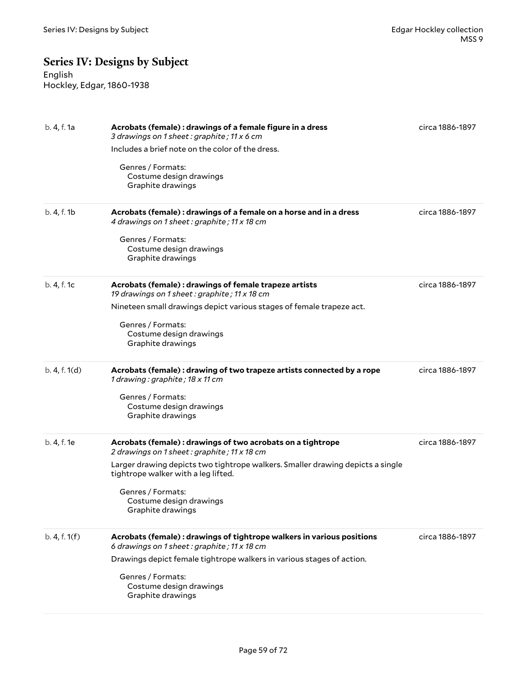# **Series IV: Designs by Subject**

English Hockley, Edgar, 1860-1938

| b. 4, f. 1a   | Acrobats (female) : drawings of a female figure in a dress<br>3 drawings on 1 sheet : graphite ; 11 x 6 cm<br>Includes a brief note on the color of the dress.<br>Genres / Formats:<br>Costume design drawings<br>Graphite drawings                                                                      | circa 1886-1897 |
|---------------|----------------------------------------------------------------------------------------------------------------------------------------------------------------------------------------------------------------------------------------------------------------------------------------------------------|-----------------|
| b. 4, f. 1b   | Acrobats (female) : drawings of a female on a horse and in a dress<br>4 drawings on 1 sheet : graphite ; 11 x 18 cm<br>Genres / Formats:<br>Costume design drawings<br>Graphite drawings                                                                                                                 | circa 1886-1897 |
| b. 4, f. 1c   | Acrobats (female) : drawings of female trapeze artists<br>19 drawings on 1 sheet: graphite; 11 x 18 cm<br>Nineteen small drawings depict various stages of female trapeze act.<br>Genres / Formats:<br>Costume design drawings<br>Graphite drawings                                                      | circa 1886-1897 |
| b. 4, f. 1(d) | Acrobats (female) : drawing of two trapeze artists connected by a rope<br>1 drawing: graphite; 18 x 11 cm<br>Genres / Formats:<br>Costume design drawings<br>Graphite drawings                                                                                                                           | circa 1886-1897 |
| b. 4, f. 1e   | Acrobats (female) : drawings of two acrobats on a tightrope<br>2 drawings on 1 sheet: graphite; 11 x 18 cm<br>Larger drawing depicts two tightrope walkers. Smaller drawing depicts a single<br>tightrope walker with a leg lifted.<br>Genres / Formats:<br>Costume design drawings<br>Graphite drawings | circa 1886-1897 |
| b. 4, f. 1(f) | Acrobats (female) : drawings of tightrope walkers in various positions<br>6 drawings on 1 sheet: graphite; 11 x 18 cm<br>Drawings depict female tightrope walkers in various stages of action.<br>Genres / Formats:<br>Costume design drawings<br>Graphite drawings                                      | circa 1886-1897 |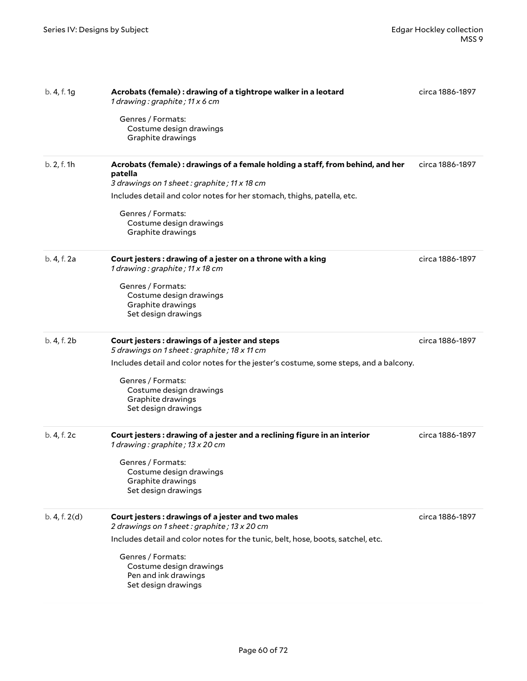| b. 4, f. 1g   | Acrobats (female) : drawing of a tightrope walker in a leotard<br>1 drawing: graphite; 11 x 6 cm                                        | circa 1886-1897 |
|---------------|-----------------------------------------------------------------------------------------------------------------------------------------|-----------------|
|               | Genres / Formats:<br>Costume design drawings<br>Graphite drawings                                                                       |                 |
| b. 2, f. 1h   | Acrobats (female): drawings of a female holding a staff, from behind, and her<br>patella<br>3 drawings on 1 sheet: graphite; 11 x 18 cm | circa 1886-1897 |
|               | Includes detail and color notes for her stomach, thighs, patella, etc.                                                                  |                 |
|               | Genres / Formats:<br>Costume design drawings<br>Graphite drawings                                                                       |                 |
| b. 4, f. 2a   | Court jesters: drawing of a jester on a throne with a king<br>1 drawing: graphite; 11 x 18 cm                                           | circa 1886-1897 |
|               | Genres / Formats:<br>Costume design drawings<br>Graphite drawings<br>Set design drawings                                                |                 |
| b. 4, f. 2b   | Court jesters: drawings of a jester and steps<br>5 drawings on 1 sheet: graphite; 18 x 11 cm                                            | circa 1886-1897 |
|               | Includes detail and color notes for the jester's costume, some steps, and a balcony.                                                    |                 |
|               | Genres / Formats:                                                                                                                       |                 |
|               | Costume design drawings<br>Graphite drawings                                                                                            |                 |
|               | Set design drawings                                                                                                                     |                 |
| b. 4, f. 2c   | Court jesters: drawing of a jester and a reclining figure in an interior<br>1 drawing: graphite; 13 x 20 cm                             | circa 1886-1897 |
|               | Genres / Formats:<br>Costume design drawings                                                                                            |                 |
|               | Graphite drawings<br>Set design drawings                                                                                                |                 |
| b. 4, f. 2(d) | Court jesters: drawings of a jester and two males<br>2 drawings on 1 sheet: graphite; 13 x 20 cm                                        | circa 1886-1897 |
|               | Includes detail and color notes for the tunic, belt, hose, boots, satchel, etc.                                                         |                 |
|               | Genres / Formats:<br>Costume design drawings<br>Pen and ink drawings<br>Set design drawings                                             |                 |
|               |                                                                                                                                         |                 |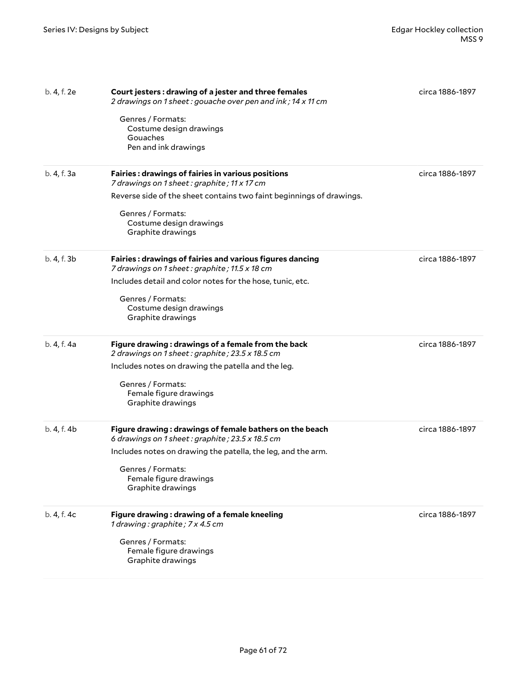| b. 4, f. 2e | Court jesters: drawing of a jester and three females<br>2 drawings on 1 sheet: gouache over pen and ink; 14 x 11 cm<br>Genres / Formats:<br>Costume design drawings<br>Gouaches<br>Pen and ink drawings                                              | circa 1886-1897 |
|-------------|------------------------------------------------------------------------------------------------------------------------------------------------------------------------------------------------------------------------------------------------------|-----------------|
| b. 4, f. 3a | <b>Fairies: drawings of fairies in various positions</b><br>7 drawings on 1 sheet: graphite; 11 x 17 cm<br>Reverse side of the sheet contains two faint beginnings of drawings.<br>Genres / Formats:<br>Costume design drawings<br>Graphite drawings | circa 1886-1897 |
| b. 4, f. 3b | Fairies: drawings of fairies and various figures dancing<br>7 drawings on 1 sheet: graphite; 11.5 x 18 cm<br>Includes detail and color notes for the hose, tunic, etc.<br>Genres / Formats:<br>Costume design drawings<br>Graphite drawings          | circa 1886-1897 |
| b. 4, f. 4a | Figure drawing: drawings of a female from the back<br>2 drawings on 1 sheet: graphite; 23.5 x 18.5 cm<br>Includes notes on drawing the patella and the leg.<br>Genres / Formats:<br>Female figure drawings<br>Graphite drawings                      | circa 1886-1897 |
| b. 4, f. 4b | Figure drawing: drawings of female bathers on the beach<br>6 drawings on 1 sheet: graphite; 23.5 x 18.5 cm<br>Includes notes on drawing the patella, the leg, and the arm.<br>Genres / Formats:<br>Female figure drawings<br>Graphite drawings       | circa 1886-1897 |
| b. 4, f. 4c | Figure drawing: drawing of a female kneeling<br>1 drawing: graphite; 7 x 4.5 cm<br>Genres / Formats:<br>Female figure drawings<br>Graphite drawings                                                                                                  | circa 1886-1897 |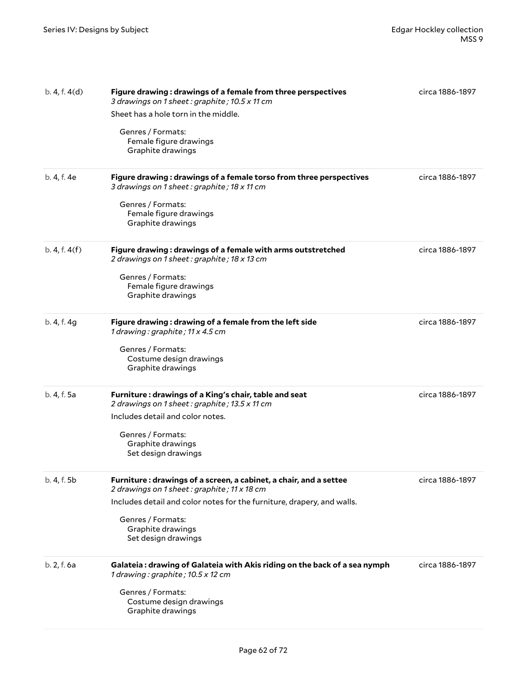| b. 4, f. 4(d) | Figure drawing: drawings of a female from three perspectives<br>3 drawings on 1 sheet: graphite; 10.5 x 11 cm<br>Sheet has a hole torn in the middle.<br>Genres / Formats:<br>Female figure drawings<br>Graphite drawings                                   | circa 1886-1897 |
|---------------|-------------------------------------------------------------------------------------------------------------------------------------------------------------------------------------------------------------------------------------------------------------|-----------------|
| b. 4, f. 4e   | Figure drawing: drawings of a female torso from three perspectives<br>3 drawings on 1 sheet: graphite; 18 x 11 cm<br>Genres / Formats:<br>Female figure drawings<br>Graphite drawings                                                                       | circa 1886-1897 |
| b. 4, f. 4(f) | Figure drawing: drawings of a female with arms outstretched<br>2 drawings on 1 sheet : graphite ; 18 x 13 cm<br>Genres / Formats:<br>Female figure drawings<br>Graphite drawings                                                                            | circa 1886-1897 |
| b. 4, f. 4g   | Figure drawing: drawing of a female from the left side<br>1 drawing: graphite; 11 x 4.5 cm<br>Genres / Formats:<br>Costume design drawings<br>Graphite drawings                                                                                             | circa 1886-1897 |
| b. 4, f. 5a   | Furniture: drawings of a King's chair, table and seat<br>2 drawings on 1 sheet: graphite; 13.5 x 11 cm<br>Includes detail and color notes.<br>Genres / Formats:<br>Graphite drawings<br>Set design drawings                                                 | circa 1886-1897 |
| b. 4, f. 5b   | Furniture: drawings of a screen, a cabinet, a chair, and a settee<br>2 drawings on 1 sheet: graphite; 11 x 18 cm<br>Includes detail and color notes for the furniture, drapery, and walls.<br>Genres / Formats:<br>Graphite drawings<br>Set design drawings | circa 1886-1897 |
| b. 2, f. 6a   | Galateia : drawing of Galateia with Akis riding on the back of a sea nymph<br>1 drawing: graphite; 10.5 x 12 cm<br>Genres / Formats:<br>Costume design drawings<br>Graphite drawings                                                                        | circa 1886-1897 |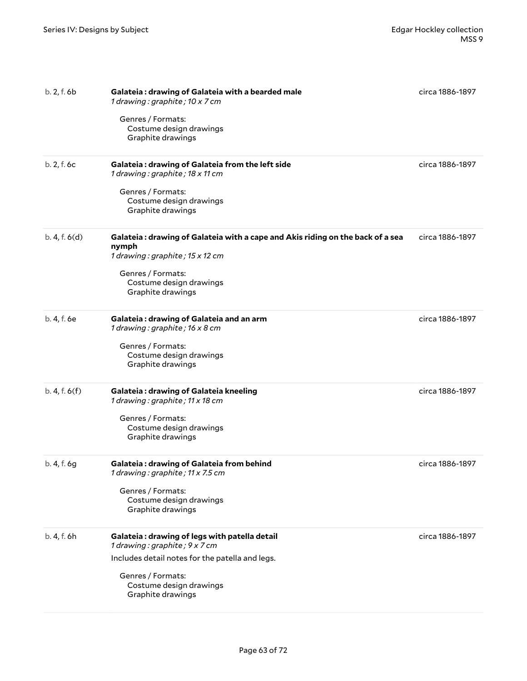| b. 2, f. 6b   | Galateia: drawing of Galateia with a bearded male<br>1 drawing: graphite; 10 x 7 cm<br>Genres / Formats:<br>Costume design drawings<br>Graphite drawings                                               | circa 1886-1897 |
|---------------|--------------------------------------------------------------------------------------------------------------------------------------------------------------------------------------------------------|-----------------|
| b. 2, f. 6c   | Galateia: drawing of Galateia from the left side<br>1 drawing: graphite; 18 x 11 cm<br>Genres / Formats:<br>Costume design drawings<br>Graphite drawings                                               | circa 1886-1897 |
| b. 4, f. 6(d) | Galateia : drawing of Galateia with a cape and Akis riding on the back of a sea<br>nymph<br>1 drawing: graphite; 15 x 12 cm<br>Genres / Formats:<br>Costume design drawings<br>Graphite drawings       | circa 1886-1897 |
| b. 4, f. 6e   | Galateia: drawing of Galateia and an arm<br>1 drawing: graphite; 16 x 8 cm<br>Genres / Formats:<br>Costume design drawings<br>Graphite drawings                                                        | circa 1886-1897 |
| b. 4, f. 6(f) | Galateia: drawing of Galateia kneeling<br>1 drawing: graphite; 11 x 18 cm<br>Genres / Formats:<br>Costume design drawings<br>Graphite drawings                                                         | circa 1886-1897 |
| b. 4, f. 6g   | Galateia: drawing of Galateia from behind<br>1 drawing: graphite; 11 x 7.5 cm<br>Genres / Formats:<br>Costume design drawings<br>Graphite drawings                                                     | circa 1886-1897 |
| b. 4, f. 6h   | Galateia: drawing of legs with patella detail<br>1 drawing: graphite; 9 x 7 cm<br>Includes detail notes for the patella and legs.<br>Genres / Formats:<br>Costume design drawings<br>Graphite drawings | circa 1886-1897 |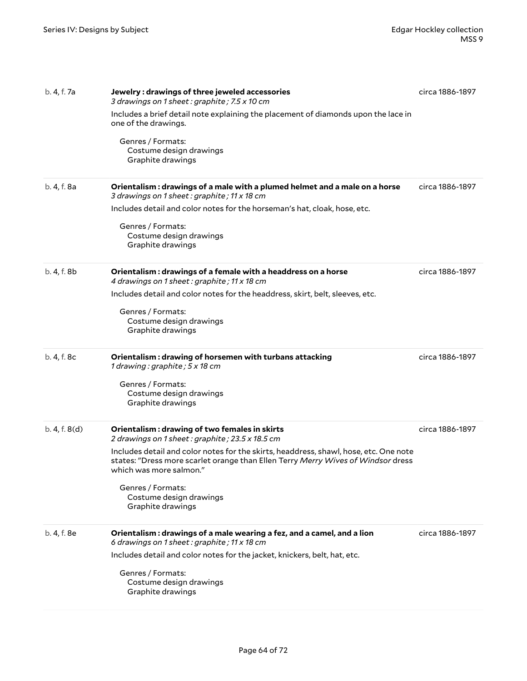| b. 4, f. 7a   | Jewelry: drawings of three jeweled accessories<br>3 drawings on 1 sheet: graphite; 7.5 x 10 cm<br>Includes a brief detail note explaining the placement of diamonds upon the lace in<br>one of the drawings.<br>Genres / Formats:<br>Costume design drawings<br>Graphite drawings                                                                                             | circa 1886-1897 |
|---------------|-------------------------------------------------------------------------------------------------------------------------------------------------------------------------------------------------------------------------------------------------------------------------------------------------------------------------------------------------------------------------------|-----------------|
| b. 4, f. 8a   | Orientalism : drawings of a male with a plumed helmet and a male on a horse<br>3 drawings on 1 sheet: graphite; 11 x 18 cm<br>Includes detail and color notes for the horseman's hat, cloak, hose, etc.<br>Genres / Formats:<br>Costume design drawings<br>Graphite drawings                                                                                                  | circa 1886-1897 |
| b. 4, f. 8b   | Orientalism: drawings of a female with a headdress on a horse<br>4 drawings on 1 sheet: graphite; 11 x 18 cm<br>Includes detail and color notes for the headdress, skirt, belt, sleeves, etc.<br>Genres / Formats:<br>Costume design drawings<br>Graphite drawings                                                                                                            | circa 1886-1897 |
| b. 4, f. 8c   | Orientalism: drawing of horsemen with turbans attacking<br>1 drawing: graphite; 5 x 18 cm<br>Genres / Formats:<br>Costume design drawings<br>Graphite drawings                                                                                                                                                                                                                | circa 1886-1897 |
| b. 4, f. 8(d) | Orientalism: drawing of two females in skirts<br>2 drawings on 1 sheet: graphite; 23.5 x 18.5 cm<br>Includes detail and color notes for the skirts, headdress, shawl, hose, etc. One note<br>states: "Dress more scarlet orange than Ellen Terry Merry Wives of Windsor dress<br>which was more salmon."<br>Genres / Formats:<br>Costume design drawings<br>Graphite drawings | circa 1886-1897 |
| b. 4, f. 8e   | Orientalism: drawings of a male wearing a fez, and a camel, and a lion<br>6 drawings on 1 sheet: graphite; 11 x 18 cm<br>Includes detail and color notes for the jacket, knickers, belt, hat, etc.<br>Genres / Formats:<br>Costume design drawings<br>Graphite drawings                                                                                                       | circa 1886-1897 |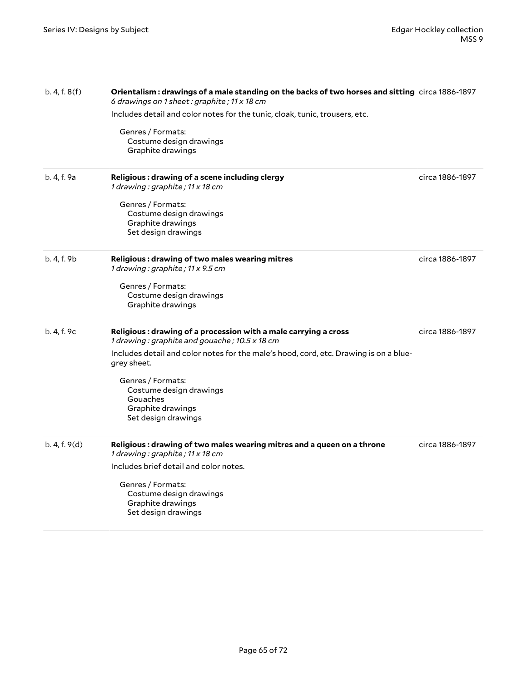| b. 4, f. 8(f) | Orientalism: drawings of a male standing on the backs of two horses and sitting circa 1886-1897<br>6 drawings on 1 sheet: graphite; 11 x 18 cm |                 |
|---------------|------------------------------------------------------------------------------------------------------------------------------------------------|-----------------|
|               | Includes detail and color notes for the tunic, cloak, tunic, trousers, etc.                                                                    |                 |
|               | Genres / Formats:<br>Costume design drawings<br>Graphite drawings                                                                              |                 |
| b. 4, f. 9a   | Religious: drawing of a scene including clergy<br>1 drawing: graphite; 11 x 18 cm                                                              | circa 1886-1897 |
|               | Genres / Formats:<br>Costume design drawings<br>Graphite drawings<br>Set design drawings                                                       |                 |
| b. 4, f. 9b   | Religious: drawing of two males wearing mitres<br>1 drawing: graphite; 11 x 9.5 cm                                                             | circa 1886-1897 |
|               | Genres / Formats:<br>Costume design drawings<br>Graphite drawings                                                                              |                 |
| b. 4, f. 9c   | Religious: drawing of a procession with a male carrying a cross<br>1 drawing: graphite and gouache; 10.5 x 18 cm                               | circa 1886-1897 |
|               | Includes detail and color notes for the male's hood, cord, etc. Drawing is on a blue-<br>grey sheet.                                           |                 |
|               | Genres / Formats:<br>Costume design drawings<br>Gouaches<br>Graphite drawings<br>Set design drawings                                           |                 |
| b. 4, f. 9(d) | Religious: drawing of two males wearing mitres and a queen on a throne<br>1 drawing: graphite; 11 x 18 cm                                      | circa 1886-1897 |
|               | Includes brief detail and color notes.                                                                                                         |                 |
|               | Genres / Formats:<br>Costume design drawings<br>Graphite drawings<br>Set design drawings                                                       |                 |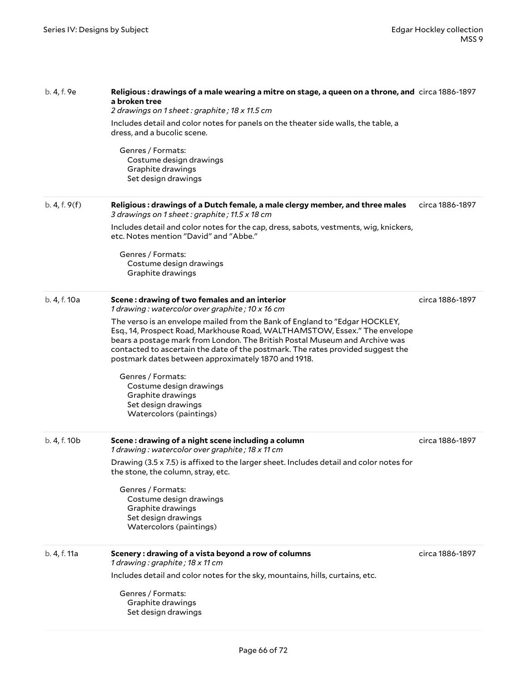| b. 4, f. 9e   | Religious: drawings of a male wearing a mitre on stage, a queen on a throne, and circa 1886-1897<br>a broken tree<br>2 drawings on 1 sheet: graphite; 18 x 11.5 cm                                                                                                                                                                                                                 |                 |  |
|---------------|------------------------------------------------------------------------------------------------------------------------------------------------------------------------------------------------------------------------------------------------------------------------------------------------------------------------------------------------------------------------------------|-----------------|--|
|               | Includes detail and color notes for panels on the theater side walls, the table, a<br>dress, and a bucolic scene.                                                                                                                                                                                                                                                                  |                 |  |
|               | Genres / Formats:<br>Costume design drawings<br>Graphite drawings<br>Set design drawings                                                                                                                                                                                                                                                                                           |                 |  |
| b. 4, f. 9(f) | Religious : drawings of a Dutch female, a male clergy member, and three males<br>3 drawings on 1 sheet: graphite; 11.5 x 18 cm                                                                                                                                                                                                                                                     | circa 1886-1897 |  |
|               | Includes detail and color notes for the cap, dress, sabots, vestments, wig, knickers,<br>etc. Notes mention "David" and "Abbe."                                                                                                                                                                                                                                                    |                 |  |
|               | Genres / Formats:<br>Costume design drawings<br>Graphite drawings                                                                                                                                                                                                                                                                                                                  |                 |  |
| b. 4, f. 10a  | Scene: drawing of two females and an interior<br>1 drawing: watercolor over graphite; 10 x 16 cm                                                                                                                                                                                                                                                                                   | circa 1886-1897 |  |
|               | The verso is an envelope mailed from the Bank of England to "Edgar HOCKLEY,<br>Esq., 14, Prospect Road, Markhouse Road, WALTHAMSTOW, Essex." The envelope<br>bears a postage mark from London. The British Postal Museum and Archive was<br>contacted to ascertain the date of the postmark. The rates provided suggest the<br>postmark dates between approximately 1870 and 1918. |                 |  |
|               | Genres / Formats:<br>Costume design drawings<br>Graphite drawings<br>Set design drawings<br>Watercolors (paintings)                                                                                                                                                                                                                                                                |                 |  |
| b. 4, f. 10b  | Scene: drawing of a night scene including a column<br>1 drawing: watercolor over graphite; 18 x 11 cm                                                                                                                                                                                                                                                                              | circa 1886-1897 |  |
|               | Drawing (3.5 x 7.5) is affixed to the larger sheet. Includes detail and color notes for<br>the stone, the column, stray, etc.                                                                                                                                                                                                                                                      |                 |  |
|               | Genres / Formats:<br>Costume design drawings<br>Graphite drawings<br>Set design drawings<br>Watercolors (paintings)                                                                                                                                                                                                                                                                |                 |  |
| b. 4, f. 11a  | Scenery: drawing of a vista beyond a row of columns<br>1 drawing: graphite; 18 x 11 cm                                                                                                                                                                                                                                                                                             | circa 1886-1897 |  |
|               | Includes detail and color notes for the sky, mountains, hills, curtains, etc.                                                                                                                                                                                                                                                                                                      |                 |  |
|               | Genres / Formats:<br>Graphite drawings<br>Set design drawings                                                                                                                                                                                                                                                                                                                      |                 |  |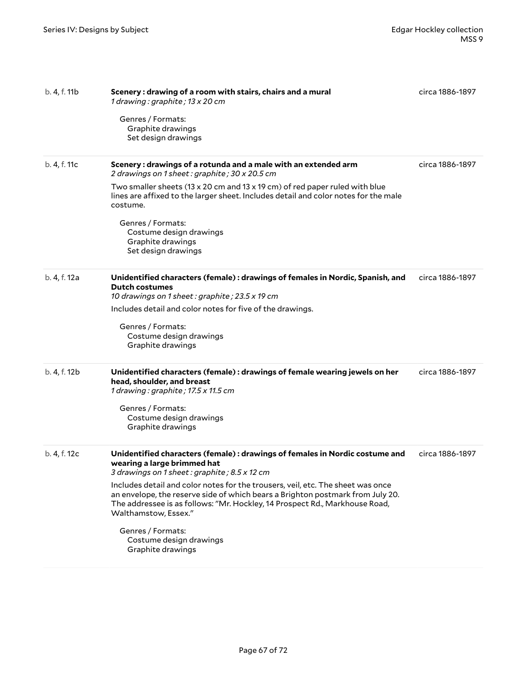| b. 4, f. 11b | Scenery: drawing of a room with stairs, chairs and a mural<br>1 drawing: graphite; 13 x 20 cm<br>Genres / Formats:<br>Graphite drawings<br>Set design drawings                                                                                                                                                                                                                                                                                                                                              | circa 1886-1897 |
|--------------|-------------------------------------------------------------------------------------------------------------------------------------------------------------------------------------------------------------------------------------------------------------------------------------------------------------------------------------------------------------------------------------------------------------------------------------------------------------------------------------------------------------|-----------------|
| b. 4, f. 11c | Scenery: drawings of a rotunda and a male with an extended arm<br>2 drawings on 1 sheet: graphite; 30 x 20.5 cm<br>Two smaller sheets (13 x 20 cm and 13 x 19 cm) of red paper ruled with blue<br>lines are affixed to the larger sheet. Includes detail and color notes for the male<br>costume.<br>Genres / Formats:<br>Costume design drawings<br>Graphite drawings<br>Set design drawings                                                                                                               | circa 1886-1897 |
| b. 4, f. 12a | Unidentified characters (female): drawings of females in Nordic, Spanish, and<br><b>Dutch costumes</b><br>10 drawings on 1 sheet: graphite; 23.5 x 19 cm<br>Includes detail and color notes for five of the drawings.<br>Genres / Formats:<br>Costume design drawings<br>Graphite drawings                                                                                                                                                                                                                  | circa 1886-1897 |
| b. 4, f. 12b | Unidentified characters (female): drawings of female wearing jewels on her<br>head, shoulder, and breast<br>1 drawing: graphite; 17.5 x 11.5 cm<br>Genres / Formats:<br>Costume design drawings<br>Graphite drawings                                                                                                                                                                                                                                                                                        | circa 1886-1897 |
| b. 4, f. 12c | Unidentified characters (female): drawings of females in Nordic costume and<br>wearing a large brimmed hat<br>3 drawings on 1 sheet: graphite; 8.5 x 12 cm<br>Includes detail and color notes for the trousers, veil, etc. The sheet was once<br>an envelope, the reserve side of which bears a Brighton postmark from July 20.<br>The addressee is as follows: "Mr. Hockley, 14 Prospect Rd., Markhouse Road,<br>Walthamstow, Essex."<br>Genres / Formats:<br>Costume design drawings<br>Graphite drawings | circa 1886-1897 |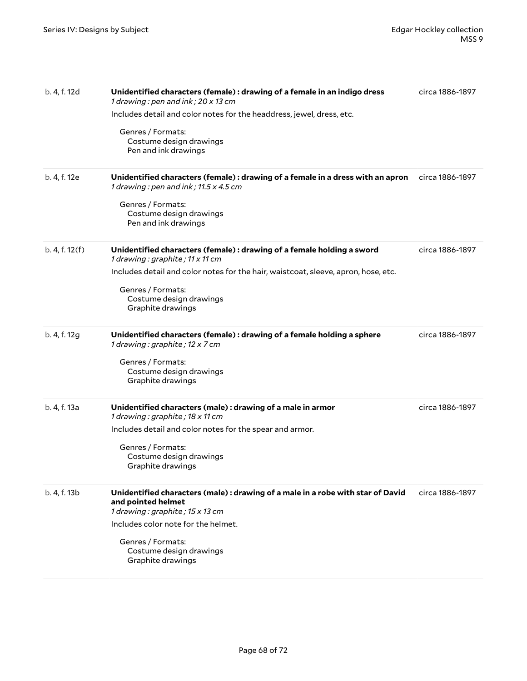| b. 4, f. 12d<br>b. 4, f. 12e | Unidentified characters (female) : drawing of a female in an indigo dress<br>1 drawing : pen and ink ; $20 \times 13$ cm<br>Includes detail and color notes for the headdress, jewel, dress, etc.<br>Genres / Formats:<br>Costume design drawings<br>Pen and ink drawings<br>Unidentified characters (female) : drawing of a female in a dress with an apron | circa 1886-1897<br>circa 1886-1897 |
|------------------------------|--------------------------------------------------------------------------------------------------------------------------------------------------------------------------------------------------------------------------------------------------------------------------------------------------------------------------------------------------------------|------------------------------------|
|                              | 1 drawing : pen and ink ; $11.5 \times 4.5$ cm<br>Genres / Formats:<br>Costume design drawings<br>Pen and ink drawings                                                                                                                                                                                                                                       |                                    |
| b. 4, f. 12(f)               | Unidentified characters (female) : drawing of a female holding a sword<br>1 drawing : graphite ; $11 \times 11$ cm<br>Includes detail and color notes for the hair, waistcoat, sleeve, apron, hose, etc.<br>Genres / Formats:<br>Costume design drawings<br>Graphite drawings                                                                                | circa 1886-1897                    |
| b. 4, f. 12g                 | Unidentified characters (female) : drawing of a female holding a sphere<br>1 drawing: graphite; 12 x 7 cm<br>Genres / Formats:<br>Costume design drawings<br>Graphite drawings                                                                                                                                                                               | circa 1886-1897                    |
| b. 4, f. 13a                 | Unidentified characters (male) : drawing of a male in armor<br>1 drawing: graphite; 18 x 11 cm<br>Includes detail and color notes for the spear and armor.<br>Genres / Formats:<br>Costume design drawings<br>Graphite drawings                                                                                                                              | circa 1886-1897                    |
| b. 4, f. 13b                 | Unidentified characters (male) : drawing of a male in a robe with star of David<br>and pointed helmet<br>1 drawing: graphite; 15 x 13 cm<br>Includes color note for the helmet.<br>Genres / Formats:<br>Costume design drawings<br>Graphite drawings                                                                                                         | circa 1886-1897                    |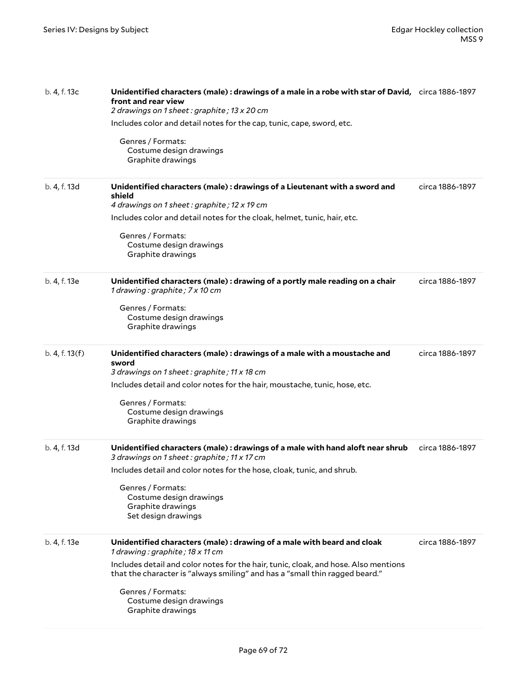| b. 4, f. 13c   | Unidentified characters (male): drawings of a male in a robe with star of David, circa 1886-1897<br>front and rear view<br>2 drawings on 1 sheet: graphite; 13 x 20 cm |                 |
|----------------|------------------------------------------------------------------------------------------------------------------------------------------------------------------------|-----------------|
|                | Includes color and detail notes for the cap, tunic, cape, sword, etc.                                                                                                  |                 |
|                | Genres / Formats:<br>Costume design drawings<br>Graphite drawings                                                                                                      |                 |
| b. 4, f. 13d   | Unidentified characters (male) : drawings of a Lieutenant with a sword and<br>shield<br>4 drawings on 1 sheet: graphite; 12 x 19 cm                                    | circa 1886-1897 |
|                | Includes color and detail notes for the cloak, helmet, tunic, hair, etc.                                                                                               |                 |
|                | Genres / Formats:<br>Costume design drawings<br>Graphite drawings                                                                                                      |                 |
| b. 4, f. 13e   | Unidentified characters (male): drawing of a portly male reading on a chair<br>1 drawing: graphite; 7 x 10 cm                                                          | circa 1886-1897 |
|                | Genres / Formats:<br>Costume design drawings<br>Graphite drawings                                                                                                      |                 |
| b. 4, f. 13(f) | Unidentified characters (male): drawings of a male with a moustache and<br>sword<br>3 drawings on 1 sheet: graphite; 11 x 18 cm                                        | circa 1886-1897 |
|                | Includes detail and color notes for the hair, moustache, tunic, hose, etc.                                                                                             |                 |
|                | Genres / Formats:<br>Costume design drawings<br>Graphite drawings                                                                                                      |                 |
| b. 4, f. 13d   | Unidentified characters (male): drawings of a male with hand aloft near shrub<br>3 drawings on 1 sheet: graphite; 11 x 17 cm                                           | circa 1886-1897 |
|                | Includes detail and color notes for the hose, cloak, tunic, and shrub.                                                                                                 |                 |
|                | Genres / Formats:<br>Costume design drawings<br>Graphite drawings<br>Set design drawings                                                                               |                 |
| b. 4, f. 13e   | Unidentified characters (male): drawing of a male with beard and cloak<br>1 drawing: graphite; 18 x 11 cm                                                              | circa 1886-1897 |
|                | Includes detail and color notes for the hair, tunic, cloak, and hose. Also mentions<br>that the character is "always smiling" and has a "small thin ragged beard."     |                 |
|                | Genres / Formats:<br>Costume design drawings<br>Graphite drawings                                                                                                      |                 |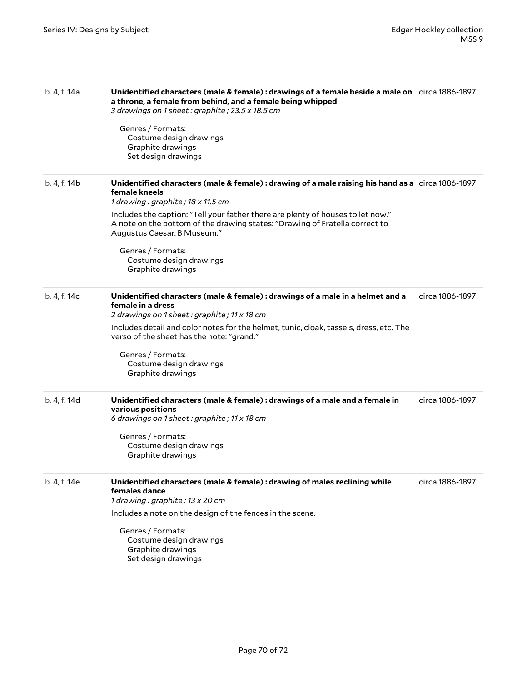| b. 4, f. 14a | Unidentified characters (male & female): drawings of a female beside a male on circa 1886-1897<br>a throne, a female from behind, and a female being whipped<br>3 drawings on 1 sheet: graphite; 23.5 x 18.5 cm<br>Genres / Formats:<br>Costume design drawings<br>Graphite drawings<br>Set design drawings                                                                                                                  |                 |
|--------------|------------------------------------------------------------------------------------------------------------------------------------------------------------------------------------------------------------------------------------------------------------------------------------------------------------------------------------------------------------------------------------------------------------------------------|-----------------|
| b. 4, f. 14b | Unidentified characters (male & female): drawing of a male raising his hand as a circa 1886-1897<br>female kneels<br>1 drawing: graphite; 18 x 11.5 cm<br>Includes the caption: "Tell your father there are plenty of houses to let now."<br>A note on the bottom of the drawing states: "Drawing of Fratella correct to<br>Augustus Caesar. B Museum."<br>Genres / Formats:<br>Costume design drawings<br>Graphite drawings |                 |
| b. 4, f. 14c | Unidentified characters (male & female) : drawings of a male in a helmet and a<br>female in a dress<br>2 drawings on 1 sheet: graphite; 11 x 18 cm<br>Includes detail and color notes for the helmet, tunic, cloak, tassels, dress, etc. The<br>verso of the sheet has the note: "grand."<br>Genres / Formats:<br>Costume design drawings<br>Graphite drawings                                                               | circa 1886-1897 |
| b. 4, f. 14d | Unidentified characters (male & female) : drawings of a male and a female in<br>various positions<br>6 drawings on 1 sheet: graphite; 11 x 18 cm<br>Genres / Formats:<br>Costume design drawings<br>Graphite drawings                                                                                                                                                                                                        | circa 1886-1897 |
| b. 4, f. 14e | Unidentified characters (male & female) : drawing of males reclining while<br>females dance<br>1 drawing: graphite; 13 x 20 cm<br>Includes a note on the design of the fences in the scene.<br>Genres / Formats:<br>Costume design drawings<br>Graphite drawings<br>Set design drawings                                                                                                                                      | circa 1886-1897 |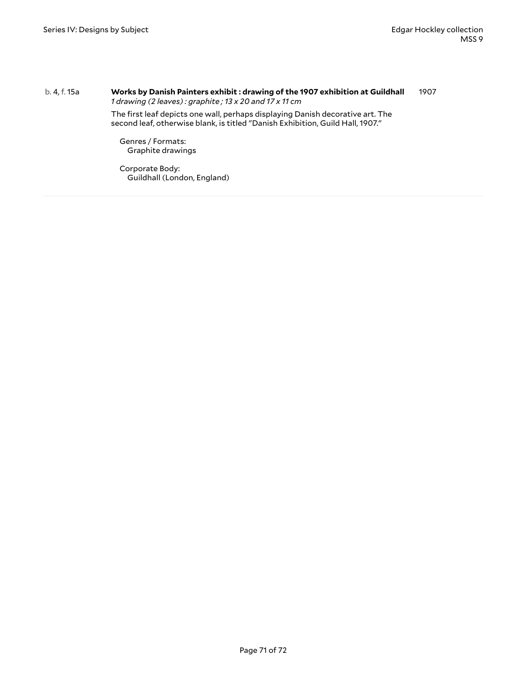#### b. 4, f. 15a **Works by Danish Painters exhibit : drawing of the 1907 exhibition at Guildhall** *1 drawing (2 leaves) : graphite ; 13 x 20 and 17 x 11 cm* 1907

The first leaf depicts one wall, perhaps displaying Danish decorative art. The second leaf, otherwise blank, is titled "Danish Exhibition, Guild Hall, 1907."

Genres / Formats: Graphite drawings

Corporate Body: Guildhall (London, England)